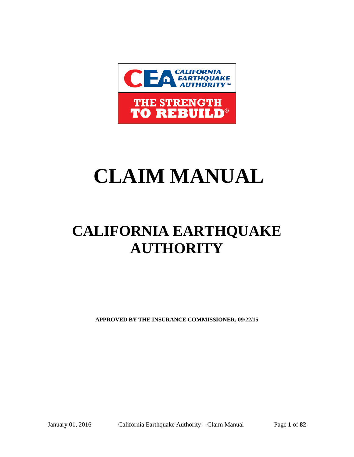

# **CLAIM MANUAL**

# **CALIFORNIA EARTHQUAKE AUTHORITY**

**APPROVED BY THE INSURANCE COMMISSIONER, 09/22/15**

January 01, 2016 California Earthquake Authority – Claim Manual Page **1** of **82**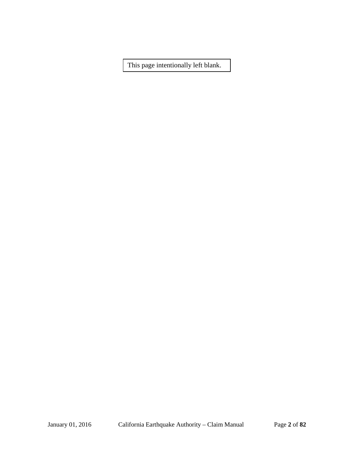This page intentionally left blank.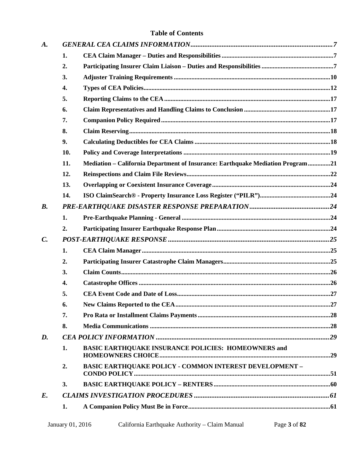| <b>Table of Contents</b> |  |
|--------------------------|--|
|--------------------------|--|

| $\boldsymbol{A}$ . |     |                                                                                |  |
|--------------------|-----|--------------------------------------------------------------------------------|--|
|                    | 1.  |                                                                                |  |
|                    | 2.  |                                                                                |  |
|                    | 3.  |                                                                                |  |
|                    | 4.  |                                                                                |  |
|                    | 5.  |                                                                                |  |
|                    | 6.  |                                                                                |  |
|                    | 7.  |                                                                                |  |
|                    | 8.  |                                                                                |  |
|                    | 9.  |                                                                                |  |
|                    | 10. |                                                                                |  |
|                    | 11. | Mediation – California Department of Insurance: Earthquake Mediation Program21 |  |
|                    | 12. |                                                                                |  |
|                    | 13. |                                                                                |  |
|                    | 14. |                                                                                |  |
| $\boldsymbol{B}$ . |     |                                                                                |  |
|                    | 1.  |                                                                                |  |
|                    | 2.  |                                                                                |  |
| $\mathcal{C}$ .    |     |                                                                                |  |
|                    | 1.  |                                                                                |  |
|                    | 2.  |                                                                                |  |
|                    | 3.  |                                                                                |  |
|                    | 4.  |                                                                                |  |
|                    | 5.  |                                                                                |  |
|                    | 6.  |                                                                                |  |
|                    | 7.  |                                                                                |  |
|                    | 8.  |                                                                                |  |
| D.                 |     |                                                                                |  |
|                    | 1.  | <b>BASIC EARTHQUAKE INSURANCE POLICIES: HOMEOWNERS and</b>                     |  |
|                    | 2.  | <b>BASIC EARTHQUAKE POLICY - COMMON INTEREST DEVELOPMENT -</b>                 |  |
|                    | 3.  |                                                                                |  |
| $E_{\cdot}$        |     |                                                                                |  |
|                    | 1.  |                                                                                |  |
|                    |     |                                                                                |  |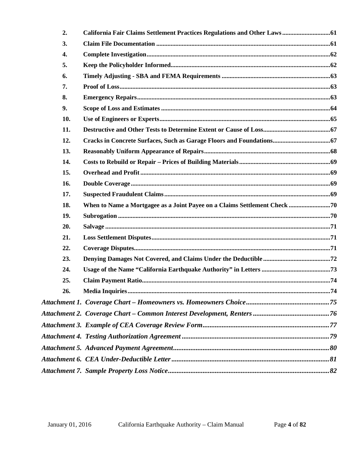| 2.  | California Fair Claims Settlement Practices Regulations and Other Laws  61 |  |
|-----|----------------------------------------------------------------------------|--|
| 3.  |                                                                            |  |
| 4.  |                                                                            |  |
| 5.  |                                                                            |  |
| 6.  |                                                                            |  |
| 7.  |                                                                            |  |
| 8.  |                                                                            |  |
| 9.  |                                                                            |  |
| 10. |                                                                            |  |
| 11. |                                                                            |  |
| 12. |                                                                            |  |
| 13. |                                                                            |  |
| 14. |                                                                            |  |
| 15. |                                                                            |  |
| 16. |                                                                            |  |
| 17. |                                                                            |  |
| 18. | When to Name a Mortgagee as a Joint Payee on a Claims Settlement Check 70  |  |
| 19. |                                                                            |  |
| 20. |                                                                            |  |
| 21. |                                                                            |  |
| 22. |                                                                            |  |
| 23. |                                                                            |  |
| 24. |                                                                            |  |
| 25. |                                                                            |  |
| 26. |                                                                            |  |
|     |                                                                            |  |
|     |                                                                            |  |
|     |                                                                            |  |
|     |                                                                            |  |
|     |                                                                            |  |
|     |                                                                            |  |
|     |                                                                            |  |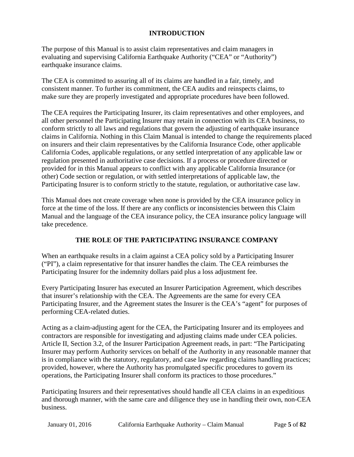# **INTRODUCTION**

The purpose of this Manual is to assist claim representatives and claim managers in evaluating and supervising California Earthquake Authority ("CEA" or "Authority") earthquake insurance claims.

The CEA is committed to assuring all of its claims are handled in a fair, timely, and consistent manner. To further its commitment, the CEA audits and reinspects claims, to make sure they are properly investigated and appropriate procedures have been followed.

The CEA requires the Participating Insurer, its claim representatives and other employees, and all other personnel the Participating Insurer may retain in connection with its CEA business, to conform strictly to all laws and regulations that govern the adjusting of earthquake insurance claims in California. Nothing in this Claim Manual is intended to change the requirements placed on insurers and their claim representatives by the California Insurance Code, other applicable California Codes, applicable regulations, or any settled interpretation of any applicable law or regulation presented in authoritative case decisions. If a process or procedure directed or provided for in this Manual appears to conflict with any applicable California Insurance (or other) Code section or regulation, or with settled interpretations of applicable law, the Participating Insurer is to conform strictly to the statute, regulation, or authoritative case law.

This Manual does not create coverage when none is provided by the CEA insurance policy in force at the time of the loss. If there are any conflicts or inconsistencies between this Claim Manual and the language of the CEA insurance policy, the CEA insurance policy language will take precedence.

# **THE ROLE OF THE PARTICIPATING INSURANCE COMPANY**

When an earthquake results in a claim against a CEA policy sold by a Participating Insurer ("PI"), a claim representative for that insurer handles the claim. The CEA reimburses the Participating Insurer for the indemnity dollars paid plus a loss adjustment fee.

Every Participating Insurer has executed an Insurer Participation Agreement, which describes that insurer's relationship with the CEA. The Agreements are the same for every CEA Participating Insurer, and the Agreement states the Insurer is the CEA's "agent" for purposes of performing CEA-related duties.

Acting as a claim-adjusting agent for the CEA, the Participating Insurer and its employees and contractors are responsible for investigating and adjusting claims made under CEA policies. Article II, Section 3.2, of the Insurer Participation Agreement reads, in part: "The Participating Insurer may perform Authority services on behalf of the Authority in any reasonable manner that is in compliance with the statutory, regulatory, and case law regarding claims handling practices; provided, however, where the Authority has promulgated specific procedures to govern its operations, the Participating Insurer shall conform its practices to those procedures."

Participating Insurers and their representatives should handle all CEA claims in an expeditious and thorough manner, with the same care and diligence they use in handling their own, non-CEA business.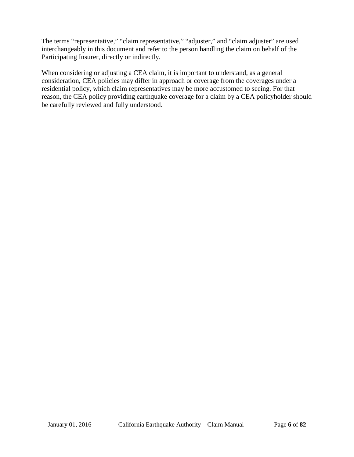The terms "representative," "claim representative," "adjuster," and "claim adjuster" are used interchangeably in this document and refer to the person handling the claim on behalf of the Participating Insurer, directly or indirectly.

When considering or adjusting a CEA claim, it is important to understand, as a general consideration, CEA policies may differ in approach or coverage from the coverages under a residential policy, which claim representatives may be more accustomed to seeing. For that reason, the CEA policy providing earthquake coverage for a claim by a CEA policyholder should be carefully reviewed and fully understood.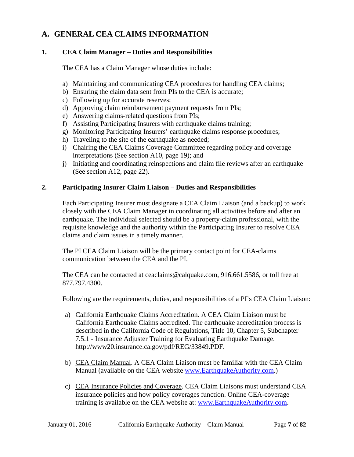# <span id="page-6-0"></span>**A. GENERAL CEA CLAIMS INFORMATION**

### <span id="page-6-1"></span>**1. CEA Claim Manager – Duties and Responsibilities**

The CEA has a Claim Manager whose duties include:

- a) Maintaining and communicating CEA procedures for handling CEA claims;
- b) Ensuring the claim data sent from PIs to the CEA is accurate;
- c) Following up for accurate reserves;
- d) Approving claim reimbursement payment requests from PIs;
- e) Answering claims-related questions from PIs;
- f) Assisting Participating Insurers with earthquake claims training;
- g) Monitoring Participating Insurers' earthquake claims response procedures;
- h) Traveling to the site of the earthquake as needed;
- i) Chairing the CEA Claims Coverage Committee regarding policy and coverage interpretations (See section A10, page 19); and
- j) Initiating and coordinating reinspections and claim file reviews after an earthquake (See section A12, page 22).

#### <span id="page-6-2"></span>**2. Participating Insurer Claim Liaison – Duties and Responsibilities**

Each Participating Insurer must designate a CEA Claim Liaison (and a backup) to work closely with the CEA Claim Manager in coordinating all activities before and after an earthquake. The individual selected should be a property-claim professional, with the requisite knowledge and the authority within the Participating Insurer to resolve CEA claims and claim issues in a timely manner.

The PI CEA Claim Liaison will be the primary contact point for CEA-claims communication between the CEA and the PI.

The CEA can be contacted at [ceaclaims@calquake.com,](mailto:ceaclaims@calquake.com) 916.661.5586, or toll free at 877.797.4300.

Following are the requirements, duties, and responsibilities of a PI's CEA Claim Liaison:

- a) California Earthquake Claims Accreditation. A CEA Claim Liaison must be California Earthquake Claims accredited. The earthquake accreditation process is described in the California Code of Regulations, Title 10, Chapter 5, Subchapter 7.5.1 - Insurance Adjuster Training for Evaluating Earthquake Damage. [http://www20.insurance.ca.gov/pdf/REG/33849.PDF.](http://www20.insurance.ca.gov/pdf/REG/33849.PDF)
- b) CEA Claim Manual. A CEA Claim Liaison must be familiar with the CEA Claim Manual (available on the CEA website [www.EarthquakeAuthority.com.](http://www.earthquakeauthority.com/))
- c) CEA Insurance Policies and Coverage. CEA Claim Liaisons must understand CEA insurance policies and how policy coverages function. Online CEA-coverage training is available on the CEA website at: [www.EarthquakeAuthority.com.](http://www.earthquakeauthority.com/)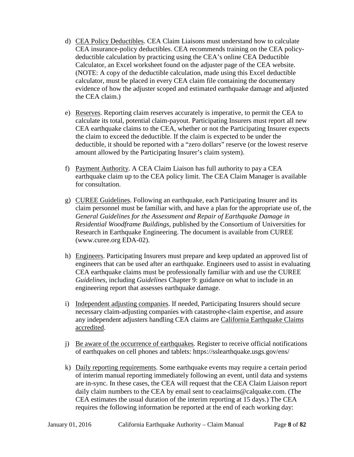- d) CEA Policy Deductibles. CEA Claim Liaisons must understand how to calculate CEA insurance-policy deductibles. CEA recommends training on the CEA policydeductible calculation by practicing using the CEA's online CEA Deductible Calculator, an Excel worksheet found on the adjuster page of the CEA website. (NOTE: A copy of the deductible calculation, made using this Excel deductible calculator, must be placed in every CEA claim file containing the documentary evidence of how the adjuster scoped and estimated earthquake damage and adjusted the CEA claim.)
- e) Reserves. Reporting claim reserves accurately is imperative, to permit the CEA to calculate its total, potential claim-payout. Participating Insurers must report all new CEA earthquake claims to the CEA, whether or not the Participating Insurer expects the claim to exceed the deductible. If the claim is expected to be under the deductible, it should be reported with a "zero dollars" reserve (or the lowest reserve amount allowed by the Participating Insurer's claim system).
- f) Payment Authority. A CEA Claim Liaison has full authority to pay a CEA earthquake claim up to the CEA policy limit. The CEA Claim Manager is available for consultation.
- g) CUREE Guidelines. Following an earthquake, each Participating Insurer and its claim personnel must be familiar with, and have a plan for the appropriate use of, the *General Guidelines for the Assessment and Repair of Earthquake Damage in Residential Woodframe Buildings*, published by the Consortium of Universities for Research in Earthquake Engineering. The document is available from CUREE [\(www.curee.org](http://www.curee.org/) EDA-02).
- h) Engineers. Participating Insurers must prepare and keep updated an approved list of engineers that can be used after an earthquake. Engineers used to assist in evaluating CEA earthquake claims must be professionally familiar with and use the CUREE *Guidelines*, including *Guidelines* Chapter 9: guidance on what to include in an engineering report that assesses earthquake damage.
- i) Independent adjusting companies. If needed, Participating Insurers should secure necessary claim-adjusting companies with catastrophe-claim expertise, and assure any independent adjusters handling CEA claims are California Earthquake Claims accredited.
- j) Be aware of the occurrence of earthquakes. Register to receive official notifications of earthquakes on cell phones and tablets: <https://sslearthquake.usgs.gov/ens/>
- k) Daily reporting requirements. Some earthquake events may require a certain period of interim manual reporting immediately following an event, until data and systems are in-sync. In these cases, the CEA will request that the CEA Claim Liaison report daily claim numbers to the CEA by email sent to ceaclaims@calquake.com. (The CEA estimates the usual duration of the interim reporting at 15 days.) The CEA requires the following information be reported at the end of each working day: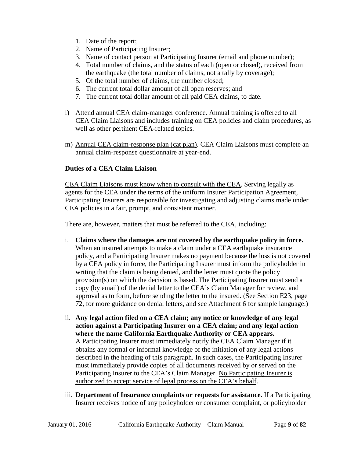- 1. Date of the report;
- 2. Name of Participating Insurer;
- 3. Name of contact person at Participating Insurer (email and phone number);
- 4. Total number of claims, and the status of each (open or closed), received from the earthquake (the total number of claims, not a tally by coverage);
- 5. Of the total number of claims, the number closed;
- 6. The current total dollar amount of all open reserves; and
- 7. The current total dollar amount of all paid CEA claims, to date.
- l) Attend annual CEA claim-manager conference. Annual training is offered to all CEA Claim Liaisons and includes training on CEA policies and claim procedures, as well as other pertinent CEA-related topics.
- m) Annual CEA claim-response plan (cat plan). CEA Claim Liaisons must complete an annual claim-response questionnaire at year-end.

#### **Duties of a CEA Claim Liaison**

CEA Claim Liaisons must know when to consult with the CEA. Serving legally as agents for the CEA under the terms of the uniform Insurer Participation Agreement, Participating Insurers are responsible for investigating and adjusting claims made under CEA policies in a fair, prompt, and consistent manner.

There are, however, matters that must be referred to the CEA, including:

- i. **Claims where the damages are not covered by the earthquake policy in force.** When an insured attempts to make a claim under a CEA earthquake insurance policy, and a Participating Insurer makes no payment because the loss is not covered by a CEA policy in force, the Participating Insurer must inform the policyholder in writing that the claim is being denied, and the letter must quote the policy provision(s) on which the decision is based. The Participating Insurer must send a copy (by email) of the denial letter to the CEA's Claim Manager for review, and approval as to form, before sending the letter to the insured. (See Section E23, page 72, for more guidance on denial letters, and see Attachment 6 for sample language.)
- ii. **Any legal action filed on a CEA claim; any notice or knowledge of any legal action against a Participating Insurer on a CEA claim; and any legal action where the name California Earthquake Authority or CEA appears.** A Participating Insurer must immediately notify the CEA Claim Manager if it obtains any formal or informal knowledge of the initiation of any legal actions described in the heading of this paragraph. In such cases, the Participating Insurer must immediately provide copies of all documents received by or served on the Participating Insurer to the CEA's Claim Manager. No Participating Insurer is authorized to accept service of legal process on the CEA's behalf.
- iii. **Department of Insurance complaints or requests for assistance.** If a Participating Insurer receives notice of any policyholder or consumer complaint, or policyholder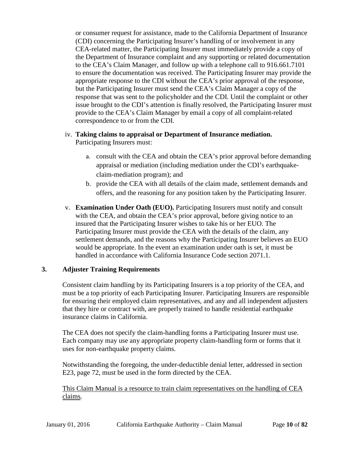or consumer request for assistance, made to the California Department of Insurance (CDI) concerning the Participating Insurer's handling of or involvement in any CEA-related matter, the Participating Insurer must immediately provide a copy of the Department of Insurance complaint and any supporting or related documentation to the CEA's Claim Manager, and follow up with a telephone call to 916.661.7101 to ensure the documentation was received. The Participating Insurer may provide the appropriate response to the CDI without the CEA's prior approval of the response, but the Participating Insurer must send the CEA's Claim Manager a copy of the response that was sent to the policyholder and the CDI. Until the complaint or other issue brought to the CDI's attention is finally resolved, the Participating Insurer must provide to the CEA's Claim Manager by email a copy of all complaint-related correspondence to or from the CDI.

### iv. **Taking claims to appraisal or Department of Insurance mediation.** Participating Insurers must:

- a. consult with the CEA and obtain the CEA's prior approval before demanding appraisal or mediation (including mediation under the CDI's earthquakeclaim-mediation program); and
- b. provide the CEA with all details of the claim made, settlement demands and offers, and the reasoning for any position taken by the Participating Insurer.
- v. **Examination Under Oath (EUO).** Participating Insurers must notify and consult with the CEA, and obtain the CEA's prior approval, before giving notice to an insured that the Participating Insurer wishes to take his or her EUO. The Participating Insurer must provide the CEA with the details of the claim, any settlement demands, and the reasons why the Participating Insurer believes an EUO would be appropriate. In the event an examination under oath is set, it must be handled in accordance with California Insurance Code section 2071.1.

# <span id="page-9-0"></span>**3. Adjuster Training Requirements**

Consistent claim handling by its Participating Insurers is a top priority of the CEA, and must be a top priority of each Participating Insurer. Participating Insurers are responsible for ensuring their employed claim representatives, and any and all independent adjusters that they hire or contract with, are properly trained to handle residential earthquake insurance claims in California.

The CEA does not specify the claim-handling forms a Participating Insurer must use. Each company may use any appropriate property claim-handling form or forms that it uses for non-earthquake property claims.

Notwithstanding the foregoing, the under-deductible denial letter, addressed in section E23, page 72, must be used in the form directed by the CEA.

This Claim Manual is a resource to train claim representatives on the handling of CEA claims.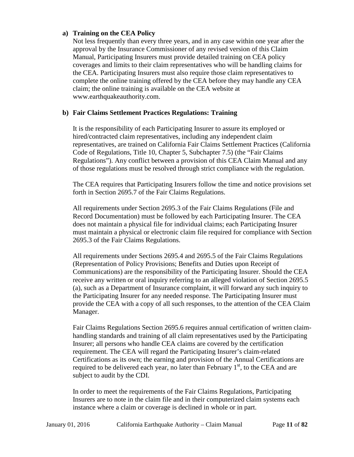#### **a) Training on the CEA Policy**

Not less frequently than every three years, and in any case within one year after the approval by the Insurance Commissioner of any revised version of this Claim Manual, Participating Insurers must provide detailed training on CEA policy coverages and limits to their claim representatives who will be handling claims for the CEA. Participating Insurers must also require those claim representatives to complete the online training offered by the CEA before they may handle any CEA claim; the online training is available on the CEA website at www.earthquakeauthority.com.

#### **b) Fair Claims Settlement Practices Regulations: Training**

It is the responsibility of each Participating Insurer to assure its employed or hired/contracted claim representatives, including any independent claim representatives, are trained on California Fair Claims Settlement Practices (California Code of Regulations, Title 10, Chapter 5, Subchapter 7.5) (the "Fair Claims Regulations"). Any conflict between a provision of this CEA Claim Manual and any of those regulations must be resolved through strict compliance with the regulation.

The CEA requires that Participating Insurers follow the time and notice provisions set forth in Section 2695.7 of the Fair Claims Regulations.

All requirements under Section 2695.3 of the Fair Claims Regulations (File and Record Documentation) must be followed by each Participating Insurer. The CEA does not maintain a physical file for individual claims; each Participating Insurer must maintain a physical or electronic claim file required for compliance with Section 2695.3 of the Fair Claims Regulations.

All requirements under Sections 2695.4 and 2695.5 of the Fair Claims Regulations (Representation of Policy Provisions; Benefits and Duties upon Receipt of Communications) are the responsibility of the Participating Insurer. Should the CEA receive any written or oral inquiry referring to an alleged violation of Section 2695.5 (a), such as a Department of Insurance complaint, it will forward any such inquiry to the Participating Insurer for any needed response. The Participating Insurer must provide the CEA with a copy of all such responses, to the attention of the CEA Claim Manager.

Fair Claims Regulations Section 2695.6 requires annual certification of written claimhandling standards and training of all claim representatives used by the Participating Insurer; all persons who handle CEA claims are covered by the certification requirement. The CEA will regard the Participating Insurer's claim-related Certifications as its own; the earning and provision of the Annual Certifications are required to be delivered each year, no later than February  $1<sup>st</sup>$ , to the CEA and are subject to audit by the CDI.

In order to meet the requirements of the Fair Claims Regulations, Participating Insurers are to note in the claim file and in their computerized claim systems each instance where a claim or coverage is declined in whole or in part.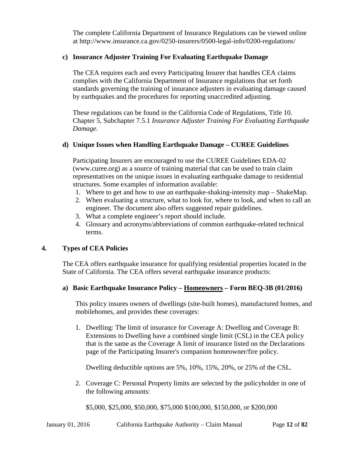The complete California Department of Insurance Regulations can be viewed online at http://www.insurance.ca.gov/0250-insurers/0500-legal-info/0200-regulations/

# **c) Insurance Adjuster Training For Evaluating Earthquake Damage**

The CEA requires each and every Participating Insurer that handles CEA claims complies with the California Department of Insurance regulations that set forth standards governing the training of insurance adjusters in evaluating damage caused by earthquakes and the procedures for reporting unaccredited adjusting.

These regulations can be found in the California Code of Regulations, Title 10. Chapter 5, Subchapter 7.5.1 *Insurance Adjuster Training For Evaluating Earthquake Damage.*

#### **d) Unique Issues when Handling Earthquake Damage – CUREE Guidelines**

Participating Insurers are encouraged to use the CUREE Guidelines EDA-02 (www.curee.org) as a source of training material that can be used to train claim representatives on the unique issues in evaluating earthquake damage to residential structures. Some examples of information available:

- 1. Where to get and how to use an earthquake-shaking-intensity map ShakeMap.
- 2. When evaluating a structure, what to look for, where to look, and when to call an engineer. The document also offers suggested repair guidelines.
- 3. What a complete engineer's report should include.
- 4. Glossary and acronyms/abbreviations of common earthquake-related technical terms.

#### <span id="page-11-0"></span>**4. Types of CEA Policies**

The CEA offers earthquake insurance for qualifying residential properties located in the State of California. The CEA offers several earthquake insurance products:

#### **a) Basic Earthquake Insurance Policy – Homeowners – Form BEQ-3B (01/2016)**

This policy insures owners of dwellings (site-built homes), manufactured homes, and mobilehomes, and provides these coverages:

1. Dwelling: The limit of insurance for Coverage A: Dwelling and Coverage B: Extensions to Dwelling have a combined single limit (CSL) in the CEA policy that is the same as the Coverage A limit of insurance listed on the Declarations page of the Participating Insurer's companion homeowner/fire policy.

Dwelling deductible options are 5%, 10%, 15%, 20%, or 25% of the CSL.

2. Coverage C: Personal Property limits are selected by the policyholder in one of the following amounts:

\$5,000, \$25,000, \$50,000, \$75,000 \$100,000, \$150,000, or \$200,000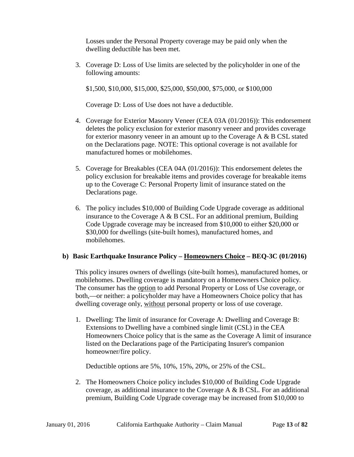Losses under the Personal Property coverage may be paid only when the dwelling deductible has been met.

3. Coverage D: Loss of Use limits are selected by the policyholder in one of the following amounts:

\$1,500, \$10,000, \$15,000, \$25,000, \$50,000, \$75,000, or \$100,000

Coverage D: Loss of Use does not have a deductible.

- 4. Coverage for Exterior Masonry Veneer (CEA 03A (01/2016)): This endorsement deletes the policy exclusion for exterior masonry veneer and provides coverage for exterior masonry veneer in an amount up to the Coverage A & B CSL stated on the Declarations page. NOTE: This optional coverage is not available for manufactured homes or mobilehomes.
- 5. Coverage for Breakables (CEA 04A (01/2016)): This endorsement deletes the policy exclusion for breakable items and provides coverage for breakable items up to the Coverage C: Personal Property limit of insurance stated on the Declarations page.
- 6. The policy includes \$10,000 of Building Code Upgrade coverage as additional insurance to the Coverage A & B CSL. For an additional premium, Building Code Upgrade coverage may be increased from \$10,000 to either \$20,000 or \$30,000 for dwellings (site-built homes), manufactured homes, and mobilehomes.

# **b) Basic Earthquake Insurance Policy – Homeowners Choice – BEQ-3C (01/2016)**

This policy insures owners of dwellings (site-built homes), manufactured homes, or mobilehomes. Dwelling coverage is mandatory on a Homeowners Choice policy. The consumer has the option to add Personal Property or Loss of Use coverage, or both,––or neither: a policyholder may have a Homeowners Choice policy that has dwelling coverage only, without personal property or loss of use coverage.

1. Dwelling: The limit of insurance for Coverage A: Dwelling and Coverage B: Extensions to Dwelling have a combined single limit (CSL) in the CEA Homeowners Choice policy that is the same as the Coverage A limit of insurance listed on the Declarations page of the Participating Insurer's companion homeowner/fire policy.

Deductible options are 5%, 10%, 15%, 20%, or 25% of the CSL.

2. The Homeowners Choice policy includes \$10,000 of Building Code Upgrade coverage, as additional insurance to the Coverage A & B CSL. For an additional premium, Building Code Upgrade coverage may be increased from \$10,000 to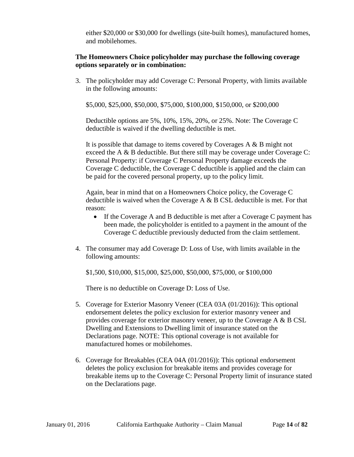either \$20,000 or \$30,000 for dwellings (site-built homes), manufactured homes, and mobilehomes.

# **The Homeowners Choice policyholder may purchase the following coverage options separately or in combination:**

3. The policyholder may add Coverage C: Personal Property, with limits available in the following amounts:

\$5,000, \$25,000, \$50,000, \$75,000, \$100,000, \$150,000, or \$200,000

Deductible options are 5%, 10%, 15%, 20%, or 25%. Note: The Coverage C deductible is waived if the dwelling deductible is met.

It is possible that damage to items covered by Coverages A & B might not exceed the A  $\&$  B deductible. But there still may be coverage under Coverage C: Personal Property: if Coverage C Personal Property damage exceeds the Coverage C deductible, the Coverage C deductible is applied and the claim can be paid for the covered personal property, up to the policy limit.

Again, bear in mind that on a Homeowners Choice policy, the Coverage C deductible is waived when the Coverage A  $\&$  B CSL deductible is met. For that reason:

- If the Coverage A and B deductible is met after a Coverage C payment has been made, the policyholder is entitled to a payment in the amount of the Coverage C deductible previously deducted from the claim settlement.
- 4. The consumer may add Coverage D: Loss of Use, with limits available in the following amounts:

\$1,500, \$10,000, \$15,000, \$25,000, \$50,000, \$75,000, or \$100,000

There is no deductible on Coverage D: Loss of Use.

- 5. Coverage for Exterior Masonry Veneer (CEA 03A (01/2016)): This optional endorsement deletes the policy exclusion for exterior masonry veneer and provides coverage for exterior masonry veneer, up to the Coverage A & B CSL Dwelling and Extensions to Dwelling limit of insurance stated on the Declarations page. NOTE: This optional coverage is not available for manufactured homes or mobilehomes.
- 6. Coverage for Breakables (CEA 04A (01/2016)): This optional endorsement deletes the policy exclusion for breakable items and provides coverage for breakable items up to the Coverage C: Personal Property limit of insurance stated on the Declarations page.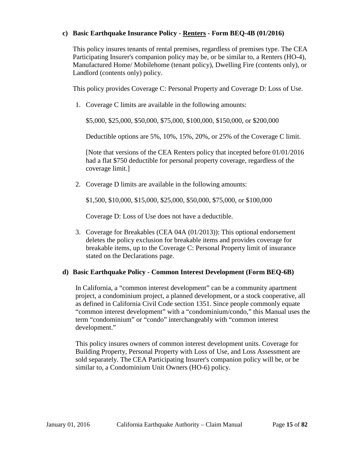# **c) Basic Earthquake Insurance Policy - Renters - Form BEQ-4B (01/2016)**

This policy insures tenants of rental premises, regardless of premises type. The CEA Participating Insurer's companion policy may be, or be similar to, a Renters (HO-4), Manufactured Home/ Mobilehome (tenant policy), Dwelling Fire (contents only), or Landlord (contents only) policy.

This policy provides Coverage C: Personal Property and Coverage D: Loss of Use.

1. Coverage C limits are available in the following amounts:

\$5,000, \$25,000, \$50,000, \$75,000, \$100,000, \$150,000, or \$200,000

Deductible options are 5%, 10%, 15%, 20%, or 25% of the Coverage C limit.

[Note that versions of the CEA Renters policy that incepted before 01/01/2016 had a flat \$750 deductible for personal property coverage, regardless of the coverage limit.]

2. Coverage D limits are available in the following amounts:

\$1,500, \$10,000, \$15,000, \$25,000, \$50,000, \$75,000, or \$100,000

Coverage D: Loss of Use does not have a deductible.

3. Coverage for Breakables (CEA 04A (01/2013)): This optional endorsement deletes the policy exclusion for breakable items and provides coverage for breakable items, up to the Coverage C: Personal Property limit of insurance stated on the Declarations page.

#### **d) Basic Earthquake Policy - Common Interest Development (Form BEQ-6B)**

In California, a "common interest development" can be a community apartment project, a condominium project, a planned development, or a stock cooperative, all as defined in California Civil Code section 1351. Since people commonly equate "common interest development" with a "condominium/condo," this Manual uses the term "condominium" or "condo" interchangeably with "common interest development."

This policy insures owners of common interest development units. Coverage for Building Property, Personal Property with Loss of Use, and Loss Assessment are sold separately. The CEA Participating Insurer's companion policy will be, or be similar to, a Condominium Unit Owners (HO-6) policy.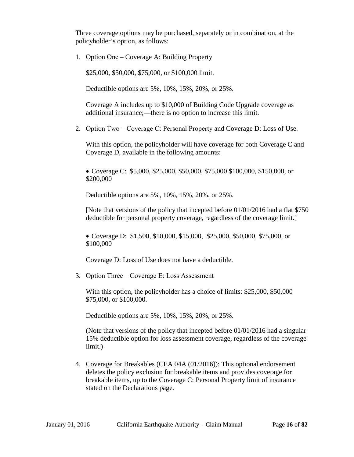Three coverage options may be purchased, separately or in combination, at the policyholder's option, as follows:

1. Option One – Coverage A: Building Property

\$25,000, \$50,000, \$75,000, or \$100,000 limit.

Deductible options are 5%, 10%, 15%, 20%, or 25%.

Coverage A includes up to \$10,000 of Building Code Upgrade coverage as additional insurance;––there is no option to increase this limit.

2. Option Two – Coverage C: Personal Property and Coverage D: Loss of Use.

With this option, the policyholder will have coverage for both Coverage C and Coverage D, available in the following amounts:

• Coverage C: \$5,000, \$25,000, \$50,000, \$75,000 \$100,000, \$150,000, or \$200,000

Deductible options are 5%, 10%, 15%, 20%, or 25%.

**[**Note that versions of the policy that incepted before 01/01/2016 had a flat \$750 deductible for personal property coverage, regardless of the coverage limit.]

• Coverage D: \$1,500, \$10,000, \$15,000, \$25,000, \$50,000, \$75,000, or \$100,000

Coverage D: Loss of Use does not have a deductible.

3. Option Three – Coverage E: Loss Assessment

With this option, the policyholder has a choice of limits: \$25,000, \$50,000 \$75,000, or \$100,000.

Deductible options are 5%, 10%, 15%, 20%, or 25%.

(Note that versions of the policy that incepted before  $01/01/2016$  had a singular 15% deductible option for loss assessment coverage, regardless of the coverage limit.)

4. Coverage for Breakables (CEA 04A (01/2016)): This optional endorsement deletes the policy exclusion for breakable items and provides coverage for breakable items, up to the Coverage C: Personal Property limit of insurance stated on the Declarations page.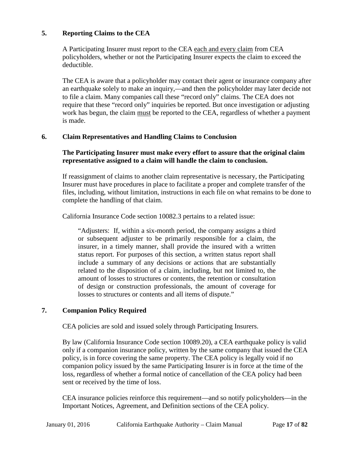# <span id="page-16-0"></span>**5. Reporting Claims to the CEA**

A Participating Insurer must report to the CEA each and every claim from CEA policyholders, whether or not the Participating Insurer expects the claim to exceed the deductible.

The CEA is aware that a policyholder may contact their agent or insurance company after an earthquake solely to make an inquiry,––and then the policyholder may later decide not to file a claim. Many companies call these "record only" claims. The CEA does not require that these "record only" inquiries be reported. But once investigation or adjusting work has begun, the claim must be reported to the CEA, regardless of whether a payment is made.

#### <span id="page-16-1"></span>**6. Claim Representatives and Handling Claims to Conclusion**

#### **The Participating Insurer must make every effort to assure that the original claim representative assigned to a claim will handle the claim to conclusion.**

If reassignment of claims to another claim representative is necessary, the Participating Insurer must have procedures in place to facilitate a proper and complete transfer of the files, including, without limitation, instructions in each file on what remains to be done to complete the handling of that claim.

California Insurance Code section 10082.3 pertains to a related issue:

"Adjusters: If, within a six-month period, the company assigns a third or subsequent adjuster to be primarily responsible for a claim, the insurer, in a timely manner, shall provide the insured with a written status report. For purposes of this section, a written status report shall include a summary of any decisions or actions that are substantially related to the disposition of a claim, including, but not limited to, the amount of losses to structures or contents, the retention or consultation of design or construction professionals, the amount of coverage for losses to structures or contents and all items of dispute."

# <span id="page-16-2"></span>**7. Companion Policy Required**

CEA policies are sold and issued solely through Participating Insurers.

By law (California Insurance Code section 10089.20), a CEA earthquake policy is valid only if a companion insurance policy, written by the same company that issued the CEA policy, is in force covering the same property. The CEA policy is legally void if no companion policy issued by the same Participating Insurer is in force at the time of the loss, regardless of whether a formal notice of cancellation of the CEA policy had been sent or received by the time of loss.

CEA insurance policies reinforce this requirement––and so notify policyholders––in the Important Notices, Agreement, and Definition sections of the CEA policy.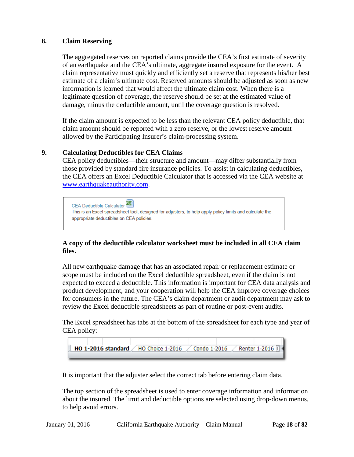#### <span id="page-17-0"></span>**8. Claim Reserving**

The aggregated reserves on reported claims provide the CEA's first estimate of severity of an earthquake and the CEA's ultimate, aggregate insured exposure for the event. A claim representative must quickly and efficiently set a reserve that represents his/her best estimate of a claim's ultimate cost. Reserved amounts should be adjusted as soon as new information is learned that would affect the ultimate claim cost. When there is a legitimate question of coverage, the reserve should be set at the estimated value of damage, minus the deductible amount, until the coverage question is resolved.

If the claim amount is expected to be less than the relevant CEA policy deductible, that claim amount should be reported with a zero reserve, or the lowest reserve amount allowed by the Participating Insurer's claim-processing system.

#### <span id="page-17-1"></span>**9. Calculating Deductibles for CEA Claims**

CEA policy deductibles––their structure and amount––may differ substantially from those provided by standard fire insurance policies. To assist in calculating deductibles, the CEA offers an Excel Deductible Calculator that is accessed via the CEA website at [www.earthquakeauthority.com.](http://www.earthquakeauthority.com/)

CEA Deductible Calculator This is an Excel spreadsheet tool, designed for adjusters, to help apply policy limits and calculate the appropriate deductibles on CEA policies.

#### **A copy of the deductible calculator worksheet must be included in all CEA claim files.**

All new earthquake damage that has an associated repair or replacement estimate or scope must be included on the Excel deductible spreadsheet, even if the claim is not expected to exceed a deductible. This information is important for CEA data analysis and product development, and your cooperation will help the CEA improve coverage choices for consumers in the future. The CEA's claim department or audit department may ask to review the Excel deductible spreadsheets as part of routine or post-event audits.

The Excel spreadsheet has tabs at the bottom of the spreadsheet for each type and year of CEA policy:

| <b>HO 1-2016 standard</b> / HO Choice 1-2016 / Condo 1-2016 / Renter 1-2016 $\Box$ |  |  |  |
|------------------------------------------------------------------------------------|--|--|--|
|                                                                                    |  |  |  |

It is important that the adjuster select the correct tab before entering claim data.

The top section of the spreadsheet is used to enter coverage information and information about the insured. The limit and deductible options are selected using drop-down menus, to help avoid errors.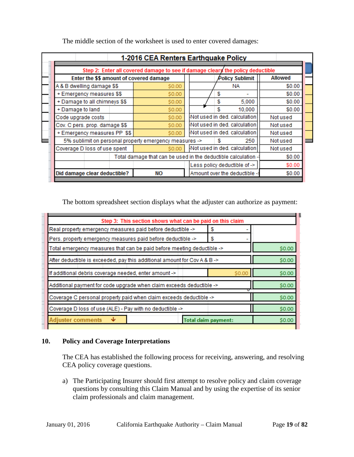|                                          |                                                        | 1-2016 CEA Renters Earthquake Policy                                           |  |  |     |                               |                |
|------------------------------------------|--------------------------------------------------------|--------------------------------------------------------------------------------|--|--|-----|-------------------------------|----------------|
|                                          |                                                        | Step 2: Enter all covered damage to see if damage clears the policy deductible |  |  |     |                               |                |
| Enter the \$\$ amount of covered damage  |                                                        |                                                                                |  |  |     | <b>Policy Sublimit</b>        | <b>Allowed</b> |
| A & B dwelling damage \$\$               |                                                        | \$0.00                                                                         |  |  |     | NA.                           | \$0.00         |
| + Emergency measures \$\$                |                                                        | \$0.00                                                                         |  |  | \$  |                               | \$0.00         |
| + Damage to all chimneys \$\$            |                                                        | \$0.00                                                                         |  |  | \$  | 5,000                         | \$0.00         |
| + Damage to land                         |                                                        | \$0.00                                                                         |  |  | \$  | 10,000                        | \$0.00         |
| Code upgrade costs                       |                                                        | \$0.00                                                                         |  |  |     | Not used in ded. calculation  | Not used       |
| Cov. C pers. prop. damage \$\$<br>\$0.00 |                                                        |                                                                                |  |  |     | Not used in ded. calculation  | Not used       |
| + Emergency measures PP \$\$<br>\$0.00   |                                                        |                                                                                |  |  |     | Not used in ded. calculation  | Not used       |
|                                          | 5% sublimit on personal property emergency measures -> |                                                                                |  |  | \$. | 250                           | Not used       |
| Coverage D loss of use spent             |                                                        | \$0.00                                                                         |  |  |     | Not used in ded. calculation  | Not used       |
|                                          |                                                        | Total damage that can be used in the deductible calculation -                  |  |  |     |                               | \$0.00         |
|                                          |                                                        |                                                                                |  |  |     | Less policy deductible of ->  | \$0.00         |
| Did damage clear deductible?             |                                                        | NΟ                                                                             |  |  |     | Amount over the deductible -> | \$0.00         |

The middle section of the worksheet is used to enter covered damages:

The bottom spreadsheet section displays what the adjuster can authorize as payment:

| Step 3: This section shows what can be paid on this claim                           |        |  |  |
|-------------------------------------------------------------------------------------|--------|--|--|
| S<br>Real property emergency measures paid before deductible ->                     |        |  |  |
| Pers, property emergency measures paid before deductible -><br>S                    |        |  |  |
| Total emergency measures that can be paid before meeting deductible ->              | \$0.00 |  |  |
| After deductible is exceeded, pay this additional amount for Cov A & B ->           | \$0.00 |  |  |
| If additional debris coverage needed, enter amount -><br>\$0.00                     | \$0.00 |  |  |
| Additional payment for code upgrade when claim exceeds deductible -><br>\$0.00<br>υ |        |  |  |
| Coverage C personal property paid when claim exceeds deductible -><br>\$0.00        |        |  |  |
| Coverage D loss of use (ALE) - Pay with no deductible -><br>\$0.00                  |        |  |  |
| ◡<br><b>Adjuster comments</b><br><b>Total claim payment:</b>                        | \$0.00 |  |  |

# <span id="page-18-0"></span>**10. Policy and Coverage Interpretations**

The CEA has established the following process for receiving, answering, and resolving CEA policy coverage questions.

a) The Participating Insurer should first attempt to resolve policy and claim coverage questions by consulting this Claim Manual and by using the expertise of its senior claim professionals and claim management.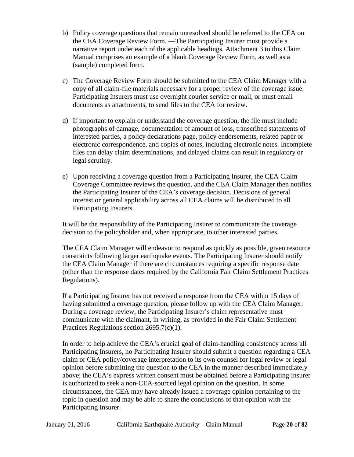- b) Policy coverage questions that remain unresolved should be referred to the CEA on the CEA Coverage Review Form. ––The Participating Insurer must provide a narrative report under each of the applicable headings. Attachment 3 to this Claim Manual comprises an example of a blank Coverage Review Form, as well as a (sample) completed form.
- c) The Coverage Review Form should be submitted to the CEA Claim Manager with a copy of all claim-file materials necessary for a proper review of the coverage issue. Participating Insurers must use overnight courier service or mail, or must email documents as attachments, to send files to the CEA for review.
- d) If important to explain or understand the coverage question, the file must include photographs of damage, documentation of amount of loss, transcribed statements of interested parties, a policy declarations page, policy endorsements, related paper or electronic correspondence, and copies of notes, including electronic notes. Incomplete files can delay claim determinations, and delayed claims can result in regulatory or legal scrutiny.
- e) Upon receiving a coverage question from a Participating Insurer, the CEA Claim Coverage Committee reviews the question, and the CEA Claim Manager then notifies the Participating Insurer of the CEA's coverage decision. Decisions of general interest or general applicability across all CEA claims will be distributed to all Participating Insurers.

It will be the responsibility of the Participating Insurer to communicate the coverage decision to the policyholder and, when appropriate, to other interested parties.

The CEA Claim Manager will endeavor to respond as quickly as possible, given resource constraints following larger earthquake events. The Participating Insurer should notify the CEA Claim Manager if there are circumstances requiring a specific response date (other than the response dates required by the California Fair Claim Settlement Practices Regulations).

If a Participating Insurer has not received a response from the CEA within 15 days of having submitted a coverage question, please follow up with the CEA Claim Manager. During a coverage review, the Participating Insurer's claim representative must communicate with the claimant, in writing, as provided in the Fair Claim Settlement Practices Regulations section 2695.7(c)(1).

In order to help achieve the CEA's crucial goal of claim-handling consistency across all Participating Insurers, no Participating Insurer should submit a question regarding a CEA claim or CEA policy/coverage interpretation to its own counsel for legal review or legal opinion before submitting the question to the CEA in the manner described immediately above; the CEA's express written consent must be obtained before a Participating Insurer is authorized to seek a non-CEA-sourced legal opinion on the question. In some circumstances, the CEA may have already issued a coverage opinion pertaining to the topic in question and may be able to share the conclusions of that opinion with the Participating Insurer.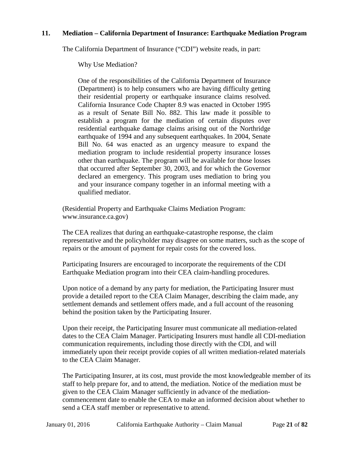#### <span id="page-20-0"></span>**11. Mediation – California Department of Insurance: Earthquake Mediation Program**

The California Department of Insurance ("CDI") website reads, in part:

Why Use Mediation?

One of the responsibilities of the California Department of Insurance (Department) is to help consumers who are having difficulty getting their residential property or earthquake insurance claims resolved. California Insurance Code Chapter 8.9 was enacted in October 1995 as a result of Senate Bill No. 882. This law made it possible to establish a program for the mediation of certain disputes over residential earthquake damage claims arising out of the Northridge earthquake of 1994 and any subsequent earthquakes. In 2004, Senate Bill No. 64 was enacted as an urgency measure to expand the mediation program to include residential property insurance losses other than earthquake. The program will be available for those losses that occurred after September 30, 2003, and for which the Governor declared an emergency. This program uses mediation to bring you and your insurance company together in an informal meeting with a qualified mediator.

(Residential Property and Earthquake Claims Mediation Program: www.insurance.ca.gov)

The CEA realizes that during an earthquake-catastrophe response, the claim representative and the policyholder may disagree on some matters, such as the scope of repairs or the amount of payment for repair costs for the covered loss.

Participating Insurers are encouraged to incorporate the requirements of the CDI Earthquake Mediation program into their CEA claim-handling procedures.

Upon notice of a demand by any party for mediation, the Participating Insurer must provide a detailed report to the CEA Claim Manager, describing the claim made, any settlement demands and settlement offers made, and a full account of the reasoning behind the position taken by the Participating Insurer.

Upon their receipt, the Participating Insurer must communicate all mediation-related dates to the CEA Claim Manager. Participating Insurers must handle all CDI-mediation communication requirements, including those directly with the CDI, and will immediately upon their receipt provide copies of all written mediation-related materials to the CEA Claim Manager.

The Participating Insurer, at its cost, must provide the most knowledgeable member of its staff to help prepare for, and to attend, the mediation. Notice of the mediation must be given to the CEA Claim Manager sufficiently in advance of the mediationcommencement date to enable the CEA to make an informed decision about whether to send a CEA staff member or representative to attend.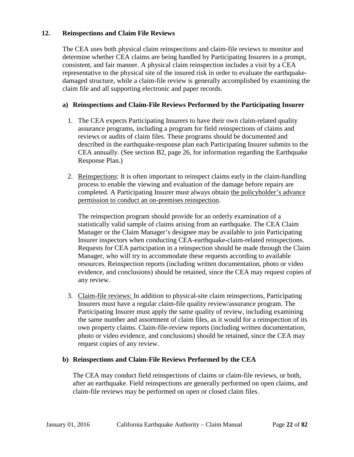#### <span id="page-21-0"></span>**12. Reinspections and Claim File Reviews**

The CEA uses both physical claim reinspections and claim-file reviews to monitor and determine whether CEA claims are being handled by Participating Insurers in a prompt, consistent, and fair manner. A physical claim reinspection includes a visit by a CEA representative to the physical site of the insured risk in order to evaluate the earthquakedamaged structure, while a claim-file review is generally accomplished by examining the claim file and all supporting electronic and paper records.

#### **a) Reinspections and Claim-File Reviews Performed by the Participating Insurer**

- 1. The CEA expects Participating Insurers to have their own claim-related quality assurance programs, including a program for field reinspections of claims and reviews or audits of claim files. These programs should be documented and described in the earthquake-response plan each Participating Insurer submits to the CEA annually. (See section B2, page 26, for information regarding the Earthquake Response Plan.)
- 2. Reinspections: It is often important to reinspect claims early in the claim-handling process to enable the viewing and evaluation of the damage before repairs are completed. A Participating Insurer must always obtain the policyholder's advance permission to conduct an on-premises reinspection.

The reinspection program should provide for an orderly examination of a statistically valid sample of claims arising from an earthquake. The CEA Claim Manager or the Claim Manager's designee may be available to join Participating Insurer inspectors when conducting CEA-earthquake-claim-related reinspections. Requests for CEA participation in a reinspection should be made through the Claim Manager, who will try to accommodate these requests according to available resources. Reinspection reports (including written documentation, photo or video evidence, and conclusions) should be retained, since the CEA may request copies of any review.

3. Claim-file reviews: In addition to physical-site claim reinspections, Participating Insurers must have a regular claim-file quality review/assurance program. The Participating Insurer must apply the same quality of review, including examining the same number and assortment of claim files, as it would for a reinspection of its own property claims. Claim-file-review reports (including written documentation, photo or video evidence, and conclusions) should be retained, since the CEA may request copies of any review.

# **b) Reinspections and Claim-File Reviews Performed by the CEA**

The CEA may conduct field reinspections of claims or claim-file reviews, or both, after an earthquake. Field reinspections are generally performed on open claims, and claim-file reviews may be performed on open or closed claim files.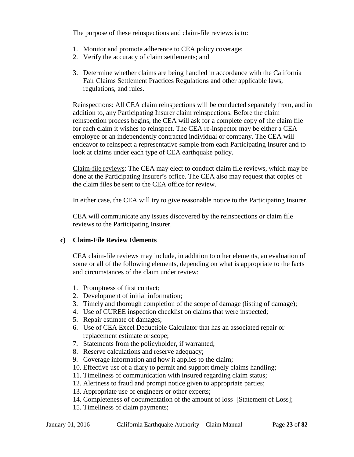The purpose of these reinspections and claim-file reviews is to:

- 1. Monitor and promote adherence to CEA policy coverage;
- 2. Verify the accuracy of claim settlements; and
- 3. Determine whether claims are being handled in accordance with the California Fair Claims Settlement Practices Regulations and other applicable laws, regulations, and rules.

Reinspections: All CEA claim reinspections will be conducted separately from, and in addition to, any Participating Insurer claim reinspections. Before the claim reinspection process begins, the CEA will ask for a complete copy of the claim file for each claim it wishes to reinspect. The CEA re-inspector may be either a CEA employee or an independently contracted individual or company. The CEA will endeavor to reinspect a representative sample from each Participating Insurer and to look at claims under each type of CEA earthquake policy.

Claim-file reviews: The CEA may elect to conduct claim file reviews, which may be done at the Participating Insurer's office. The CEA also may request that copies of the claim files be sent to the CEA office for review.

In either case, the CEA will try to give reasonable notice to the Participating Insurer.

CEA will communicate any issues discovered by the reinspections or claim file reviews to the Participating Insurer.

#### **c) Claim-File Review Elements**

CEA claim-file reviews may include, in addition to other elements, an evaluation of some or all of the following elements, depending on what is appropriate to the facts and circumstances of the claim under review:

- 1. Promptness of first contact;
- 2. Development of initial information;
- 3. Timely and thorough completion of the scope of damage (listing of damage);
- 4. Use of CUREE inspection checklist on claims that were inspected;
- 5. Repair estimate of damages;
- 6. Use of CEA Excel Deductible Calculator that has an associated repair or replacement estimate or scope;
- 7. Statements from the policyholder, if warranted;
- 8. Reserve calculations and reserve adequacy;
- 9. Coverage information and how it applies to the claim;
- 10. Effective use of a diary to permit and support timely claims handling;
- 11. Timeliness of communication with insured regarding claim status;
- 12. Alertness to fraud and prompt notice given to appropriate parties;
- 13. Appropriate use of engineers or other experts;
- 14. Completeness of documentation of the amount of loss [Statement of Loss];
- 15. Timeliness of claim payments;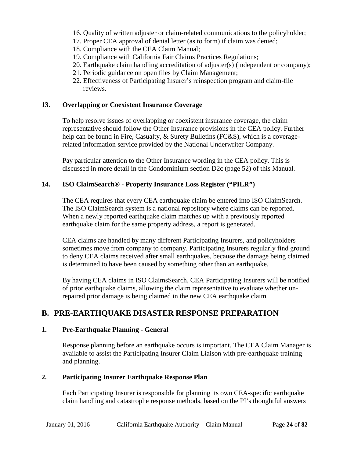- 16. Quality of written adjuster or claim-related communications to the policyholder;
- 17. Proper CEA approval of denial letter (as to form) if claim was denied;
- 18. Compliance with the CEA Claim Manual;
- 19. Compliance with California Fair Claims Practices Regulations;
- 20. Earthquake claim handling accreditation of adjuster(s) (independent or company);
- 21. Periodic guidance on open files by Claim Management;
- 22. Effectiveness of Participating Insurer's reinspection program and claim-file reviews.

#### <span id="page-23-0"></span>**13. Overlapping or Coexistent Insurance Coverage**

To help resolve issues of overlapping or coexistent insurance coverage, the claim representative should follow the Other Insurance provisions in the CEA policy. Further help can be found in Fire, Casualty, & Surety Bulletins (FC&S), which is a coveragerelated information service provided by the National Underwriter Company.

Pay particular attention to the Other Insurance wording in the CEA policy. This is discussed in more detail in the Condominium section D2c (page 52) of this Manual.

#### <span id="page-23-1"></span>**14. ISO ClaimSearch® - Property Insurance Loss Register ("PILR")**

The CEA requires that every CEA earthquake claim be entered into ISO ClaimSearch. The ISO ClaimSearch system is a national repository where claims can be reported. When a newly reported earthquake claim matches up with a previously reported earthquake claim for the same property address, a report is generated.

CEA claims are handled by many different Participating Insurers, and policyholders sometimes move from company to company. Participating Insurers regularly find ground to deny CEA claims received after small earthquakes, because the damage being claimed is determined to have been caused by something other than an earthquake.

By having CEA claims in ISO ClaimsSearch, CEA Participating Insurers will be notified of prior earthquake claims, allowing the claim representative to evaluate whether unrepaired prior damage is being claimed in the new CEA earthquake claim.

# <span id="page-23-2"></span>**B. PRE-EARTHQUAKE DISASTER RESPONSE PREPARATION**

#### <span id="page-23-3"></span>**1. Pre-Earthquake Planning - General**

Response planning before an earthquake occurs is important. The CEA Claim Manager is available to assist the Participating Insurer Claim Liaison with pre-earthquake training and planning.

#### <span id="page-23-4"></span>**2. Participating Insurer Earthquake Response Plan**

Each Participating Insurer is responsible for planning its own CEA-specific earthquake claim handling and catastrophe response methods, based on the PI's thoughtful answers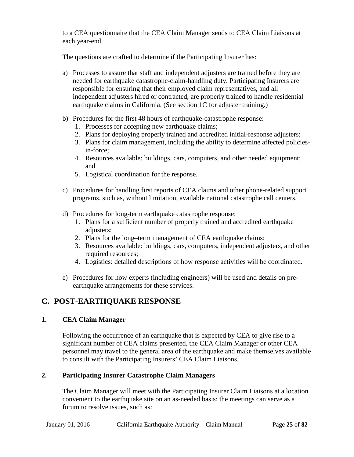to a CEA questionnaire that the CEA Claim Manager sends to CEA Claim Liaisons at each year-end.

The questions are crafted to determine if the Participating Insurer has:

- a) Processes to assure that staff and independent adjusters are trained before they are needed for earthquake catastrophe-claim-handling duty. Participating Insurers are responsible for ensuring that their employed claim representatives, and all independent adjusters hired or contracted, are properly trained to handle residential earthquake claims in California. (See section 1C for adjuster training.)
- b) Procedures for the first 48 hours of earthquake-catastrophe response:
	- 1. Processes for accepting new earthquake claims;
	- 2. Plans for deploying properly trained and accredited initial-response adjusters;
	- 3. Plans for claim management, including the ability to determine affected policiesin-force;
	- 4. Resources available: buildings, cars, computers, and other needed equipment; and
	- 5. Logistical coordination for the response.
- c) Procedures for handling first reports of CEA claims and other phone-related support programs, such as, without limitation, available national catastrophe call centers.
- d) Procedures for long-term earthquake catastrophe response:
	- 1. Plans for a sufficient number of properly trained and accredited earthquake adjusters;
	- 2. Plans for the long–term management of CEA earthquake claims;
	- 3. Resources available: buildings, cars, computers, independent adjusters, and other required resources;
	- 4. Logistics: detailed descriptions of how response activities will be coordinated.
- e) Procedures for how experts (including engineers) will be used and details on preearthquake arrangements for these services.

# <span id="page-24-0"></span>**C. POST-EARTHQUAKE RESPONSE**

#### <span id="page-24-1"></span>**1. CEA Claim Manager**

Following the occurrence of an earthquake that is expected by CEA to give rise to a significant number of CEA claims presented, the CEA Claim Manager or other CEA personnel may travel to the general area of the earthquake and make themselves available to consult with the Participating Insurers' CEA Claim Liaisons.

#### <span id="page-24-2"></span>**2. Participating Insurer Catastrophe Claim Managers**

The Claim Manager will meet with the Participating Insurer Claim Liaisons at a location convenient to the earthquake site on an as-needed basis; the meetings can serve as a forum to resolve issues, such as: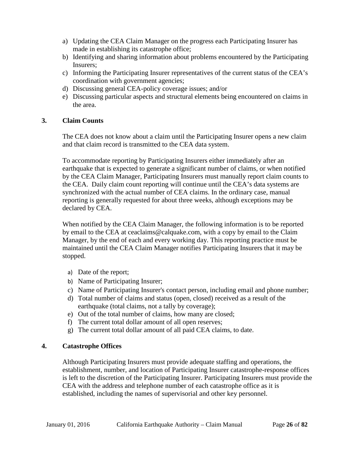- a) Updating the CEA Claim Manager on the progress each Participating Insurer has made in establishing its catastrophe office;
- b) Identifying and sharing information about problems encountered by the Participating Insurers;
- c) Informing the Participating Insurer representatives of the current status of the CEA's coordination with government agencies;
- d) Discussing general CEA-policy coverage issues; and/or
- e) Discussing particular aspects and structural elements being encountered on claims in the area.

#### <span id="page-25-0"></span>**3. Claim Counts**

The CEA does not know about a claim until the Participating Insurer opens a new claim and that claim record is transmitted to the CEA data system.

To accommodate reporting by Participating Insurers either immediately after an earthquake that is expected to generate a significant number of claims, or when notified by the CEA Claim Manager, Participating Insurers must manually report claim counts to the CEA. Daily claim count reporting will continue until the CEA's data systems are synchronized with the actual number of CEA claims. In the ordinary case, manual reporting is generally requested for about three weeks, although exceptions may be declared by CEA.

When notified by the CEA Claim Manager, the following information is to be reported by email to the CEA at ceaclaims@calquake.com, with a copy by email to the Claim Manager, by the end of each and every working day. This reporting practice must be maintained until the CEA Claim Manager notifies Participating Insurers that it may be stopped.

- a) Date of the report;
- b) Name of Participating Insurer;
- c) Name of Participating Insurer's contact person, including email and phone number;
- d) Total number of claims and status (open, closed) received as a result of the earthquake (total claims, not a tally by coverage);
- e) Out of the total number of claims, how many are closed;
- f) The current total dollar amount of all open reserves;
- g) The current total dollar amount of all paid CEA claims, to date.

#### <span id="page-25-1"></span>**4. Catastrophe Offices**

Although Participating Insurers must provide adequate staffing and operations, the establishment, number, and location of Participating Insurer catastrophe-response offices is left to the discretion of the Participating Insurer. Participating Insurers must provide the CEA with the address and telephone number of each catastrophe office as it is established, including the names of supervisorial and other key personnel.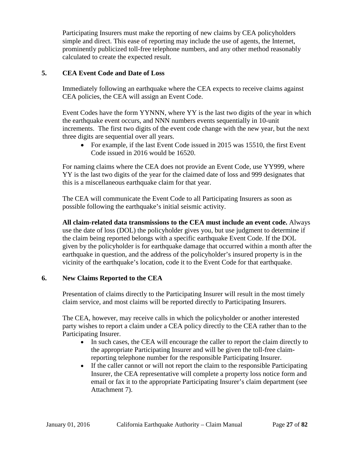Participating Insurers must make the reporting of new claims by CEA policyholders simple and direct. This ease of reporting may include the use of agents, the Internet, prominently publicized toll-free telephone numbers, and any other method reasonably calculated to create the expected result.

# <span id="page-26-0"></span>**5. CEA Event Code and Date of Loss**

Immediately following an earthquake where the CEA expects to receive claims against CEA policies, the CEA will assign an Event Code.

Event Codes have the form YYNNN, where YY is the last two digits of the year in which the earthquake event occurs, and NNN numbers events sequentially in 10-unit increments. The first two digits of the event code change with the new year, but the next three digits are sequential over all years.

• For example, if the last Event Code issued in 2015 was 15510, the first Event Code issued in 2016 would be 16520.

For naming claims where the CEA does not provide an Event Code, use YY999, where YY is the last two digits of the year for the claimed date of loss and 999 designates that this is a miscellaneous earthquake claim for that year.

The CEA will communicate the Event Code to all Participating Insurers as soon as possible following the earthquake's initial seismic activity.

**All claim-related data transmissions to the CEA must include an event code.** Always use the date of loss (DOL) the policyholder gives you, but use judgment to determine if the claim being reported belongs with a specific earthquake Event Code. If the DOL given by the policyholder is for earthquake damage that occurred within a month after the earthquake in question, and the address of the policyholder's insured property is in the vicinity of the earthquake's location, code it to the Event Code for that earthquake.

# <span id="page-26-1"></span>**6. New Claims Reported to the CEA**

Presentation of claims directly to the Participating Insurer will result in the most timely claim service, and most claims will be reported directly to Participating Insurers.

The CEA, however, may receive calls in which the policyholder or another interested party wishes to report a claim under a CEA policy directly to the CEA rather than to the Participating Insurer.

- In such cases, the CEA will encourage the caller to report the claim directly to the appropriate Participating Insurer and will be given the toll-free claimreporting telephone number for the responsible Participating Insurer.
- If the caller cannot or will not report the claim to the responsible Participating Insurer, the CEA representative will complete a property loss notice form and email or fax it to the appropriate Participating Insurer's claim department (see Attachment 7).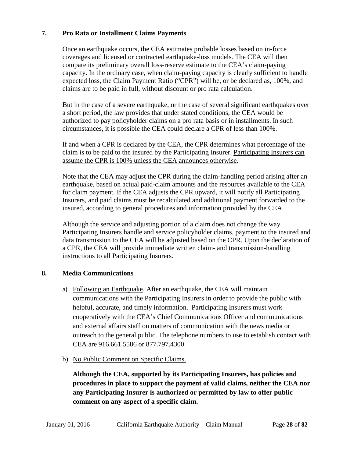# <span id="page-27-0"></span>**7. Pro Rata or Installment Claims Payments**

Once an earthquake occurs, the CEA estimates probable losses based on in-force coverages and licensed or contracted earthquake-loss models. The CEA will then compare its preliminary overall loss-reserve estimate to the CEA's claim-paying capacity. In the ordinary case, when claim-paying capacity is clearly sufficient to handle expected loss, the Claim Payment Ratio ("CPR") will be, or be declared as, 100%, and claims are to be paid in full, without discount or pro rata calculation.

But in the case of a severe earthquake, or the case of several significant earthquakes over a short period, the law provides that under stated conditions, the CEA would be authorized to pay policyholder claims on a pro rata basis or in installments. In such circumstances, it is possible the CEA could declare a CPR of less than 100%.

If and when a CPR is declared by the CEA, the CPR determines what percentage of the claim is to be paid to the insured by the Participating Insurer. Participating Insurers can assume the CPR is 100% unless the CEA announces otherwise.

Note that the CEA may adjust the CPR during the claim-handling period arising after an earthquake, based on actual paid-claim amounts and the resources available to the CEA for claim payment. If the CEA adjusts the CPR upward, it will notify all Participating Insurers, and paid claims must be recalculated and additional payment forwarded to the insured, according to general procedures and information provided by the CEA.

Although the service and adjusting portion of a claim does not change the way Participating Insurers handle and service policyholder claims, payment to the insured and data transmission to the CEA will be adjusted based on the CPR. Upon the declaration of a CPR, the CEA will provide immediate written claim- and transmission-handling instructions to all Participating Insurers.

# <span id="page-27-1"></span>**8. Media Communications**

- a) Following an Earthquake. After an earthquake, the CEA will maintain communications with the Participating Insurers in order to provide the public with helpful, accurate, and timely information. Participating Insurers must work cooperatively with the CEA's Chief Communications Officer and communications and external affairs staff on matters of communication with the news media or outreach to the general public. The telephone numbers to use to establish contact with CEA are 916.661.5586 or 877.797.4300.
- b) No Public Comment on Specific Claims.

**Although the CEA, supported by its Participating Insurers, has policies and procedures in place to support the payment of valid claims, neither the CEA nor any Participating Insurer is authorized or permitted by law to offer public comment on any aspect of a specific claim.**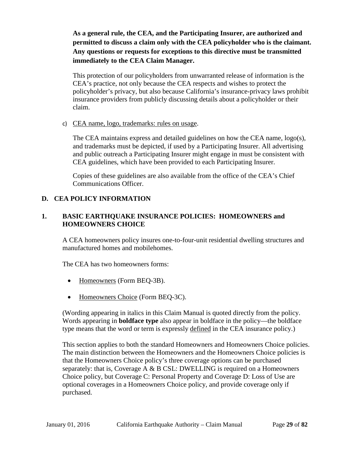**As a general rule, the CEA, and the Participating Insurer, are authorized and permitted to discuss a claim only with the CEA policyholder who is the claimant. Any questions or requests for exceptions to this directive must be transmitted immediately to the CEA Claim Manager.**

This protection of our policyholders from unwarranted release of information is the CEA's practice, not only because the CEA respects and wishes to protect the policyholder's privacy, but also because California's insurance-privacy laws prohibit insurance providers from publicly discussing details about a policyholder or their claim.

c) CEA name, logo, trademarks: rules on usage.

The CEA maintains express and detailed guidelines on how the CEA name,  $log(6)$ , and trademarks must be depicted, if used by a Participating Insurer. All advertising and public outreach a Participating Insurer might engage in must be consistent with CEA guidelines, which have been provided to each Participating Insurer.

Copies of these guidelines are also available from the office of the CEA's Chief Communications Officer.

# <span id="page-28-0"></span>**D. CEA POLICY INFORMATION**

# <span id="page-28-1"></span>**1. BASIC EARTHQUAKE INSURANCE POLICIES: HOMEOWNERS and HOMEOWNERS CHOICE**

A CEA homeowners policy insures one-to-four-unit residential dwelling structures and manufactured homes and mobilehomes.

The CEA has two homeowners forms:

- Homeowners (Form BEO-3B).
- Homeowners Choice (Form BEO-3C).

(Wording appearing in italics in this Claim Manual is quoted directly from the policy. Words appearing in **boldface type** also appear in boldface in the policy––the boldface type means that the word or term is expressly defined in the CEA insurance policy.)

This section applies to both the standard Homeowners and Homeowners Choice policies. The main distinction between the Homeowners and the Homeowners Choice policies is that the Homeowners Choice policy's three coverage options can be purchased separately: that is, Coverage A & B CSL: DWELLING is required on a Homeowners Choice policy, but Coverage C: Personal Property and Coverage D: Loss of Use are optional coverages in a Homeowners Choice policy, and provide coverage only if purchased.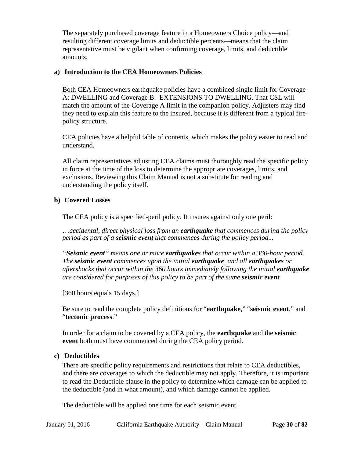The separately purchased coverage feature in a Homeowners Choice policy––and resulting different coverage limits and deductible percents––means that the claim representative must be vigilant when confirming coverage, limits, and deductible amounts.

#### **a) Introduction to the CEA Homeowners Policies**

Both CEA Homeowners earthquake policies have a combined single limit for Coverage A: DWELLING and Coverage B: EXTENSIONS TO DWELLING. That CSL will match the amount of the Coverage A limit in the companion policy. Adjusters may find they need to explain this feature to the insured, because it is different from a typical firepolicy structure.

CEA policies have a helpful table of contents, which makes the policy easier to read and understand.

All claim representatives adjusting CEA claims must thoroughly read the specific policy in force at the time of the loss to determine the appropriate coverages, limits, and exclusions. Reviewing this Claim Manual is not a substitute for reading and understanding the policy itself.

#### **b) Covered Losses**

The CEA policy is a specified-peril policy. It insures against only one peril:

…*accidental, direct physical loss from an earthquake that commences during the policy period as part of a seismic event that commences during the policy period...*

*"Seismic event" means one or more earthquakes that occur within a 360-hour period. The seismic event commences upon the initial earthquake, and all earthquakes or aftershocks that occur within the 360 hours immediately following the initial earthquake are considered for purposes of this policy to be part of the same seismic event.* 

[360 hours equals 15 days.]

Be sure to read the complete policy definitions for "**earthquake**," "**seismic event**," and "**tectonic process**."

In order for a claim to be covered by a CEA policy, the **earthquake** and the **seismic event** both must have commenced during the CEA policy period.

# **c) Deductibles**

There are specific policy requirements and restrictions that relate to CEA deductibles, and there are coverages to which the deductible may not apply. Therefore, it is important to read the Deductible clause in the policy to determine which damage can be applied to the deductible (and in what amount), and which damage cannot be applied.

The deductible will be applied one time for each seismic event.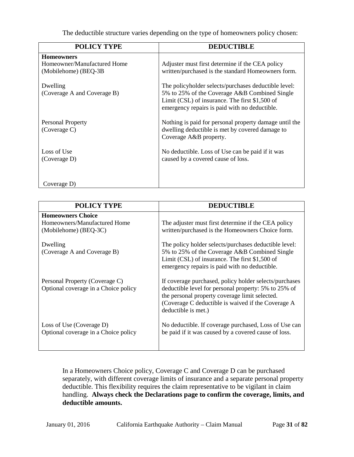The deductible structure varies depending on the type of homeowners policy chosen:

| <b>POLICY TYPE</b>                                                        | <b>DEDUCTIBLE</b>                                                                                                                                                                                        |
|---------------------------------------------------------------------------|----------------------------------------------------------------------------------------------------------------------------------------------------------------------------------------------------------|
| <b>Homeowners</b><br>Homeowner/Manufactured Home<br>(Mobilehome) (BEQ-3B) | Adjuster must first determine if the CEA policy<br>written/purchased is the standard Homeowners form.                                                                                                    |
| Dwelling<br>(Coverage A and Coverage B)                                   | The policyholder selects/purchases deductible level:<br>5% to 25% of the Coverage A&B Combined Single<br>Limit (CSL) of insurance. The first \$1,500 of<br>emergency repairs is paid with no deductible. |
| <b>Personal Property</b><br>(Coverage C)                                  | Nothing is paid for personal property damage until the<br>dwelling deductible is met by covered damage to<br>Coverage A&B property.                                                                      |
| Loss of Use<br>(Coverage D)                                               | No deductible. Loss of Use can be paid if it was<br>caused by a covered cause of loss.                                                                                                                   |
| Coverage D)                                                               |                                                                                                                                                                                                          |

| <b>POLICY TYPE</b>                                                                | <b>DEDUCTIBLE</b>                                                                                                                                                                                                                             |
|-----------------------------------------------------------------------------------|-----------------------------------------------------------------------------------------------------------------------------------------------------------------------------------------------------------------------------------------------|
| <b>Homeowners Choice</b><br>Homeowners/Manufactured Home<br>(Mobilehome) (BEQ-3C) | The adjuster must first determine if the CEA policy<br>written/purchased is the Homeowners Choice form.                                                                                                                                       |
| Dwelling<br>(Coverage A and Coverage B)                                           | The policy holder selects/purchases deductible level:<br>5% to 25% of the Coverage A&B Combined Single<br>Limit (CSL) of insurance. The first $$1,500$ of<br>emergency repairs is paid with no deductible.                                    |
| Personal Property (Coverage C)<br>Optional coverage in a Choice policy            | If coverage purchased, policy holder selects/purchases<br>deductible level for personal property: 5% to 25% of<br>the personal property coverage limit selected.<br>(Coverage C deductible is waived if the Coverage A<br>deductible is met.) |
| Loss of Use (Coverage D)<br>Optional coverage in a Choice policy                  | No deductible. If coverage purchased, Loss of Use can<br>be paid if it was caused by a covered cause of loss.                                                                                                                                 |

In a Homeowners Choice policy, Coverage C and Coverage D can be purchased separately, with different coverage limits of insurance and a separate personal property deductible. This flexibility requires the claim representative to be vigilant in claim handling. **Always check the Declarations page to confirm the coverage, limits, and deductible amounts.**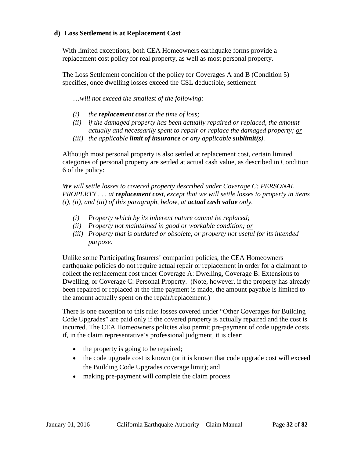#### **d) Loss Settlement is at Replacement Cost**

With limited exceptions, both CEA Homeowners earthquake forms provide a replacement cost policy for real property, as well as most personal property.

The Loss Settlement condition of the policy for Coverages A and B (Condition 5) specifies, once dwelling losses exceed the CSL deductible, settlement

…*will not exceed the smallest of the following:* 

- *(i) the replacement cost at the time of loss;*
- *(ii) if the damaged property has been actually repaired or replaced, the amount actually and necessarily spent to repair or replace the damaged property; or*
- *(iii) the applicable limit of insurance or any applicable sublimit(s).*

Although most personal property is also settled at replacement cost, certain limited categories of personal property are settled at actual cash value, as described in Condition 6 of the policy:

*We will settle losses to covered property described under Coverage C: PERSONAL PROPERTY . . . at replacement cost, except that we will settle losses to property in items (i), (ii), and (iii) of this paragraph, below, at actual cash value only.*

- *(i) Property which by its inherent nature cannot be replaced;*
- *(ii) Property not maintained in good or workable condition; or*
- *(iii) Property that is outdated or obsolete, or property not useful for its intended purpose.*

Unlike some Participating Insurers' companion policies, the CEA Homeowners earthquake policies do not require actual repair or replacement in order for a claimant to collect the replacement cost under Coverage A: Dwelling, Coverage B: Extensions to Dwelling, or Coverage C: Personal Property. (Note, however, if the property has already been repaired or replaced at the time payment is made, the amount payable is limited to the amount actually spent on the repair/replacement.)

There is one exception to this rule: losses covered under "Other Coverages for Building Code Upgrades" are paid only if the covered property is actually repaired and the cost is incurred. The CEA Homeowners policies also permit pre-payment of code upgrade costs if, in the claim representative's professional judgment, it is clear:

- the property is going to be repaired;
- the code upgrade cost is known (or it is known that code upgrade cost will exceed the Building Code Upgrades coverage limit); and
- making pre-payment will complete the claim process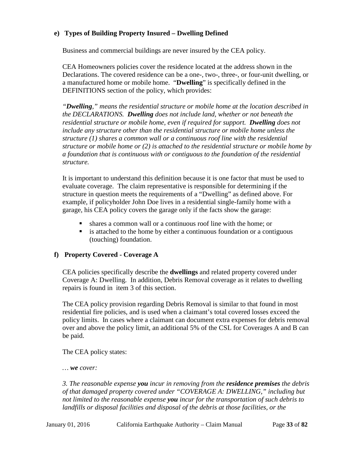# **e) Types of Building Property Insured – Dwelling Defined**

Business and commercial buildings are never insured by the CEA policy.

CEA Homeowners policies cover the residence located at the address shown in the Declarations. The covered residence can be a one-, two-, three-, or four-unit dwelling, or a manufactured home or mobile home. "**Dwelling**" is specifically defined in the DEFINITIONS section of the policy, which provides:

*"Dwelling," means the residential structure or mobile home at the location described in the DECLARATIONS. Dwelling does not include land, whether or not beneath the residential structure or mobile home, even if required for support. Dwelling does not include any structure other than the residential structure or mobile home unless the structure (1) shares a common wall or a continuous roof line with the residential structure or mobile home or (2) is attached to the residential structure or mobile home by a foundation that is continuous with or contiguous to the foundation of the residential structure.*

It is important to understand this definition because it is one factor that must be used to evaluate coverage. The claim representative is responsible for determining if the structure in question meets the requirements of a "Dwelling" as defined above. For example, if policyholder John Doe lives in a residential single-family home with a garage, his CEA policy covers the garage only if the facts show the garage:

- shares a common wall or a continuous roof line with the home; or
- is attached to the home by either a continuous foundation or a contiguous (touching) foundation.

# **f) Property Covered - Coverage A**

CEA policies specifically describe the **dwellings** and related property covered under Coverage A: Dwelling. In addition, Debris Removal coverage as it relates to dwelling repairs is found in item 3 of this section.

The CEA policy provision regarding Debris Removal is similar to that found in most residential fire policies, and is used when a claimant's total covered losses exceed the policy limits. In cases where a claimant can document extra expenses for debris removal over and above the policy limit, an additional 5% of the CSL for Coverages A and B can be paid.

The CEA policy states:

*… we cover:* 

*3. The reasonable expense you incur in removing from the residence premises the debris of that damaged property covered under "COVERAGE A: DWELLING," including but not limited to the reasonable expense you incur for the transportation of such debris to*  landfills or disposal facilities and disposal of the debris at those facilities, or the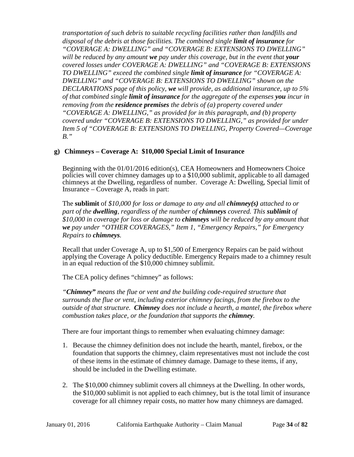*transportation of such debris to suitable recycling facilities rather than landfills and disposal of the debris at those facilities. The combined single limit of insurance for "COVERAGE A: DWELLING" and "COVERAGE B: EXTENSIONS TO DWELLING" will be reduced by any amount we pay under this coverage, but in the event that your covered losses under COVERAGE A: DWELLING" and "COVERAGE B: EXTENSIONS TO DWELLING" exceed the combined single limit of insurance for "COVERAGE A: DWELLING" and "COVERAGE B: EXTENSIONS TO DWELLING" shown on the DECLARATIONS page of this policy, we will provide, as additional insurance, up to 5% of that combined single limit of insurance for the aggregate of the expenses you incur in removing from the residence premises the debris of (a) property covered under "COVERAGE A: DWELLING," as provided for in this paragraph, and (b) property covered under "COVERAGE B: EXTENSIONS TO DWELLING," as provided for under Item 5 of "COVERAGE B: EXTENSIONS TO DWELLING, Property Covered—Coverage B."*

# **g) Chimneys – Coverage A: \$10,000 Special Limit of Insurance**

Beginning with the 01/01/2016 edition(s), CEA Homeowners and Homeowners Choice policies will cover chimney damages up to a \$10,000 sublimit, applicable to all damaged chimneys at the Dwelling, regardless of number. Coverage A: Dwelling, Special limit of Insurance – Coverage A, reads in part:

The **sublimit** of *\$10,000 for loss or damage to any and all chimney(s) attached to or part of the dwelling, regardless of the number of chimneys covered. This sublimit of \$10,000 in coverage for loss or damage to chimneys will be reduced by any amount that we pay under "OTHER COVERAGES," Item 1, "Emergency Repairs," for Emergency Repairs to chimneys.*

Recall that under Coverage A, up to \$1,500 of Emergency Repairs can be paid without applying the Coverage A policy deductible. Emergency Repairs made to a chimney result in an equal reduction of the \$10,000 chimney sublimit.

The CEA policy defines "chimney" as follows:

*"Chimney" means the flue or vent and the building code-required structure that surrounds the flue or vent, including exterior chimney facings, from the firebox to the outside of that structure. Chimney does not include a hearth, a mantel, the firebox where combustion takes place, or the foundation that supports the chimney.*

There are four important things to remember when evaluating chimney damage:

- 1. Because the chimney definition does not include the hearth, mantel, firebox, or the foundation that supports the chimney, claim representatives must not include the cost of these items in the estimate of chimney damage. Damage to these items, if any, should be included in the Dwelling estimate.
- 2. The \$10,000 chimney sublimit covers all chimneys at the Dwelling. In other words, the \$10,000 sublimit is not applied to each chimney, but is the total limit of insurance coverage for all chimney repair costs, no matter how many chimneys are damaged.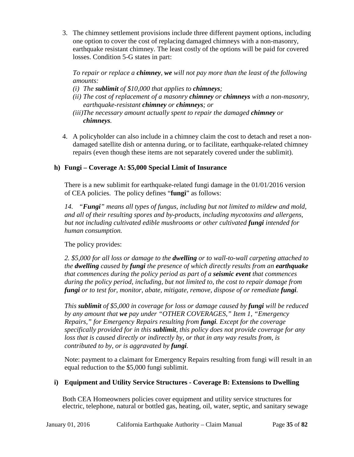3. The chimney settlement provisions include three different payment options, including one option to cover the cost of replacing damaged chimneys with a non-masonry, earthquake resistant chimney. The least costly of the options will be paid for covered losses. Condition 5-G states in part:

*To repair or replace a chimney, we will not pay more than the least of the following amounts:*

- *(i) The sublimit of \$10,000 that applies to chimneys;*
- *(ii) The cost of replacement of a masonry chimney or chimneys with a non-masonry, earthquake-resistant chimney or chimneys; or*
- *(iii)The necessary amount actually spent to repair the damaged chimney or chimneys.*
- 4. A policyholder can also include in a chimney claim the cost to detach and reset a nondamaged satellite dish or antenna during, or to facilitate, earthquake-related chimney repairs (even though these items are not separately covered under the sublimit).

# **h) Fungi – Coverage A: \$5,000 Special Limit of Insurance**

There is a new sublimit for earthquake-related fungi damage in the 01/01/2016 version of CEA policies. The policy defines "**fungi**" as follows:

*14. "Fungi" means all types of fungus, including but not limited to mildew and mold, and all of their resulting spores and by-products, including mycotoxins and allergens, but not including cultivated edible mushrooms or other cultivated fungi intended for human consumption.*

The policy provides:

*2. \$5,000 for all loss or damage to the dwelling or to wall-to-wall carpeting attached to the dwelling caused by fungi the presence of which directly results from an earthquake that commences during the policy period as part of a seismic event that commences during the policy period, including, but not limited to, the cost to repair damage from fungi or to test for, monitor, abate, mitigate, remove, dispose of or remediate fungi.* 

*This sublimit of \$5,000 in coverage for loss or damage caused by fungi will be reduced by any amount that we pay under "OTHER COVERAGES," Item 1, "Emergency Repairs," for Emergency Repairs resulting from fungi. Except for the coverage specifically provided for in this sublimit, this policy does not provide coverage for any loss that is caused directly or indirectly by, or that in any way results from, is contributed to by, or is aggravated by fungi.*

Note: payment to a claimant for Emergency Repairs resulting from fungi will result in an equal reduction to the \$5,000 fungi sublimit.

# **i) Equipment and Utility Service Structures - Coverage B: Extensions to Dwelling**

Both CEA Homeowners policies cover equipment and utility service structures for electric, telephone, natural or bottled gas, heating, oil, water, septic, and sanitary sewage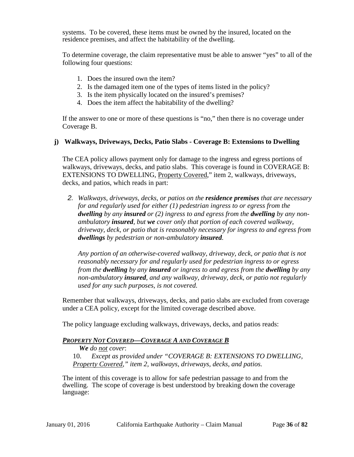systems. To be covered, these items must be owned by the insured, located on the residence premises, and affect the habitability of the dwelling.

To determine coverage, the claim representative must be able to answer "yes" to all of the following four questions:

- 1. Does the insured own the item?
- 2. Is the damaged item one of the types of items listed in the policy?
- 3. Is the item physically located on the insured's premises?
- 4. Does the item affect the habitability of the dwelling?

If the answer to one or more of these questions is "no," then there is no coverage under Coverage B.

#### **j) Walkways, Driveways, Decks, Patio Slabs - Coverage B: Extensions to Dwelling**

The CEA policy allows payment only for damage to the ingress and egress portions of walkways, driveways, decks, and patio slabs. This coverage is found in COVERAGE B: EXTENSIONS TO DWELLING, Property Covered," item 2, walkways, driveways, decks, and patios, which reads in part:

*2. Walkways, driveways, decks, or patios on the residence premises that are necessary for and regularly used for either (1) pedestrian ingress to or egress from the dwelling by any insured or (2) ingress to and egress from the dwelling by any nonambulatory insured, but we cover only that portion of each covered walkway, driveway, deck, or patio that is reasonably necessary for ingress to and egress from dwellings by pedestrian or non-ambulatory insured.*

*Any portion of an otherwise-covered walkway, driveway, deck, or patio that is not reasonably necessary for and regularly used for pedestrian ingress to or egress from the dwelling by any insured or ingress to and egress from the dwelling by any non-ambulatory insured, and any walkway, driveway, deck, or patio not regularly used for any such purposes, is not covered.*

Remember that walkways, driveways, decks, and patio slabs are excluded from coverage under a CEA policy, except for the limited coverage described above.

The policy language excluding walkways, driveways, decks, and patios reads:

#### *PROPERTY NOT COVERED—COVERAGE A AND COVERAGE B*

*We do not cover*:

10. *Except as provided under "COVERAGE B: EXTENSIONS TO DWELLING, Property Covered," item 2, walkways, driveways, decks, and patios.* 

The intent of this coverage is to allow for safe pedestrian passage to and from the dwelling. The scope of coverage is best understood by breaking down the coverage language: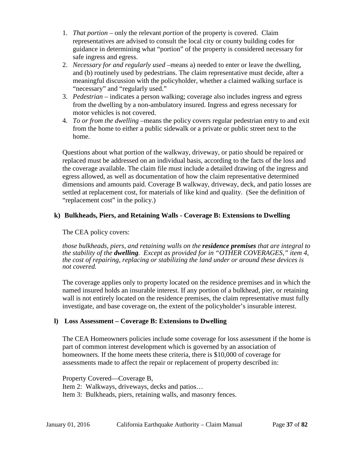- 1. *That portion* only the relevant *portion* of the property is covered. Claim representatives are advised to consult the local city or county building codes for guidance in determining what "portion" of the property is considered necessary for safe ingress and egress.
- 2. *Necessary for and regularly used* –means a) needed to enter or leave the dwelling, and (b) routinely used by pedestrians. The claim representative must decide, after a meaningful discussion with the policyholder, whether a claimed walking surface is "necessary" and "regularly used."
- 3. *Pedestrian* indicates a person walking; coverage also includes ingress and egress from the dwelling by a non-ambulatory insured. Ingress and egress necessary for motor vehicles is not covered.
- 4. *To or from the dwelling* –means the policy covers regular pedestrian entry to and exit from the home to either a public sidewalk or a private or public street next to the home.

Questions about what portion of the walkway, driveway, or patio should be repaired or replaced must be addressed on an individual basis, according to the facts of the loss and the coverage available. The claim file must include a detailed drawing of the ingress and egress allowed, as well as documentation of how the claim representative determined dimensions and amounts paid. Coverage B walkway, driveway, deck, and patio losses are settled at replacement cost, for materials of like kind and quality. (See the definition of "replacement cost" in the policy.)

# **k) Bulkheads, Piers, and Retaining Walls - Coverage B: Extensions to Dwelling**

### The CEA policy covers:

*those bulkheads, piers, and retaining walls on the residence premises that are integral to the stability of the dwelling. Except as provided for in "OTHER COVERAGES," item 4, the cost of repairing, replacing or stabilizing the land under or around these devices is not covered.*

The coverage applies only to property located on the residence premises and in which the named insured holds an insurable interest. If any portion of a bulkhead, pier, or retaining wall is not entirely located on the residence premises, the claim representative must fully investigate, and base coverage on, the extent of the policyholder's insurable interest.

# **l) Loss Assessment – Coverage B: Extensions to Dwelling**

The CEA Homeowners policies include some coverage for loss assessment if the home is part of common interest development which is governed by an association of homeowners. If the home meets these criteria, there is \$10,000 of coverage for assessments made to affect the repair or replacement of property described in:

Property Covered—Coverage B,

Item 2: Walkways, driveways, decks and patios…

Item 3: Bulkheads, piers, retaining walls, and masonry fences.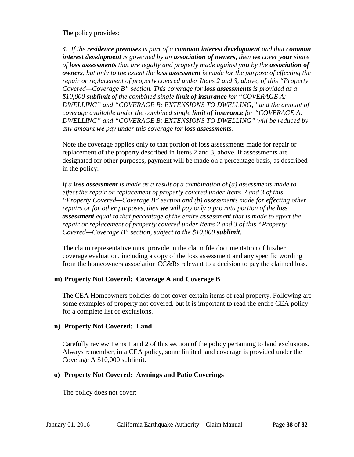The policy provides:

*4. If the residence premises is part of a common interest development and that common interest development is governed by an association of owners, then we cover your share of loss assessments that are legally and properly made against you by the association of owners, but only to the extent the loss assessment is made for the purpose of effecting the repair or replacement of property covered under Items 2 and 3, above, of this "Property Covered—Coverage B" section. This coverage for loss assessments is provided as a \$10,000 sublimit of the combined single limit of insurance for "COVERAGE A: DWELLING" and "COVERAGE B: EXTENSIONS TO DWELLING," and the amount of coverage available under the combined single limit of insurance for "COVERAGE A: DWELLING" and "COVERAGE B: EXTENSIONS TO DWELLING" will be reduced by any amount we pay under this coverage for loss assessments.* 

Note the coverage applies only to that portion of loss assessments made for repair or replacement of the property described in Items 2 and 3, above. If assessments are designated for other purposes, payment will be made on a percentage basis, as described in the policy:

*If a loss assessment is made as a result of a combination of (a) assessments made to effect the repair or replacement of property covered under Items 2 and 3 of this "Property Covered—Coverage B" section and (b) assessments made for effecting other repairs or for other purposes, then we will pay only a pro rata portion of the loss assessment equal to that percentage of the entire assessment that is made to effect the repair or replacement of property covered under Items 2 and 3 of this "Property Covered—Coverage B" section, subject to the \$10,000 sublimit.*

The claim representative must provide in the claim file documentation of his/her coverage evaluation, including a copy of the loss assessment and any specific wording from the homeowners association CC&Rs relevant to a decision to pay the claimed loss.

### **m) Property Not Covered: Coverage A and Coverage B**

The CEA Homeowners policies do not cover certain items of real property. Following are some examples of property not covered, but it is important to read the entire CEA policy for a complete list of exclusions.

### **n) Property Not Covered: Land**

Carefully review Items 1 and 2 of this section of the policy pertaining to land exclusions. Always remember, in a CEA policy, some limited land coverage is provided under the Coverage A \$10,000 sublimit.

### **o) Property Not Covered: Awnings and Patio Coverings**

The policy does not cover: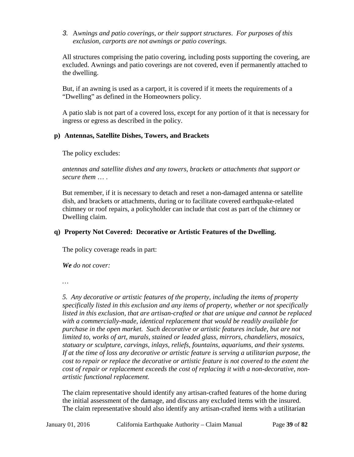*3.* A*wnings and patio coverings, or their support structures*. *For purposes of this exclusion, carports are not awnings or patio coverings.*

All structures comprising the patio covering, including posts supporting the covering, are excluded. Awnings and patio coverings are not covered, even if permanently attached to the dwelling.

But, if an awning is used as a carport, it is covered if it meets the requirements of a "Dwelling" as defined in the Homeowners policy.

A patio slab is not part of a covered loss, except for any portion of it that is necessary for ingress or egress as described in the policy.

# **p) Antennas, Satellite Dishes, Towers, and Brackets**

The policy excludes:

*antennas and satellite dishes and any towers, brackets or attachments that support or secure them* … .

But remember, if it is necessary to detach and reset a non-damaged antenna or satellite dish, and brackets or attachments, during or to facilitate covered earthquake-related chimney or roof repairs, a policyholder can include that cost as part of the chimney or Dwelling claim.

# **q) Property Not Covered: Decorative or Artistic Features of the Dwelling.**

The policy coverage reads in part:

*We do not cover:*

*…*

*5. Any decorative or artistic features of the property, including the items of property specifically listed in this exclusion and any items of property, whether or not specifically listed in this exclusion, that are artisan-crafted or that are unique and cannot be replaced with a commercially-made, identical replacement that would be readily available for purchase in the open market. Such decorative or artistic features include, but are not limited to, works of art, murals, stained or leaded glass, mirrors, chandeliers, mosaics, statuary or sculpture, carvings, inlays, reliefs, fountains, aquariums, and their systems. If at the time of loss any decorative or artistic feature is serving a utilitarian purpose, the cost to repair or replace the decorative or artistic feature is not covered to the extent the cost of repair or replacement exceeds the cost of replacing it with a non-decorative, nonartistic functional replacement.*

The claim representative should identify any artisan-crafted features of the home during the initial assessment of the damage, and discuss any excluded items with the insured. The claim representative should also identify any artisan-crafted items with a utilitarian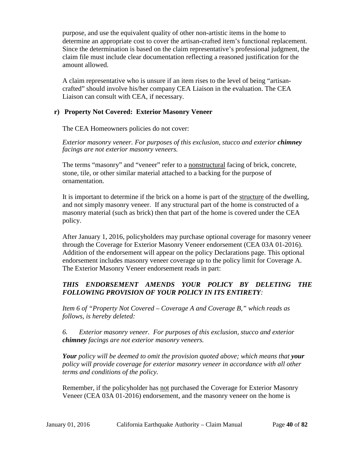purpose, and use the equivalent quality of other non-artistic items in the home to determine an appropriate cost to cover the artisan-crafted item's functional replacement. Since the determination is based on the claim representative's professional judgment, the claim file must include clear documentation reflecting a reasoned justification for the amount allowed.

A claim representative who is unsure if an item rises to the level of being "artisancrafted" should involve his/her company CEA Liaison in the evaluation. The CEA Liaison can consult with CEA, if necessary.

### **r) Property Not Covered: Exterior Masonry Veneer**

The CEA Homeowners policies do not cover:

*Exterior masonry veneer. For purposes of this exclusion, stucco and exterior chimney facings are not exterior masonry veneers.*

The terms "masonry" and "veneer" refer to a nonstructural facing of brick, concrete, stone, tile, or other similar material attached to a backing for the purpose of ornamentation.

It is important to determine if the brick on a home is part of the structure of the dwelling, and not simply masonry veneer. If any structural part of the home is constructed of a masonry material (such as brick) then that part of the home is covered under the CEA policy.

After January 1, 2016, policyholders may purchase optional coverage for masonry veneer through the Coverage for Exterior Masonry Veneer endorsement (CEA 03A 01-2016). Addition of the endorsement will appear on the policy Declarations page. This optional endorsement includes masonry veneer coverage up to the policy limit for Coverage A. The Exterior Masonry Veneer endorsement reads in part:

# *THIS ENDORSEMENT AMENDS YOUR POLICY BY DELETING THE FOLLOWING PROVISION OF YOUR POLICY IN ITS ENTIRETY:*

*Item 6 of "Property Not Covered – Coverage A and Coverage B," which reads as follows, is hereby deleted:*

*6. Exterior masonry veneer. For purposes of this exclusion, stucco and exterior chimney facings are not exterior masonry veneers.*

*Your policy will be deemed to omit the provision quoted above; which means that your policy will provide coverage for exterior masonry veneer in accordance with all other terms and conditions of the policy.* 

Remember, if the policyholder has not purchased the Coverage for Exterior Masonry Veneer (CEA 03A 01-2016) endorsement, and the masonry veneer on the home is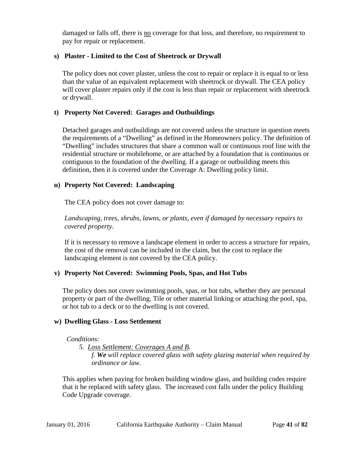damaged or falls off, there is no coverage for that loss, and therefore, no requirement to pay for repair or replacement.

### **s) Plaster - Limited to the Cost of Sheetrock or Drywall**

The policy does not cover plaster, unless the cost to repair or replace it is equal to or less than the value of an equivalent replacement with sheetrock or drywall. The CEA policy will cover plaster repairs only if the cost is less than repair or replacement with sheetrock or drywall.

### **t) Property Not Covered: Garages and Outbuildings**

Detached garages and outbuildings are not covered unless the structure in question meets the requirements of a "Dwelling" as defined in the Homeowners policy. The definition of "Dwelling" includes structures that share a common wall or continuous roof line with the residential structure or mobilehome, or are attached by a foundation that is continuous or contiguous to the foundation of the dwelling. If a garage or outbuilding meets this definition, then it is covered under the Coverage A: Dwelling policy limit.

### **u) Property Not Covered: Landscaping**

The CEA policy does not cover damage to:

*Landscaping, trees, shrubs, lawns, or plants, even if damaged by necessary repairs to covered property*.

If it is necessary to remove a landscape element in order to access a structure for repairs, the cost of the removal can be included in the claim, but the cost to replace the landscaping element is not covered by the CEA policy.

### **v) Property Not Covered: Swimming Pools, Spas, and Hot Tubs**

The policy does not cover swimming pools, spas, or hot tubs, whether they are personal property or part of the dwelling. Tile or other material linking or attaching the pool, spa, or hot tub to a deck or to the dwelling is not covered.

### **w) Dwelling Glass - Loss Settlement**

### *Conditions:*

*5. Loss Settlement: Coverages A and B.*

*f. We will replace covered glass with safety glazing material when required by ordinance or law.*

This applies when paying for broken building window glass, and building codes require that it be replaced with safety glass. The increased cost falls under the policy Building Code Upgrade coverage.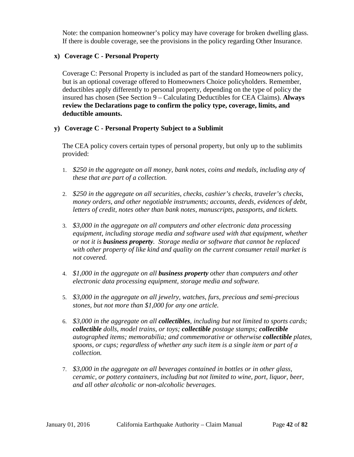Note: the companion homeowner's policy may have coverage for broken dwelling glass. If there is double coverage, see the provisions in the policy regarding Other Insurance.

# **x) Coverage C - Personal Property**

Coverage C: Personal Property is included as part of the standard Homeowners policy, but is an optional coverage offered to Homeowners Choice policyholders. Remember, deductibles apply differently to personal property, depending on the type of policy the insured has chosen (See Section 9 – Calculating Deductibles for CEA Claims). **Always review the Declarations page to confirm the policy type, coverage, limits, and deductible amounts.**

### **y) Coverage C - Personal Property Subject to a Sublimit**

The CEA policy covers certain types of personal property, but only up to the sublimits provided:

- 1. *\$250 in the aggregate on all money, bank notes, coins and medals, including any of these that are part of a collection.*
- 2. *\$250 in the aggregate on all securities, checks, cashier's checks, traveler's checks, money orders, and other negotiable instruments; accounts, deeds, evidences of debt, letters of credit, notes other than bank notes, manuscripts, passports, and tickets.*
- 3. *\$3,000 in the aggregate on all computers and other electronic data processing equipment, including storage media and software used with that equipment, whether or not it is business property. Storage media or software that cannot be replaced with other property of like kind and quality on the current consumer retail market is not covered.*
- 4. *\$1,000 in the aggregate on all business property other than computers and other electronic data processing equipment, storage media and software.*
- 5. *\$3,000 in the aggregate on all jewelry, watches, furs, precious and semi-precious stones, but not more than \$1,000 for any one article.*
- 6. *\$3,000 in the aggregate on all collectibles, including but not limited to sports cards; collectible dolls, model trains, or toys; collectible postage stamps; collectible autographed items; memorabilia; and commemorative or otherwise collectible plates, spoons, or cups; regardless of whether any such item is a single item or part of a collection.*
- 7. *\$3,000 in the aggregate on all beverages contained in bottles or in other glass, ceramic, or pottery containers, including but not limited to wine, port, liquor, beer, and all other alcoholic or non-alcoholic beverages.*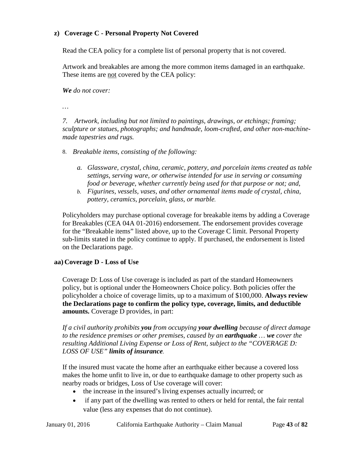# **z) Coverage C - Personal Property Not Covered**

Read the CEA policy for a complete list of personal property that is not covered.

Artwork and breakables are among the more common items damaged in an earthquake. These items are not covered by the CEA policy:

*We do not cover:*

*…*

*7. Artwork, including but not limited to paintings, drawings, or etchings; framing; sculpture or statues, photographs; and handmade, loom-crafted, and other non-machinemade tapestries and rugs.*

8. *Breakable items, consisting of the following:*

- *a. Glassware, crystal, china, ceramic, pottery, and porcelain items created as table settings, serving ware, or otherwise intended for use in serving or consuming food or beverage, whether currently being used for that purpose or not; and,*
- *b. Figurines, vessels, vases, and other ornamental items made of crystal, china, pottery, ceramics, porcelain, glass, or marble.*

Policyholders may purchase optional coverage for breakable items by adding a Coverage for Breakables (CEA 04A 01-2016) endorsement. The endorsement provides coverage for the "Breakable items" listed above, up to the Coverage C limit. Personal Property sub-limits stated in the policy continue to apply. If purchased, the endorsement is listed on the Declarations page.

### **aa) Coverage D - Loss of Use**

Coverage D: Loss of Use coverage is included as part of the standard Homeowners policy, but is optional under the Homeowners Choice policy. Both policies offer the policyholder a choice of coverage limits, up to a maximum of \$100,000. **Always review the Declarations page to confirm the policy type, coverage, limits, and deductible amounts.** Coverage D provides, in part:

*If a civil authority prohibits you from occupying your dwelling because of direct damage to the residence premises or other premises, caused by an earthquake … we cover the resulting Additional Living Expense or Loss of Rent, subject to the "COVERAGE D: LOSS OF USE" limits of insurance.* 

If the insured must vacate the home after an earthquake either because a covered loss makes the home unfit to live in, or due to earthquake damage to other property such as nearby roads or bridges, Loss of Use coverage will cover:

- the increase in the insured's living expenses actually incurred; or
- if any part of the dwelling was rented to others or held for rental, the fair rental value (less any expenses that do not continue).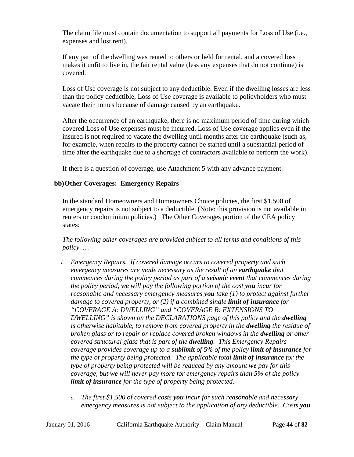The claim file must contain documentation to support all payments for Loss of Use (i.e., expenses and lost rent).

If any part of the dwelling was rented to others or held for rental, and a covered loss makes it unfit to live in, the fair rental value (less any expenses that do not continue) is covered.

Loss of Use coverage is not subject to any deductible. Even if the dwelling losses are less than the policy deductible, Loss of Use coverage is available to policyholders who must vacate their homes because of damage caused by an earthquake.

After the occurrence of an earthquake, there is no maximum period of time during which covered Loss of Use expenses must be incurred. Loss of Use coverage applies even if the insured is not required to vacate the dwelling until months after the earthquake (such as, for example, when repairs to the property cannot be started until a substantial period of time after the earthquake due to a shortage of contractors available to perform the work).

If there is a question of coverage, use Attachment 5 with any advance payment.

# **bb)Other Coverages: Emergency Repairs**

In the standard Homeowners and Homeowners Choice policies, the first \$1,500 of emergency repairs is not subject to a deductible. (Note: this provision is not available in renters or condominium policies.) The Other Coverages portion of the CEA policy states:

*The following other coverages are provided subject to all terms and conditions of this policy. …*

- *1. Emergency Repairs. If covered damage occurs to covered property and such emergency measures are made necessary as the result of an earthquake that commences during the policy period as part of a seismic event that commences during the policy period, we will pay the following portion of the cost you incur for reasonable and necessary emergency measures you take (1) to protect against further damage to covered property, or (2) if a combined single limit of insurance for "COVERAGE A: DWELLING" and "COVERAGE B: EXTENSIONS TO DWELLING" is shown on the DECLARATIONS page of this policy and the dwelling is otherwise habitable, to remove from covered property in the dwelling the residue of broken glass or to repair or replace covered broken windows in the <i>dwelling* or other *covered structural glass that is part of the dwelling. This Emergency Repairs coverage provides coverage up to a sublimit of 5% of the policy limit of insurance for the type of property being protected. The applicable total limit of insurance for the type of property being protected will be reduced by any amount we pay for this coverage, but we will never pay more for emergency repairs than 5% of the policy limit of insurance for the type of property being protected.*
	- *a. The first \$1,500 of covered costs you incur for such reasonable and necessary emergency measures is not subject to the application of any deductible. Costs you*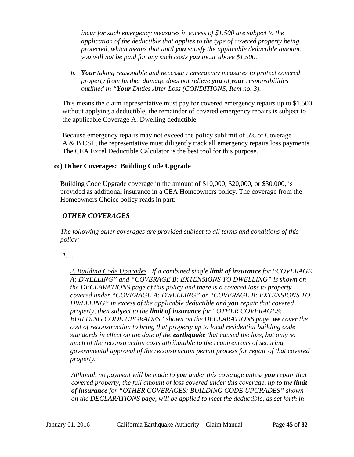*incur for such emergency measures in excess of \$1,500 are subject to the application of the deductible that applies to the type of covered property being protected, which means that until you satisfy the applicable deductible amount, you will not be paid for any such costs you incur above \$1,500.*

*b. Your taking reasonable and necessary emergency measures to protect covered property from further damage does not relieve you of your responsibilities outlined in "Your Duties After Loss (CONDITIONS, Item no. 3).*

This means the claim representative must pay for covered emergency repairs up to \$1,500 without applying a deductible; the remainder of covered emergency repairs is subject to the applicable Coverage A: Dwelling deductible.

Because emergency repairs may not exceed the policy sublimit of 5% of Coverage A & B CSL, the representative must diligently track all emergency repairs loss payments. The CEA Excel Deductible Calculator is the best tool for this purpose.

# **cc) Other Coverages: Building Code Upgrade**

Building Code Upgrade coverage in the amount of \$10,000, \$20,000, or \$30,000, is provided as additional insurance in a CEA Homeowners policy. The coverage from the Homeowners Choice policy reads in part:

# *OTHER COVERAGES*

*The following other coverages are provided subject to all terms and conditions of this policy:*

*1….*

*2. Building Code Upgrades. If a combined single limit of insurance for "COVERAGE A: DWELLING" and "COVERAGE B: EXTENSIONS TO DWELLING" is shown on the DECLARATIONS page of this policy and there is a covered loss to property covered under "COVERAGE A: DWELLING" or "COVERAGE B: EXTENSIONS TO DWELLING" in excess of the applicable deductible and you repair that covered property, then subject to the limit of insurance for "OTHER COVERAGES: BUILDING CODE UPGRADES" shown on the DECLARATIONS page, we cover the cost of reconstruction to bring that property up to local residential building code standards in effect on the date of the earthquake that caused the loss, but only so much of the reconstruction costs attributable to the requirements of securing governmental approval of the reconstruction permit process for repair of that covered property.* 

*Although no payment will be made to you under this coverage unless you repair that covered property, the full amount of loss covered under this coverage, up to the limit of insurance for "OTHER COVERAGES: BUILDING CODE UPGRADES" shown on the DECLARATIONS page, will be applied to meet the deductible, as set forth in*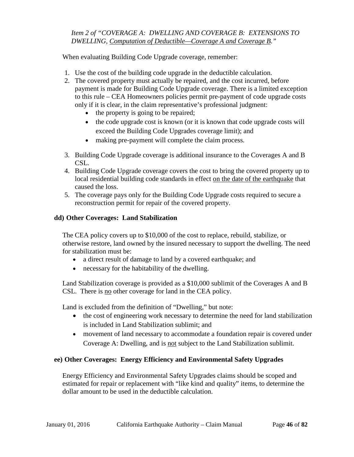When evaluating Building Code Upgrade coverage, remember:

- 1. Use the cost of the building code upgrade in the deductible calculation.
- 2. The covered property must actually be repaired, and the cost incurred, before payment is made for Building Code Upgrade coverage. There is a limited exception to this rule – CEA Homeowners policies permit pre-payment of code upgrade costs only if it is clear, in the claim representative's professional judgment:
	- the property is going to be repaired;
	- the code upgrade cost is known (or it is known that code upgrade costs will exceed the Building Code Upgrades coverage limit); and
	- making pre-payment will complete the claim process.
- 3. Building Code Upgrade coverage is additional insurance to the Coverages A and B CSL.
- 4. Building Code Upgrade coverage covers the cost to bring the covered property up to local residential building code standards in effect on the date of the earthquake that caused the loss.
- 5. The coverage pays only for the Building Code Upgrade costs required to secure a reconstruction permit for repair of the covered property.

# **dd) Other Coverages: Land Stabilization**

The CEA policy covers up to \$10,000 of the cost to replace, rebuild, stabilize, or otherwise restore, land owned by the insured necessary to support the dwelling. The need for stabilization must be:

- a direct result of damage to land by a covered earthquake; and
- necessary for the habitability of the dwelling.

Land Stabilization coverage is provided as a \$10,000 sublimit of the Coverages A and B CSL. There is no other coverage for land in the CEA policy.

Land is excluded from the definition of "Dwelling," but note:

- the cost of engineering work necessary to determine the need for land stabilization is included in Land Stabilization sublimit; and
- movement of land necessary to accommodate a foundation repair is covered under Coverage A: Dwelling, and is not subject to the Land Stabilization sublimit.

# **ee) Other Coverages: Energy Efficiency and Environmental Safety Upgrades**

Energy Efficiency and Environmental Safety Upgrades claims should be scoped and estimated for repair or replacement with "like kind and quality" items, to determine the dollar amount to be used in the deductible calculation.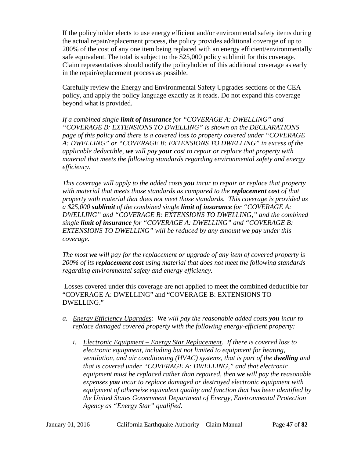If the policyholder elects to use energy efficient and/or environmental safety items during the actual repair/replacement process, the policy provides additional coverage of up to 200% of the cost of any one item being replaced with an energy efficient/environmentally safe equivalent. The total is subject to the \$25,000 policy sublimit for this coverage. Claim representatives should notify the policyholder of this additional coverage as early in the repair/replacement process as possible.

Carefully review the Energy and Environmental Safety Upgrades sections of the CEA policy, and apply the policy language exactly as it reads. Do not expand this coverage beyond what is provided.

*If a combined single limit of insurance for "COVERAGE A: DWELLING" and "COVERAGE B: EXTENSIONS TO DWELLING" is shown on the DECLARATIONS page of this policy and there is a covered loss to property covered under "COVERAGE A: DWELLING" or "COVERAGE B: EXTENSIONS TO DWELLING" in excess of the applicable deductible, we will pay your cost to repair or replace that property with material that meets the following standards regarding environmental safety and energy efficiency.* 

*This coverage will apply to the added costs you incur to repair or replace that property with material that meets those standards as compared to the replacement cost of that property with material that does not meet those standards. This coverage is provided as a \$25,000 sublimit of the combined single limit of insurance for "COVERAGE A: DWELLING" and "COVERAGE B: EXTENSIONS TO DWELLING," and the combined single limit of insurance for "COVERAGE A: DWELLING" and "COVERAGE B: EXTENSIONS TO DWELLING" will be reduced by any amount we pay under this coverage.* 

*The most we will pay for the replacement or upgrade of any item of covered property is 200% of its replacement cost using material that does not meet the following standards regarding environmental safety and energy efficiency.* 

Losses covered under this coverage are not applied to meet the combined deductible for "COVERAGE A: DWELLING" and "COVERAGE B: EXTENSIONS TO DWELLING."

- *a. Energy Efficiency Upgrades: We will pay the reasonable added costs you incur to replace damaged covered property with the following energy-efficient property:*
	- *i. Electronic Equipment – Energy Star Replacement. If there is covered loss to electronic equipment, including but not limited to equipment for heating, ventilation, and air conditioning (HVAC) systems, that is part of the <i>dwelling and that is covered under "COVERAGE A: DWELLING," and that electronic equipment must be replaced rather than repaired, then we will pay the reasonable expenses you incur to replace damaged or destroyed electronic equipment with equipment of otherwise equivalent quality and function that has been identified by the United States Government Department of Energy, Environmental Protection Agency as "Energy Star" qualified.*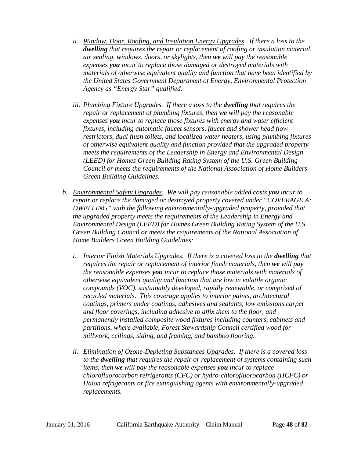- *ii. Window, Door, Roofing, and Insulation Energy Upgrades. If there a loss to the dwelling that requires the repair or replacement of roofing or insulation material, air sealing, windows, doors, or skylights, then we will pay the reasonable expenses you incur to replace those damaged or destroyed materials with materials of otherwise equivalent quality and function that have been identified by the United States Government Department of Energy, Environmental Protection Agency as "Energy Star" qualified.*
- *iii. Plumbing Fixture Upgrades. If there a loss to the dwelling that requires the repair or replacement of plumbing fixtures, then we will pay the reasonable expenses you incur to replace those fixtures with energy and water efficient fixtures, including automatic faucet sensors, faucet and shower head flow restrictors, dual flush toilets, and localized water heaters, using plumbing fixtures of otherwise equivalent quality and function provided that the upgraded property meets the requirements of the Leadership in Energy and Environmental Design (LEED) for Homes Green Building Rating System of the U.S. Green Building Council or meets the requirements of the National Association of Home Builders Green Building Guidelines.*
- *b. Environmental Safety Upgrades. We will pay reasonable added costs you incur to repair or replace the damaged or destroyed property covered under "COVERAGE A: DWELLING" with the following environmentally-upgraded property, provided that the upgraded property meets the requirements of the Leadership in Energy and Environmental Design (LEED) for Homes Green Building Rating System of the U.S. Green Building Council or meets the requirements of the National Association of Home Builders Green Building Guidelines:*
	- *i.* **Interior Finish Materials Upgrades.** If there is a covered loss to the *dwelling* that *requires the repair or replacement of interior finish materials, then we will pay the reasonable expenses you incur to replace those materials with materials of otherwise equivalent quality and function that are low in volatile organic compounds (VOC), sustainably developed, rapidly renewable, or comprised of recycled materials. This coverage applies to interior paints, architectural coatings, primers under coatings, adhesives and sealants, low emissions carpet and floor coverings, including adhesive to affix them to the floor, and permanently installed composite wood fixtures including counters, cabinets and partitions, where available, Forest Stewardship Council certified wood for millwork, ceilings, siding, and framing, and bamboo flooring.*
	- *ii. Elimination of Ozone-Depleting Substances Upgrades. If there is a covered loss to the dwelling that requires the repair or replacement of systems containing such items, then we will pay the reasonable expenses you incur to replace chlorofluorocarbon refrigerants (CFC) or hydro-chlorofluorocarbon (HCFC) or Halon refrigerants or fire extinguishing agents with environmentally-upgraded replacements.*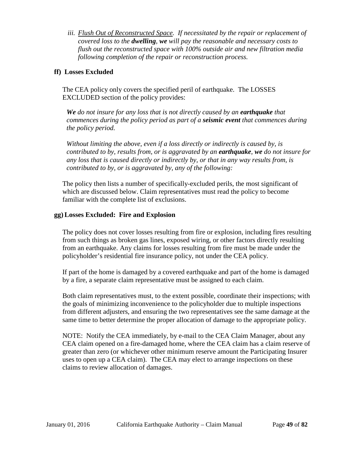*iii. Flush Out of Reconstructed Space. If necessitated by the repair or replacement of covered loss to the dwelling, we will pay the reasonable and necessary costs to flush out the reconstructed space with 100% outside air and new filtration media following completion of the repair or reconstruction process.*

### **ff) Losses Excluded**

The CEA policy only covers the specified peril of earthquake. The LOSSES EXCLUDED section of the policy provides:

*We do not insure for any loss that is not directly caused by an earthquake that commences during the policy period as part of a seismic event that commences during the policy period.*

*Without limiting the above, even if a loss directly or indirectly is caused by, is contributed to by, results from, or is aggravated by an earthquake, we do not insure for any loss that is caused directly or indirectly by, or that in any way results from, is contributed to by, or is aggravated by, any of the following:*

The policy then lists a number of specifically-excluded perils, the most significant of which are discussed below. Claim representatives must read the policy to become familiar with the complete list of exclusions.

### **gg) Losses Excluded: Fire and Explosion**

The policy does not cover losses resulting from fire or explosion, including fires resulting from such things as broken gas lines, exposed wiring, or other factors directly resulting from an earthquake. Any claims for losses resulting from fire must be made under the policyholder's residential fire insurance policy, not under the CEA policy.

If part of the home is damaged by a covered earthquake and part of the home is damaged by a fire, a separate claim representative must be assigned to each claim.

Both claim representatives must, to the extent possible, coordinate their inspections; with the goals of minimizing inconvenience to the policyholder due to multiple inspections from different adjusters, and ensuring the two representatives see the same damage at the same time to better determine the proper allocation of damage to the appropriate policy.

NOTE: Notify the CEA immediately, by e-mail to the CEA Claim Manager, about any CEA claim opened on a fire-damaged home, where the CEA claim has a claim reserve of greater than zero (or whichever other minimum reserve amount the Participating Insurer uses to open up a CEA claim). The CEA may elect to arrange inspections on these claims to review allocation of damages.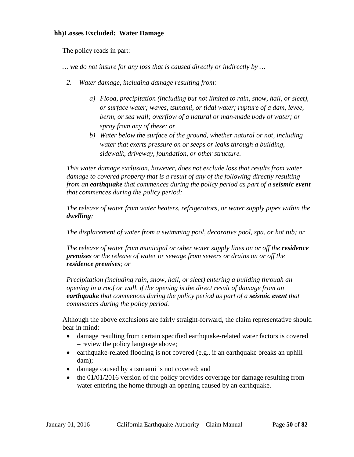### **hh)Losses Excluded: Water Damage**

The policy reads in part:

- *… we do not insure for any loss that is caused directly or indirectly by …*
	- *2. Water damage, including damage resulting from:*
		- *a) Flood, precipitation (including but not limited to rain, snow, hail, or sleet), or surface water; waves, tsunami, or tidal water; rupture of a dam, levee, berm, or sea wall; overflow of a natural or man-made body of water; or spray from any of these; or*
		- *b) Water below the surface of the ground, whether natural or not, including water that exerts pressure on or seeps or leaks through a building, sidewalk, driveway, foundation, or other structure.*

*This water damage exclusion, however, does not exclude loss that results from water damage to covered property that is a result of any of the following directly resulting from an earthquake that commences during the policy period as part of a seismic event that commences during the policy period:*

*The release of water from water heaters, refrigerators, or water supply pipes within the dwelling;*

*The displacement of water from a swimming pool, decorative pool, spa, or hot tub; or*

*The release of water from municipal or other water supply lines on or off the <i>residence premises or the release of water or sewage from sewers or drains on or off the residence premises; or*

*Precipitation (including rain, snow, hail, or sleet) entering a building through an opening in a roof or wall, if the opening is the direct result of damage from an earthquake that commences during the policy period as part of a seismic event that commences during the policy period.*

Although the above exclusions are fairly straight-forward, the claim representative should bear in mind:

- damage resulting from certain specified earthquake-related water factors is covered – review the policy language above;
- earthquake-related flooding is not covered (e.g., if an earthquake breaks an uphill dam);
- damage caused by a tsunami is not covered; and
- the 01/01/2016 version of the policy provides coverage for damage resulting from water entering the home through an opening caused by an earthquake.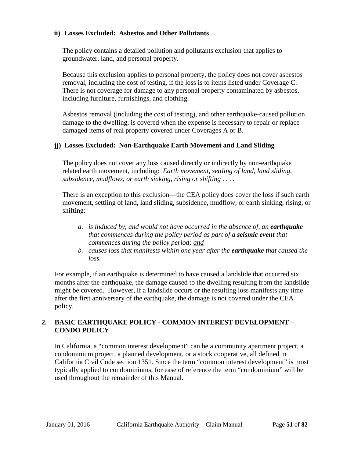### **ii) Losses Excluded: Asbestos and Other Pollutants**

The policy contains a detailed pollution and pollutants exclusion that applies to groundwater, land, and personal property.

Because this exclusion applies to personal property, the policy does not cover asbestos removal, including the cost of testing, if the loss is to items listed under Coverage C. There is not coverage for damage to any personal property contaminated by asbestos, including furniture, furnishings, and clothing.

Asbestos removal (including the cost of testing), and other earthquake-caused pollution damage to the dwelling, is covered when the expense is necessary to repair or replace damaged items of real property covered under Coverages A or B.

### **jj) Losses Excluded: Non-Earthquake Earth Movement and Land Sliding**

The policy does not cover any loss caused directly or indirectly by non-earthquake related earth movement, including: *Earth movement, settling of land, land sliding, subsidence, mudflows, or earth sinking, rising or shifting . . . .* 

There is an exception to this exclusion—the CEA policy does cover the loss if such earth movement, settling of land, land sliding, subsidence, mudflow, or earth sinking, rising, or shifting:

- *a. is induced by, and would not have occurred in the absence of, an earthquake that commences during the policy period as part of a seismic event that commences during the policy period; and*
- *b. causes loss that manifests within one year after the earthquake that caused the loss.*

For example, if an earthquake is determined to have caused a landslide that occurred six months after the earthquake, the damage caused to the dwelling resulting from the landslide might be covered. However, if a landslide occurs or the resulting loss manifests any time after the first anniversary of the earthquake, the damage is not covered under the CEA policy.

# **2. BASIC EARTHQUAKE POLICY - COMMON INTEREST DEVELOPMENT – CONDO POLICY**

In California, a "common interest development" can be a community apartment project, a condominium project, a planned development, or a stock cooperative, all defined in California Civil Code section 1351. Since the term "common interest development" is most typically applied to condominiums, for ease of reference the term "condominium" will be used throughout the remainder of this Manual.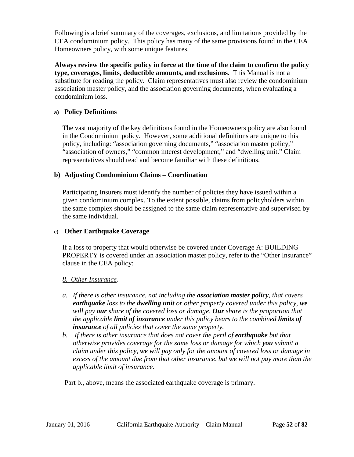Following is a brief summary of the coverages, exclusions, and limitations provided by the CEA condominium policy. This policy has many of the same provisions found in the CEA Homeowners policy, with some unique features.

**Always review the specific policy in force at the time of the claim to confirm the policy type, coverages, limits, deductible amounts, and exclusions.** This Manual is not a substitute for reading the policy. Claim representatives must also review the condominium association master policy, and the association governing documents, when evaluating a condominium loss.

### **a) Policy Definitions**

The vast majority of the key definitions found in the Homeowners policy are also found in the Condominium policy. However, some additional definitions are unique to this policy, including: "association governing documents," "association master policy," "association of owners," "common interest development," and "dwelling unit." Claim representatives should read and become familiar with these definitions.

### **b) Adjusting Condominium Claims – Coordination**

Participating Insurers must identify the number of policies they have issued within a given condominium complex. To the extent possible, claims from policyholders within the same complex should be assigned to the same claim representative and supervised by the same individual.

### **c) Other Earthquake Coverage**

If a loss to property that would otherwise be covered under Coverage A: BUILDING PROPERTY is covered under an association master policy, refer to the "Other Insurance" clause in the CEA policy:

### *8. Other Insurance.*

- *a. If there is other insurance, not including the association master policy, that covers earthquake loss to the dwelling unit or other property covered under this policy, we will pay our share of the covered loss or damage. Our share is the proportion that the applicable limit of insurance under this policy bears to the combined limits of insurance of all policies that cover the same property.*
- *b.* If there is other insurance that does not cover the peril of **earthquake** but that *otherwise provides coverage for the same loss or damage for which you submit a claim under this policy, we will pay only for the amount of covered loss or damage in excess of the amount due from that other insurance, but we will not pay more than the applicable limit of insurance.*

Part b., above, means the associated earthquake coverage is primary.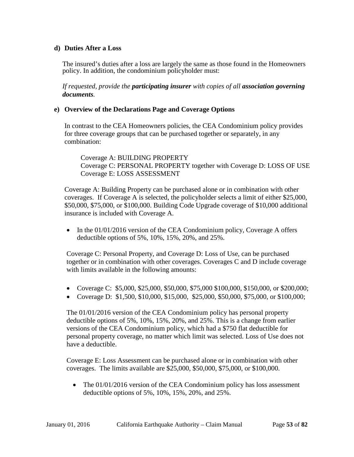### **d) Duties After a Loss**

The insured's duties after a loss are largely the same as those found in the Homeowners policy. In addition, the condominium policyholder must:

*If requested, provide the participating insurer with copies of all association governing documents.*

### **e) Overview of the Declarations Page and Coverage Options**

In contrast to the CEA Homeowners policies, the CEA Condominium policy provides for three coverage groups that can be purchased together or separately, in any combination:

Coverage A: BUILDING PROPERTY Coverage C: PERSONAL PROPERTY together with Coverage D: LOSS OF USE Coverage E: LOSS ASSESSMENT

Coverage A: Building Property can be purchased alone or in combination with other coverages. If Coverage A is selected, the policyholder selects a limit of either \$25,000, \$50,000, \$75,000, or \$100,000. Building Code Upgrade coverage of \$10,000 additional insurance is included with Coverage A.

• In the 01/01/2016 version of the CEA Condominium policy, Coverage A offers deductible options of 5%, 10%, 15%, 20%, and 25%.

Coverage C: Personal Property, and Coverage D: Loss of Use, can be purchased together or in combination with other coverages. Coverages C and D include coverage with limits available in the following amounts:

- Coverage C: \$5,000, \$25,000, \$50,000, \$75,000 \$100,000, \$150,000, or \$200,000;
- Coverage D: \$1,500, \$10,000, \$15,000, \$25,000, \$50,000, \$75,000, or \$100,000;

The 01/01/2016 version of the CEA Condominium policy has personal property deductible options of 5%, 10%, 15%, 20%, and 25%. This is a change from earlier versions of the CEA Condominium policy, which had a \$750 flat deductible for personal property coverage, no matter which limit was selected. Loss of Use does not have a deductible.

Coverage E: Loss Assessment can be purchased alone or in combination with other coverages. The limits available are \$25,000, \$50,000, \$75,000, or \$100,000.

• The 01/01/2016 version of the CEA Condominium policy has loss assessment deductible options of 5%, 10%, 15%, 20%, and 25%.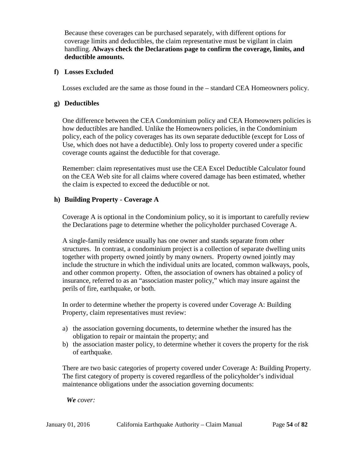Because these coverages can be purchased separately, with different options for coverage limits and deductibles, the claim representative must be vigilant in claim handling. **Always check the Declarations page to confirm the coverage, limits, and deductible amounts.**

### **f) Losses Excluded**

Losses excluded are the same as those found in the – standard CEA Homeowners policy.

### **g) Deductibles**

One difference between the CEA Condominium policy and CEA Homeowners policies is how deductibles are handled. Unlike the Homeowners policies, in the Condominium policy, each of the policy coverages has its own separate deductible (except for Loss of Use, which does not have a deductible). Only loss to property covered under a specific coverage counts against the deductible for that coverage.

Remember: claim representatives must use the CEA Excel Deductible Calculator found on the CEA Web site for all claims where covered damage has been estimated, whether the claim is expected to exceed the deductible or not.

# **h) Building Property - Coverage A**

Coverage A is optional in the Condominium policy, so it is important to carefully review the Declarations page to determine whether the policyholder purchased Coverage A.

A single-family residence usually has one owner and stands separate from other structures. In contrast, a condominium project is a collection of separate dwelling units together with property owned jointly by many owners. Property owned jointly may include the structure in which the individual units are located, common walkways, pools, and other common property. Often, the association of owners has obtained a policy of insurance, referred to as an "association master policy," which may insure against the perils of fire, earthquake, or both.

In order to determine whether the property is covered under Coverage A: Building Property, claim representatives must review:

- a) the association governing documents, to determine whether the insured has the obligation to repair or maintain the property; and
- b) the association master policy, to determine whether it covers the property for the risk of earthquake.

There are two basic categories of property covered under Coverage A: Building Property. The first category of property is covered regardless of the policyholder's individual maintenance obligations under the association governing documents:

*We cover:*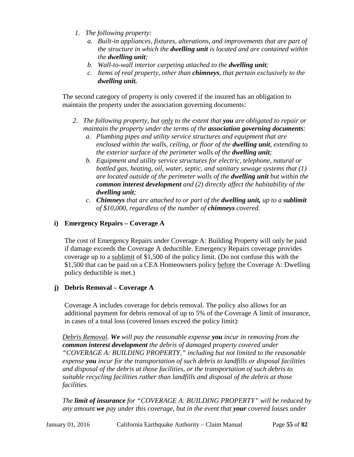- *1. The following property:*
	- *a. Built-in appliances, fixtures, alterations, and improvements that are part of the structure in which the dwelling unit is located and are contained within the dwelling unit;*
	- *b. Wall-to-wall interior carpeting attached to the dwelling unit;*
	- *c. Items of real property, other than chimneys, that pertain exclusively to the dwelling unit.*

The second category of property is only covered if the insured has an obligation to maintain the property under the association governing documents:

- *2. The following property, but only to the extent that you are obligated to repair or maintain the property under the terms of the association governing documents:*
	- *a. Plumbing pipes and utility service structures and equipment that are enclosed within the walls, ceiling, or floor of the dwelling unit, extending to the exterior surface of the perimeter walls of the dwelling unit;*
	- *b. Equipment and utility service structures for electric, telephone, natural or bottled gas, heating, oil, water, septic, and sanitary sewage systems that (1) are located outside of the perimeter walls of the dwelling unit but within the common interest development and (2) directly affect the habitability of the dwelling unit;*
	- *c. Chimneys that are attached to or part of the dwelling unit, up to a sublimit of \$10,000, regardless of the number of chimneys covered.*

### **i) Emergency Repairs – Coverage A**

The cost of Emergency Repairs under Coverage A: Building Property will only be paid if damage exceeds the Coverage A deductible. Emergency Repairs coverage provides coverage up to a sublimit of \$1,500 of the policy limit. (Do not confuse this with the \$1,500 that can be paid on a CEA Homeowners policy before the Coverage A: Dwelling policy deductible is met.)

### **j) Debris Removal – Coverage A**

Coverage A includes coverage for debris removal. The policy also allows for an additional payment for debris removal of up to 5% of the Coverage A limit of insurance, in cases of a total loss (covered losses exceed the policy limit):

*Debris Removal. We will pay the reasonable expense you incur in removing from the common interest development the debris of damaged property covered under "COVERAGE A: BUILDING PROPERTY," including but not limited to the reasonable expense you incur for the transportation of such debris to landfills or disposal facilities and disposal of the debris at those facilities, or the transportation of such debris to suitable recycling facilities rather than landfills and disposal of the debris at those facilities.* 

*The limit of insurance for "COVERAGE A: BUILDING PROPERTY" will be reduced by any amount we pay under this coverage, but in the event that your covered losses under*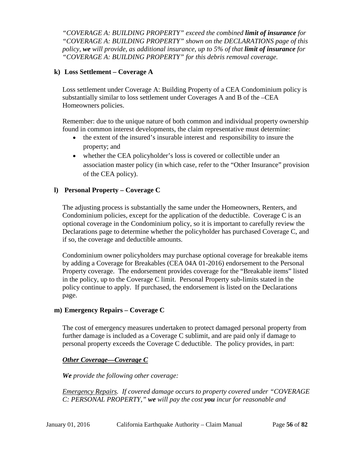*"COVERAGE A: BUILDING PROPERTY" exceed the combined limit of insurance for "COVERAGE A: BUILDING PROPERTY" shown on the DECLARATIONS page of this policy, we will provide, as additional insurance, up to 5% of that limit of insurance for "COVERAGE A: BUILDING PROPERTY" for this debris removal coverage.*

# **k) Loss Settlement – Coverage A**

Loss settlement under Coverage A: Building Property of a CEA Condominium policy is substantially similar to loss settlement under Coverages A and B of the –CEA Homeowners policies.

Remember: due to the unique nature of both common and individual property ownership found in common interest developments, the claim representative must determine:

- the extent of the insured's insurable interest and responsibility to insure the property; and
- whether the CEA policyholder's loss is covered or collectible under an association master policy (in which case, refer to the "Other Insurance" provision of the CEA policy).

# **l) Personal Property – Coverage C**

The adjusting process is substantially the same under the Homeowners, Renters, and Condominium policies, except for the application of the deductible. Coverage C is an optional coverage in the Condominium policy, so it is important to carefully review the Declarations page to determine whether the policyholder has purchased Coverage C, and if so, the coverage and deductible amounts.

Condominium owner policyholders may purchase optional coverage for breakable items by adding a Coverage for Breakables (CEA 04A 01-2016) endorsement to the Personal Property coverage. The endorsement provides coverage for the "Breakable items" listed in the policy, up to the Coverage C limit. Personal Property sub-limits stated in the policy continue to apply. If purchased, the endorsement is listed on the Declarations page.

# **m) Emergency Repairs – Coverage C**

The cost of emergency measures undertaken to protect damaged personal property from further damage is included as a Coverage C sublimit, and are paid only if damage to personal property exceeds the Coverage C deductible. The policy provides, in part:

# *Other Coverage—Coverage C*

*We provide the following other coverage:*

*Emergency Repairs. If covered damage occurs to property covered under "COVERAGE C: PERSONAL PROPERTY," we will pay the cost you incur for reasonable and*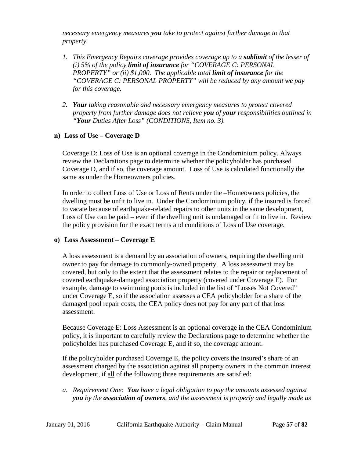*necessary emergency measures you take to protect against further damage to that property.*

- *1. This Emergency Repairs coverage provides coverage up to a sublimit of the lesser of (i) 5% of the policy limit of insurance for "COVERAGE C: PERSONAL PROPERTY" or (ii) \$1,000. The applicable total limit of insurance for the "COVERAGE C: PERSONAL PROPERTY" will be reduced by any amount we pay for this coverage.*
- *2. Your taking reasonable and necessary emergency measures to protect covered property from further damage does not relieve you of your responsibilities outlined in "Your Duties After Loss" (CONDITIONS, Item no. 3).*

### **n) Loss of Use – Coverage D**

Coverage D: Loss of Use is an optional coverage in the Condominium policy. Always review the Declarations page to determine whether the policyholder has purchased Coverage D, and if so, the coverage amount. Loss of Use is calculated functionally the same as under the Homeowners policies.

In order to collect Loss of Use or Loss of Rents under the –Homeowners policies, the dwelling must be unfit to live in. Under the Condominium policy, if the insured is forced to vacate because of earthquake-related repairs to other units in the same development, Loss of Use can be paid – even if the dwelling unit is undamaged or fit to live in. Review the policy provision for the exact terms and conditions of Loss of Use coverage.

### **o) Loss Assessment – Coverage E**

A loss assessment is a demand by an association of owners, requiring the dwelling unit owner to pay for damage to commonly-owned property. A loss assessment may be covered, but only to the extent that the assessment relates to the repair or replacement of covered earthquake-damaged association property (covered under Coverage E). For example, damage to swimming pools is included in the list of "Losses Not Covered" under Coverage E, so if the association assesses a CEA policyholder for a share of the damaged pool repair costs, the CEA policy does not pay for any part of that loss assessment.

Because Coverage E: Loss Assessment is an optional coverage in the CEA Condominium policy, it is important to carefully review the Declarations page to determine whether the policyholder has purchased Coverage E, and if so, the coverage amount.

If the policyholder purchased Coverage E, the policy covers the insured's share of an assessment charged by the association against all property owners in the common interest development, if all of the following three requirements are satisfied:

*a. Requirement One: You have a legal obligation to pay the amounts assessed against you by the association of owners, and the assessment is properly and legally made as*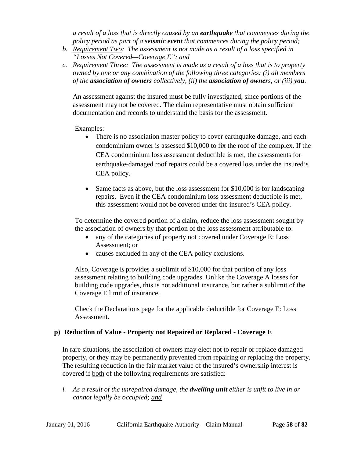*a result of a loss that is directly caused by an earthquake that commences during the policy period as part of a seismic event that commences during the policy period;*

- *b. Requirement Two: The assessment is not made as a result of a loss specified in "Losses Not Covered—Coverage E"; and*
- *c. Requirement Three: The assessment is made as a result of a loss that is to property owned by one or any combination of the following three categories: (i) all members of the association of owners collectively, (ii) the association of owners, or (iii) you.*

An assessment against the insured must be fully investigated, since portions of the assessment may not be covered. The claim representative must obtain sufficient documentation and records to understand the basis for the assessment.

Examples:

- There is no association master policy to cover earthquake damage, and each condominium owner is assessed \$10,000 to fix the roof of the complex. If the CEA condominium loss assessment deductible is met, the assessments for earthquake-damaged roof repairs could be a covered loss under the insured's CEA policy.
- Same facts as above, but the loss assessment for \$10,000 is for landscaping repairs. Even if the CEA condominium loss assessment deductible is met, this assessment would not be covered under the insured's CEA policy.

To determine the covered portion of a claim, reduce the loss assessment sought by the association of owners by that portion of the loss assessment attributable to:

- any of the categories of property not covered under Coverage E: Loss Assessment; or
- causes excluded in any of the CEA policy exclusions.

Also, Coverage E provides a sublimit of \$10,000 for that portion of any loss assessment relating to building code upgrades. Unlike the Coverage A losses for building code upgrades, this is not additional insurance, but rather a sublimit of the Coverage E limit of insurance.

Check the Declarations page for the applicable deductible for Coverage E: Loss Assessment.

# **p) Reduction of Value - Property not Repaired or Replaced - Coverage E**

In rare situations, the association of owners may elect not to repair or replace damaged property, or they may be permanently prevented from repairing or replacing the property. The resulting reduction in the fair market value of the insured's ownership interest is covered if both of the following requirements are satisfied:

*i. As a result of the unrepaired damage, the dwelling unit either is unfit to live in or cannot legally be occupied; and*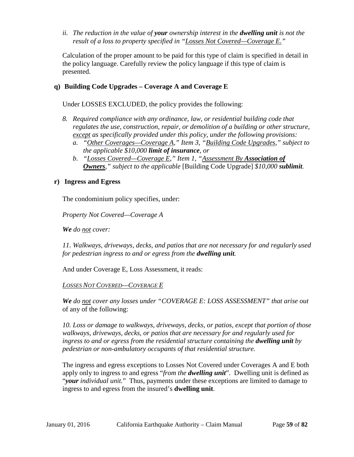*ii. The reduction in the value of your ownership interest in the dwelling unit is not the result of a loss to property specified in "Losses Not Covered—Coverage E."*

Calculation of the proper amount to be paid for this type of claim is specified in detail in the policy language. Carefully review the policy language if this type of claim is presented.

# **q) Building Code Upgrades – Coverage A and Coverage E**

Under LOSSES EXCLUDED, the policy provides the following:

- *8. Required compliance with any ordinance, law, or residential building code that regulates the use, construction, repair, or demolition of a building or other structure, except as specifically provided under this policy, under the following provisions:*
	- *a. "Other Coverages—Coverage A," Item 3, "Building Code Upgrades," subject to the applicable \$10,000 limit of insurance, or*
	- *b. "Losses Covered—Coverage E," Item 1, "Assessment By Association of Owners," subject to the applicable* [Building Code Upgrade] *\$10,000 sublimit.*

### **r) Ingress and Egress**

The condominium policy specifies, under:

*Property Not Covered—Coverage A*

*We do not cover:*

*11. Walkways, driveways, decks, and patios that are not necessary for and regularly used for pedestrian ingress to and or egress from the dwelling unit.* 

And under Coverage E, Loss Assessment, it reads:

### *LOSSES NOT COVERED—COVERAGE E*

*We do not cover any losses under "COVERAGE E: LOSS ASSESSMENT" that arise out*  of any of the following:

*10. Loss or damage to walkways, driveways, decks, or patios, except that portion of those walkways, driveways, decks, or patios that are necessary for and regularly used for ingress to and or egress from the residential structure containing the <i>dwelling unit* by *pedestrian or non-ambulatory occupants of that residential structure.* 

The ingress and egress exceptions to Losses Not Covered under Coverages A and E both apply only to ingress to and egress "*from the dwelling unit*". Dwelling unit is defined as "*your individual unit.*" Thus, payments under these exceptions are limited to damage to ingress to and egress from the insured's **dwelling unit**.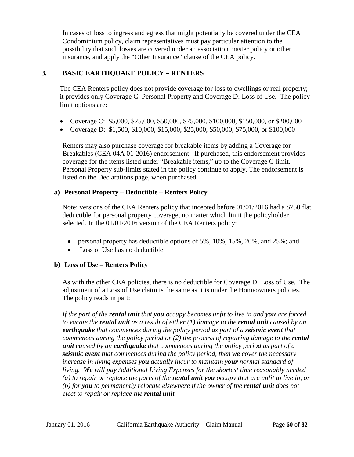In cases of loss to ingress and egress that might potentially be covered under the CEA Condominium policy, claim representatives must pay particular attention to the possibility that such losses are covered under an association master policy or other insurance, and apply the "Other Insurance" clause of the CEA policy.

# **3. BASIC EARTHQUAKE POLICY – RENTERS**

The CEA Renters policy does not provide coverage for loss to dwellings or real property; it provides only Coverage C: Personal Property and Coverage D: Loss of Use. The policy limit options are:

- Coverage C: \$5,000, \$25,000, \$50,000, \$75,000, \$100,000, \$150,000, or \$200,000
- Coverage D: \$1,500, \$10,000, \$15,000, \$25,000, \$50,000, \$75,000, or \$100,000

Renters may also purchase coverage for breakable items by adding a Coverage for Breakables (CEA 04A 01-2016) endorsement. If purchased, this endorsement provides coverage for the items listed under "Breakable items," up to the Coverage C limit. Personal Property sub-limits stated in the policy continue to apply. The endorsement is listed on the Declarations page, when purchased.

# **a) Personal Property – Deductible – Renters Policy**

Note: versions of the CEA Renters policy that incepted before 01/01/2016 had a \$750 flat deductible for personal property coverage, no matter which limit the policyholder selected. In the 01/01/2016 version of the CEA Renters policy:

- personal property has deductible options of 5%, 10%, 15%, 20%, and 25%; and
- Loss of Use has no deductible.

# **b) Loss of Use – Renters Policy**

As with the other CEA policies, there is no deductible for Coverage D: Loss of Use. The adjustment of a Loss of Use claim is the same as it is under the Homeowners policies. The policy reads in part:

*If the part of the rental unit that you occupy becomes unfit to live in and you are forced to vacate the rental unit as a result of either (1) damage to the rental unit caused by an earthquake that commences during the policy period as part of a seismic event that commences during the policy period or (2) the process of repairing damage to the rental unit caused by an earthquake that commences during the policy period as part of a seismic event that commences during the policy period, then we cover the necessary increase in living expenses you actually incur to maintain your normal standard of living. We will pay Additional Living Expenses for the shortest time reasonably needed (a) to repair or replace the parts of the rental unit you occupy that are unfit to live in, or (b) for you to permanently relocate elsewhere if the owner of the rental unit does not elect to repair or replace the rental unit.*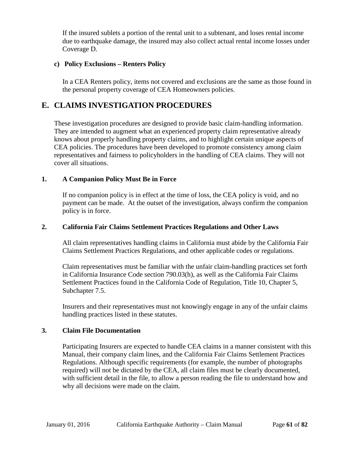If the insured sublets a portion of the rental unit to a subtenant, and loses rental income due to earthquake damage, the insured may also collect actual rental income losses under Coverage D.

### **c) Policy Exclusions – Renters Policy**

In a CEA Renters policy, items not covered and exclusions are the same as those found in the personal property coverage of CEA Homeowners policies.

# **E. CLAIMS INVESTIGATION PROCEDURES**

These investigation procedures are designed to provide basic claim-handling information. They are intended to augment what an experienced property claim representative already knows about properly handling property claims, and to highlight certain unique aspects of CEA policies. The procedures have been developed to promote consistency among claim representatives and fairness to policyholders in the handling of CEA claims. They will not cover all situations.

# **1. A Companion Policy Must Be in Force**

If no companion policy is in effect at the time of loss, the CEA policy is void, and no payment can be made. At the outset of the investigation, always confirm the companion policy is in force.

### **2. California Fair Claims Settlement Practices Regulations and Other Laws**

All claim representatives handling claims in California must abide by the California Fair Claims Settlement Practices Regulations, and other applicable codes or regulations.

Claim representatives must be familiar with the unfair claim-handling practices set forth in California Insurance Code section 790.03(h), as well as the California Fair Claims Settlement Practices found in the California Code of Regulation, Title 10, Chapter 5, Subchapter 7.5.

Insurers and their representatives must not knowingly engage in any of the unfair claims handling practices listed in these statutes.

### **3. Claim File Documentation**

Participating Insurers are expected to handle CEA claims in a manner consistent with this Manual, their company claim lines, and the California Fair Claims Settlement Practices Regulations. Although specific requirements (for example, the number of photographs required) will not be dictated by the CEA, all claim files must be clearly documented, with sufficient detail in the file, to allow a person reading the file to understand how and why all decisions were made on the claim.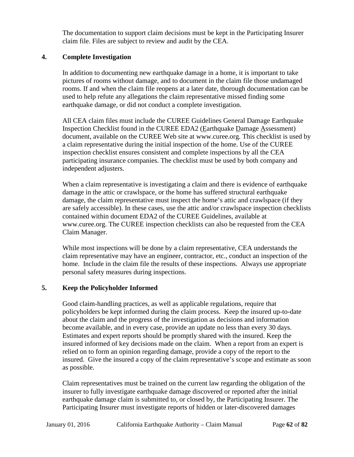The documentation to support claim decisions must be kept in the Participating Insurer claim file. Files are subject to review and audit by the CEA.

### **4. Complete Investigation**

In addition to documenting new earthquake damage in a home, it is important to take pictures of rooms without damage, and to document in the claim file those undamaged rooms. If and when the claim file reopens at a later date, thorough documentation can be used to help refute any allegations the claim representative missed finding some earthquake damage, or did not conduct a complete investigation.

All CEA claim files must include the CUREE Guidelines General Damage Earthquake Inspection Checklist found in the CUREE EDA2 (Earthquake Damage Assessment) document, available on the CUREE Web site at www.curee.org. This checklist is used by a claim representative during the initial inspection of the home. Use of the CUREE inspection checklist ensures consistent and complete inspections by all the CEA participating insurance companies. The checklist must be used by both company and independent adjusters.

When a claim representative is investigating a claim and there is evidence of earthquake damage in the attic or crawlspace, or the home has suffered structural earthquake damage, the claim representative must inspect the home's attic and crawlspace (if they are safely accessible). In these cases, use the attic and/or crawlspace inspection checklists contained within document EDA2 of the CUREE Guidelines, available at www.curee.org. The CUREE inspection checklists can also be requested from the CEA Claim Manager.

While most inspections will be done by a claim representative, CEA understands the claim representative may have an engineer, contractor, etc., conduct an inspection of the home. Include in the claim file the results of these inspections. Always use appropriate personal safety measures during inspections.

### **5. Keep the Policyholder Informed**

Good claim-handling practices, as well as applicable regulations, require that policyholders be kept informed during the claim process. Keep the insured up-to-date about the claim and the progress of the investigation as decisions and information become available, and in every case, provide an update no less than every 30 days. Estimates and expert reports should be promptly shared with the insured. Keep the insured informed of key decisions made on the claim. When a report from an expert is relied on to form an opinion regarding damage, provide a copy of the report to the insured. Give the insured a copy of the claim representative's scope and estimate as soon as possible.

Claim representatives must be trained on the current law regarding the obligation of the insurer to fully investigate earthquake damage discovered or reported after the initial earthquake damage claim is submitted to, or closed by, the Participating Insurer. The Participating Insurer must investigate reports of hidden or later-discovered damages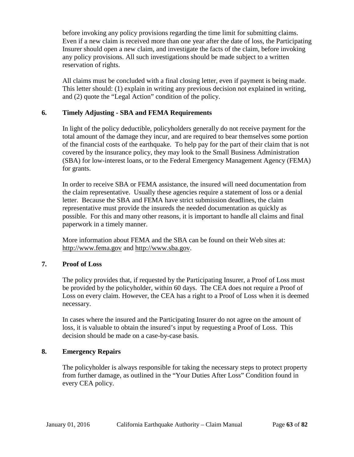before invoking any policy provisions regarding the time limit for submitting claims. Even if a new claim is received more than one year after the date of loss, the Participating Insurer should open a new claim, and investigate the facts of the claim, before invoking any policy provisions. All such investigations should be made subject to a written reservation of rights.

All claims must be concluded with a final closing letter, even if payment is being made. This letter should: (1) explain in writing any previous decision not explained in writing, and (2) quote the "Legal Action" condition of the policy.

### **6. Timely Adjusting - SBA and FEMA Requirements**

In light of the policy deductible, policyholders generally do not receive payment for the total amount of the damage they incur, and are required to bear themselves some portion of the financial costs of the earthquake. To help pay for the part of their claim that is not covered by the insurance policy, they may look to the Small Business Administration (SBA) for low-interest loans, or to the Federal Emergency Management Agency (FEMA) for grants.

In order to receive SBA or FEMA assistance, the insured will need documentation from the claim representative. Usually these agencies require a statement of loss or a denial letter. Because the SBA and FEMA have strict submission deadlines, the claim representative must provide the insureds the needed documentation as quickly as possible. For this and many other reasons, it is important to handle all claims and final paperwork in a timely manner.

More information about FEMA and the SBA can be found on their Web sites at: http://www.fema.gov and http://www.sba.gov.

### **7. Proof of Loss**

The policy provides that, if requested by the Participating Insurer, a Proof of Loss must be provided by the policyholder, within 60 days. The CEA does not require a Proof of Loss on every claim. However, the CEA has a right to a Proof of Loss when it is deemed necessary.

In cases where the insured and the Participating Insurer do not agree on the amount of loss, it is valuable to obtain the insured's input by requesting a Proof of Loss. This decision should be made on a case-by-case basis.

### **8. Emergency Repairs**

The policyholder is always responsible for taking the necessary steps to protect property from further damage, as outlined in the "Your Duties After Loss" Condition found in every CEA policy.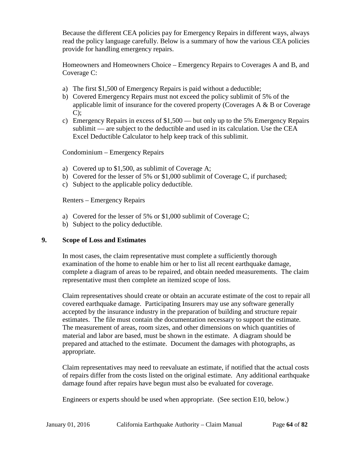Because the different CEA policies pay for Emergency Repairs in different ways, always read the policy language carefully. Below is a summary of how the various CEA policies provide for handling emergency repairs.

Homeowners and Homeowners Choice – Emergency Repairs to Coverages A and B, and Coverage C:

- a) The first \$1,500 of Emergency Repairs is paid without a deductible;
- b) Covered Emergency Repairs must not exceed the policy sublimit of 5% of the applicable limit of insurance for the covered property (Coverages  $A \& B$  or Coverage  $C$ :
- c) Emergency Repairs in excess of \$1,500 but only up to the 5% Emergency Repairs sublimit — are subject to the deductible and used in its calculation. Use the CEA Excel Deductible Calculator to help keep track of this sublimit.

Condominium – Emergency Repairs

- a) Covered up to \$1,500, as sublimit of Coverage A;
- b) Covered for the lesser of 5% or \$1,000 sublimit of Coverage C, if purchased;
- c) Subject to the applicable policy deductible.

Renters – Emergency Repairs

- a) Covered for the lesser of 5% or \$1,000 sublimit of Coverage C;
- b) Subject to the policy deductible.

# **9. Scope of Loss and Estimates**

In most cases, the claim representative must complete a sufficiently thorough examination of the home to enable him or her to list all recent earthquake damage, complete a diagram of areas to be repaired, and obtain needed measurements. The claim representative must then complete an itemized scope of loss.

Claim representatives should create or obtain an accurate estimate of the cost to repair all covered earthquake damage. Participating Insurers may use any software generally accepted by the insurance industry in the preparation of building and structure repair estimates. The file must contain the documentation necessary to support the estimate. The measurement of areas, room sizes, and other dimensions on which quantities of material and labor are based, must be shown in the estimate. A diagram should be prepared and attached to the estimate. Document the damages with photographs, as appropriate.

Claim representatives may need to reevaluate an estimate, if notified that the actual costs of repairs differ from the costs listed on the original estimate. Any additional earthquake damage found after repairs have begun must also be evaluated for coverage.

Engineers or experts should be used when appropriate. (See section E10, below.)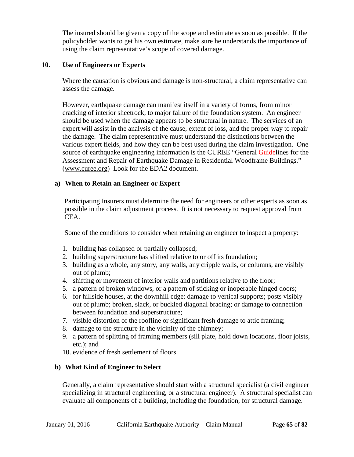The insured should be given a copy of the scope and estimate as soon as possible. If the policyholder wants to get his own estimate, make sure he understands the importance of using the claim representative's scope of covered damage.

### **10. Use of Engineers or Experts**

Where the causation is obvious and damage is non-structural, a claim representative can assess the damage.

However, earthquake damage can manifest itself in a variety of forms, from minor cracking of interior sheetrock, to major failure of the foundation system. An engineer should be used when the damage appears to be structural in nature. The services of an expert will assist in the analysis of the cause, extent of loss, and the proper way to repair the damage. The claim representative must understand the distinctions between the various expert fields, and how they can be best used during the claim investigation. One source of earthquake engineering information is the CUREE "General Guidelines for the Assessment and Repair of Earthquake Damage in Residential Woodframe Buildings." (www.curee.org) Look for the EDA2 document.

### **a) When to Retain an Engineer or Expert**

Participating Insurers must determine the need for engineers or other experts as soon as possible in the claim adjustment process. It is not necessary to request approval from CEA.

Some of the conditions to consider when retaining an engineer to inspect a property:

- 1. building has collapsed or partially collapsed;
- 2. building superstructure has shifted relative to or off its foundation;
- 3. building as a whole, any story, any walls, any cripple walls, or columns, are visibly out of plumb;
- 4. shifting or movement of interior walls and partitions relative to the floor;
- 5. a pattern of broken windows, or a pattern of sticking or inoperable hinged doors;
- 6. for hillside houses, at the downhill edge: damage to vertical supports; posts visibly out of plumb; broken, slack, or buckled diagonal bracing; or damage to connection between foundation and superstructure;
- 7. visible distortion of the roofline or significant fresh damage to attic framing;
- 8. damage to the structure in the vicinity of the chimney;
- 9. a pattern of splitting of framing members (sill plate, hold down locations, floor joists, etc.); and
- 10. evidence of fresh settlement of floors.

# **b) What Kind of Engineer to Select**

Generally, a claim representative should start with a structural specialist (a civil engineer specializing in structural engineering, or a structural engineer). A structural specialist can evaluate all components of a building, including the foundation, for structural damage.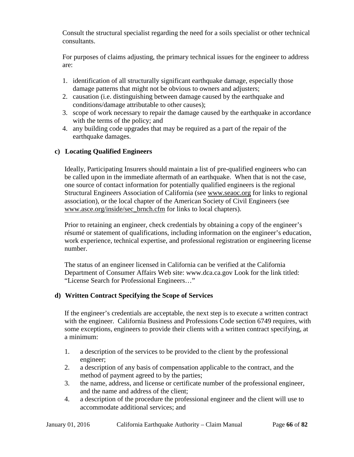Consult the structural specialist regarding the need for a soils specialist or other technical consultants.

For purposes of claims adjusting, the primary technical issues for the engineer to address are:

- 1. identification of all structurally significant earthquake damage, especially those damage patterns that might not be obvious to owners and adjusters;
- 2. causation (i.e. distinguishing between damage caused by the earthquake and conditions/damage attributable to other causes);
- 3. scope of work necessary to repair the damage caused by the earthquake in accordance with the terms of the policy; and
- 4. any building code upgrades that may be required as a part of the repair of the earthquake damages.

# **c) Locating Qualified Engineers**

Ideally, Participating Insurers should maintain a list of pre-qualified engineers who can be called upon in the immediate aftermath of an earthquake. When that is not the case, one source of contact information for potentially qualified engineers is the regional Structural Engineers Association of California (see www.seaoc.org for links to regional association), or the local chapter of the American Society of Civil Engineers (see www.asce.org/inside/sec\_brnch.cfm for links to local chapters).

Prior to retaining an engineer, check credentials by obtaining a copy of the engineer's résumé or statement of qualifications, including information on the engineer's education, work experience, technical expertise, and professional registration or engineering license number.

The status of an engineer licensed in California can be verified at the California Department of Consumer Affairs Web site: www.dca.ca.gov Look for the link titled: "License Search for Professional Engineers…"

# **d) Written Contract Specifying the Scope of Services**

If the engineer's credentials are acceptable, the next step is to execute a written contract with the engineer. California Business and Professions Code section 6749 requires, with some exceptions, engineers to provide their clients with a written contract specifying, at a minimum:

- 1. a description of the services to be provided to the client by the professional engineer;
- 2. a description of any basis of compensation applicable to the contract, and the method of payment agreed to by the parties;
- 3. the name, address, and license or certificate number of the professional engineer, and the name and address of the client;
- 4. a description of the procedure the professional engineer and the client will use to accommodate additional services; and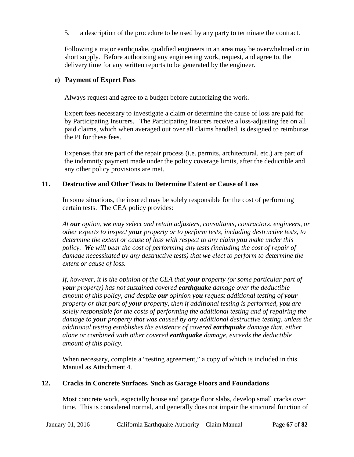5. a description of the procedure to be used by any party to terminate the contract.

Following a major earthquake, qualified engineers in an area may be overwhelmed or in short supply. Before authorizing any engineering work, request, and agree to, the delivery time for any written reports to be generated by the engineer.

### **e) Payment of Expert Fees**

Always request and agree to a budget before authorizing the work.

Expert fees necessary to investigate a claim or determine the cause of loss are paid for by Participating Insurers. The Participating Insurers receive a loss-adjusting fee on all paid claims, which when averaged out over all claims handled, is designed to reimburse the PI for these fees.

Expenses that are part of the repair process (i.e. permits, architectural, etc.) are part of the indemnity payment made under the policy coverage limits, after the deductible and any other policy provisions are met.

### **11. Destructive and Other Tests to Determine Extent or Cause of Loss**

In some situations, the insured may be solely responsible for the cost of performing certain tests. The CEA policy provides:

*At our option, we may select and retain adjusters, consultants, contractors, engineers, or other experts to inspect your property or to perform tests, including destructive tests, to determine the extent or cause of loss with respect to any claim you make under this policy. We will bear the cost of performing any tests (including the cost of repair of damage necessitated by any destructive tests) that we elect to perform to determine the extent or cause of loss.* 

*If, however, it is the opinion of the CEA that your property (or some particular part of your property) has not sustained covered earthquake damage over the deductible amount of this policy, and despite our opinion you request additional testing of your property or that part of your property, then if additional testing is performed, you are solely responsible for the costs of performing the additional testing and of repairing the damage to your property that was caused by any additional destructive testing, unless the additional testing establishes the existence of covered earthquake damage that, either alone or combined with other covered earthquake damage, exceeds the deductible amount of this policy.*

When necessary, complete a "testing agreement," a copy of which is included in this Manual as Attachment 4.

### **12. Cracks in Concrete Surfaces, Such as Garage Floors and Foundations**

Most concrete work, especially house and garage floor slabs, develop small cracks over time. This is considered normal, and generally does not impair the structural function of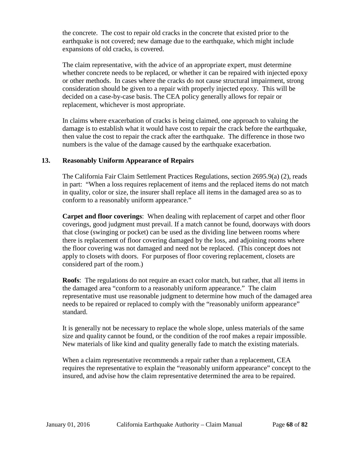the concrete. The cost to repair old cracks in the concrete that existed prior to the earthquake is not covered; new damage due to the earthquake, which might include expansions of old cracks, is covered.

The claim representative, with the advice of an appropriate expert, must determine whether concrete needs to be replaced, or whether it can be repaired with injected epoxy or other methods. In cases where the cracks do not cause structural impairment, strong consideration should be given to a repair with properly injected epoxy. This will be decided on a case-by-case basis. The CEA policy generally allows for repair or replacement, whichever is most appropriate.

In claims where exacerbation of cracks is being claimed, one approach to valuing the damage is to establish what it would have cost to repair the crack before the earthquake, then value the cost to repair the crack after the earthquake. The difference in those two numbers is the value of the damage caused by the earthquake exacerbation.

### **13. Reasonably Uniform Appearance of Repairs**

The California Fair Claim Settlement Practices Regulations, section 2695.9(a) (2), reads in part: "When a loss requires replacement of items and the replaced items do not match in quality, color or size, the insurer shall replace all items in the damaged area so as to conform to a reasonably uniform appearance."

**Carpet and floor coverings**: When dealing with replacement of carpet and other floor coverings, good judgment must prevail. If a match cannot be found, doorways with doors that close (swinging or pocket) can be used as the dividing line between rooms where there is replacement of floor covering damaged by the loss, and adjoining rooms where the floor covering was not damaged and need not be replaced. (This concept does not apply to closets with doors. For purposes of floor covering replacement, closets are considered part of the room.)

**Roofs**: The regulations do not require an exact color match, but rather, that all items in the damaged area "conform to a reasonably uniform appearance." The claim representative must use reasonable judgment to determine how much of the damaged area needs to be repaired or replaced to comply with the "reasonably uniform appearance" standard.

It is generally not be necessary to replace the whole slope, unless materials of the same size and quality cannot be found, or the condition of the roof makes a repair impossible. New materials of like kind and quality generally fade to match the existing materials.

When a claim representative recommends a repair rather than a replacement, CEA requires the representative to explain the "reasonably uniform appearance" concept to the insured, and advise how the claim representative determined the area to be repaired.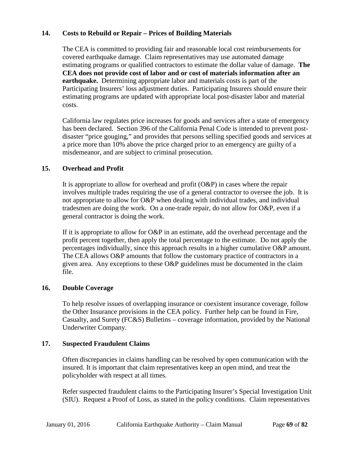# **14. Costs to Rebuild or Repair – Prices of Building Materials**

The CEA is committed to providing fair and reasonable local cost reimbursements for covered earthquake damage. Claim representatives may use automated damage estimating programs or qualified contractors to estimate the dollar value of damage. **The CEA does not provide cost of labor and or cost of materials information after an earthquake.** Determining appropriate labor and materials costs is part of the Participating Insurers' loss adjustment duties. Participating Insurers should ensure their estimating programs are updated with appropriate local post-disaster labor and material costs.

California law regulates price increases for goods and services after a state of emergency has been declared. Section 396 of the California Penal Code is intended to prevent postdisaster "price gouging," and provides that persons selling specified goods and services at a price more than 10% above the price charged prior to an emergency are guilty of a misdemeanor, and are subject to criminal prosecution.

# **15. Overhead and Profit**

It is appropriate to allow for overhead and profit (O&P) in cases where the repair involves multiple trades requiring the use of a general contractor to oversee the job. It is not appropriate to allow for O&P when dealing with individual trades, and individual tradesmen are doing the work. On a one-trade repair, do not allow for O&P, even if a general contractor is doing the work.

If it is appropriate to allow for O&P in an estimate, add the overhead percentage and the profit percent together, then apply the total percentage to the estimate. Do not apply the percentages individually, since this approach results in a higher cumulative O&P amount. The CEA allows O&P amounts that follow the customary practice of contractors in a given area. Any exceptions to these O&P guidelines must be documented in the claim file.

### **16. Double Coverage**

To help resolve issues of overlapping insurance or coexistent insurance coverage, follow the Other Insurance provisions in the CEA policy. Further help can be found in Fire, Casualty, and Surety (FC&S) Bulletins – coverage information, provided by the National Underwriter Company.

### **17. Suspected Fraudulent Claims**

Often discrepancies in claims handling can be resolved by open communication with the insured. It is important that claim representatives keep an open mind, and treat the policyholder with respect at all times.

Refer suspected fraudulent claims to the Participating Insurer's Special Investigation Unit (SIU). Request a Proof of Loss, as stated in the policy conditions. Claim representatives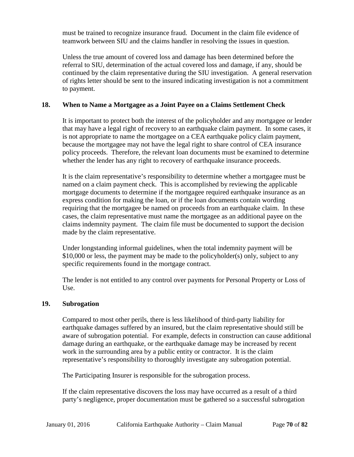must be trained to recognize insurance fraud. Document in the claim file evidence of teamwork between SIU and the claims handler in resolving the issues in question.

Unless the true amount of covered loss and damage has been determined before the referral to SIU, determination of the actual covered loss and damage, if any, should be continued by the claim representative during the SIU investigation. A general reservation of rights letter should be sent to the insured indicating investigation is not a commitment to payment.

### **18. When to Name a Mortgagee as a Joint Payee on a Claims Settlement Check**

It is important to protect both the interest of the policyholder and any mortgagee or lender that may have a legal right of recovery to an earthquake claim payment. In some cases, it is not appropriate to name the mortgagee on a CEA earthquake policy claim payment, because the mortgagee may not have the legal right to share control of CEA insurance policy proceeds. Therefore, the relevant loan documents must be examined to determine whether the lender has any right to recovery of earthquake insurance proceeds.

It is the claim representative's responsibility to determine whether a mortgagee must be named on a claim payment check. This is accomplished by reviewing the applicable mortgage documents to determine if the mortgagee required earthquake insurance as an express condition for making the loan, or if the loan documents contain wording requiring that the mortgagee be named on proceeds from an earthquake claim. In these cases, the claim representative must name the mortgagee as an additional payee on the claims indemnity payment. The claim file must be documented to support the decision made by the claim representative.

Under longstanding informal guidelines, when the total indemnity payment will be \$10,000 or less, the payment may be made to the policyholder(s) only, subject to any specific requirements found in the mortgage contract.

The lender is not entitled to any control over payments for Personal Property or Loss of Use.

### **19. Subrogation**

Compared to most other perils, there is less likelihood of third-party liability for earthquake damages suffered by an insured, but the claim representative should still be aware of subrogation potential. For example, defects in construction can cause additional damage during an earthquake, or the earthquake damage may be increased by recent work in the surrounding area by a public entity or contractor. It is the claim representative's responsibility to thoroughly investigate any subrogation potential.

The Participating Insurer is responsible for the subrogation process.

If the claim representative discovers the loss may have occurred as a result of a third party's negligence, proper documentation must be gathered so a successful subrogation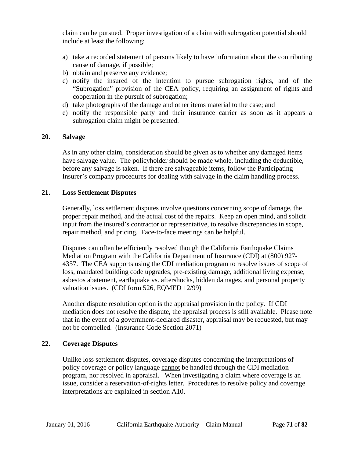claim can be pursued. Proper investigation of a claim with subrogation potential should include at least the following:

- a) take a recorded statement of persons likely to have information about the contributing cause of damage, if possible;
- b) obtain and preserve any evidence;
- c) notify the insured of the intention to pursue subrogation rights, and of the "Subrogation" provision of the CEA policy, requiring an assignment of rights and cooperation in the pursuit of subrogation;
- d) take photographs of the damage and other items material to the case; and
- e) notify the responsible party and their insurance carrier as soon as it appears a subrogation claim might be presented.

### **20. Salvage**

As in any other claim, consideration should be given as to whether any damaged items have salvage value. The policyholder should be made whole, including the deductible, before any salvage is taken. If there are salvageable items, follow the Participating Insurer's company procedures for dealing with salvage in the claim handling process.

#### **21. Loss Settlement Disputes**

Generally, loss settlement disputes involve questions concerning scope of damage, the proper repair method, and the actual cost of the repairs. Keep an open mind, and solicit input from the insured's contractor or representative, to resolve discrepancies in scope, repair method, and pricing. Face-to-face meetings can be helpful.

Disputes can often be efficiently resolved though the California Earthquake Claims Mediation Program with the California Department of Insurance (CDI) at (800) 927- 4357. The CEA supports using the CDI mediation program to resolve issues of scope of loss, mandated building code upgrades, pre-existing damage, additional living expense, asbestos abatement, earthquake vs. aftershocks, hidden damages, and personal property valuation issues. (CDI form 526, EQMED 12/99)

Another dispute resolution option is the appraisal provision in the policy. If CDI mediation does not resolve the dispute, the appraisal process is still available. Please note that in the event of a government-declared disaster, appraisal may be requested, but may not be compelled. (Insurance Code Section 2071)

### **22. Coverage Disputes**

Unlike loss settlement disputes, coverage disputes concerning the interpretations of policy coverage or policy language cannot be handled through the CDI mediation program, nor resolved in appraisal. When investigating a claim where coverage is an issue, consider a reservation-of-rights letter. Procedures to resolve policy and coverage interpretations are explained in section A10.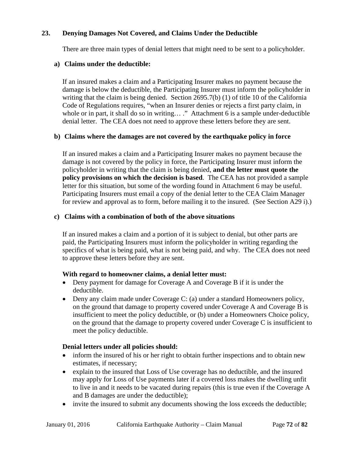# **23. Denying Damages Not Covered, and Claims Under the Deductible**

There are three main types of denial letters that might need to be sent to a policyholder.

### **a) Claims under the deductible:**

If an insured makes a claim and a Participating Insurer makes no payment because the damage is below the deductible, the Participating Insurer must inform the policyholder in writing that the claim is being denied. Section 2695.7(b) (1) of title 10 of the California Code of Regulations requires, "when an Insurer denies or rejects a first party claim, in whole or in part, it shall do so in writing...." Attachment 6 is a sample under-deductible denial letter. The CEA does not need to approve these letters before they are sent.

### **b) Claims where the damages are not covered by the earthquake policy in force**

If an insured makes a claim and a Participating Insurer makes no payment because the damage is not covered by the policy in force, the Participating Insurer must inform the policyholder in writing that the claim is being denied, **and the letter must quote the policy provisions on which the decision is based**. The CEA has not provided a sample letter for this situation, but some of the wording found in Attachment 6 may be useful. Participating Insurers must email a copy of the denial letter to the CEA Claim Manager for review and approval as to form, before mailing it to the insured. (See Section A29 i).)

### **c) Claims with a combination of both of the above situations**

If an insured makes a claim and a portion of it is subject to denial, but other parts are paid, the Participating Insurers must inform the policyholder in writing regarding the specifics of what is being paid, what is not being paid, and why. The CEA does not need to approve these letters before they are sent.

### **With regard to homeowner claims, a denial letter must:**

- Deny payment for damage for Coverage A and Coverage B if it is under the deductible.
- Deny any claim made under Coverage C: (a) under a standard Homeowners policy, on the ground that damage to property covered under Coverage A and Coverage B is insufficient to meet the policy deductible, or (b) under a Homeowners Choice policy, on the ground that the damage to property covered under Coverage C is insufficient to meet the policy deductible.

### **Denial letters under all policies should:**

- inform the insured of his or her right to obtain further inspections and to obtain new estimates, if necessary;
- explain to the insured that Loss of Use coverage has no deductible, and the insured may apply for Loss of Use payments later if a covered loss makes the dwelling unfit to live in and it needs to be vacated during repairs (this is true even if the Coverage A and B damages are under the deductible);
- invite the insured to submit any documents showing the loss exceeds the deductible;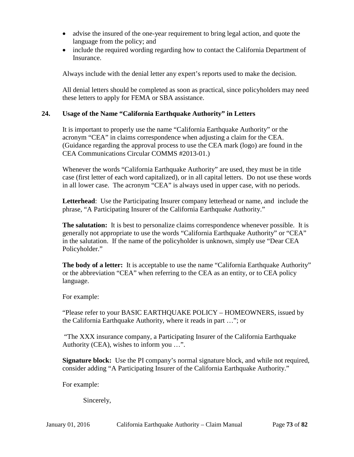- advise the insured of the one-year requirement to bring legal action, and quote the language from the policy; and
- include the required wording regarding how to contact the California Department of Insurance.

Always include with the denial letter any expert's reports used to make the decision.

All denial letters should be completed as soon as practical, since policyholders may need these letters to apply for FEMA or SBA assistance.

#### **24. Usage of the Name "California Earthquake Authority" in Letters**

It is important to properly use the name "California Earthquake Authority" or the acronym "CEA" in claims correspondence when adjusting a claim for the CEA. (Guidance regarding the approval process to use the CEA mark (logo) are found in the CEA Communications Circular COMMS #2013-01.)

Whenever the words "California Earthquake Authority" are used, they must be in title case (first letter of each word capitalized), or in all capital letters. Do not use these words in all lower case. The acronym "CEA" is always used in upper case, with no periods.

**Letterhead**: Use the Participating Insurer company letterhead or name, and include the phrase, "A Participating Insurer of the California Earthquake Authority."

**The salutation:** It is best to personalize claims correspondence whenever possible. It is generally not appropriate to use the words "California Earthquake Authority" or "CEA" in the salutation. If the name of the policyholder is unknown, simply use "Dear CEA Policyholder."

The body of a letter: It is acceptable to use the name "California Earthquake Authority" or the abbreviation "CEA" when referring to the CEA as an entity, or to CEA policy language.

For example:

"Please refer to your BASIC EARTHQUAKE POLICY – HOMEOWNERS, issued by the California Earthquake Authority, where it reads in part …"; or

"The XXX insurance company, a Participating Insurer of the California Earthquake Authority (CEA), wishes to inform you …".

**Signature block:** Use the PI company's normal signature block, and while not required, consider adding "A Participating Insurer of the California Earthquake Authority."

For example:

Sincerely,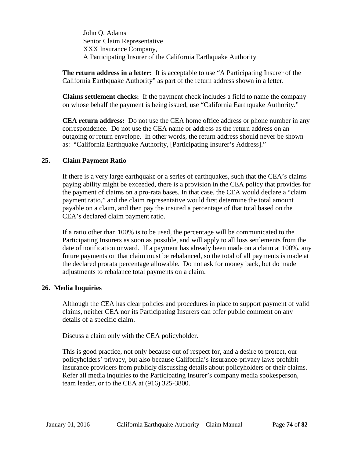John Q. Adams Senior Claim Representative XXX Insurance Company, A Participating Insurer of the California Earthquake Authority

**The return address in a letter:** It is acceptable to use "A Participating Insurer of the California Earthquake Authority" as part of the return address shown in a letter.

**Claims settlement checks:** If the payment check includes a field to name the company on whose behalf the payment is being issued, use "California Earthquake Authority."

**CEA return address:** Do not use the CEA home office address or phone number in any correspondence. Do not use the CEA name or address as the return address on an outgoing or return envelope. In other words, the return address should never be shown as: "California Earthquake Authority, [Participating Insurer's Address]."

### **25. Claim Payment Ratio**

If there is a very large earthquake or a series of earthquakes, such that the CEA's claims paying ability might be exceeded, there is a provision in the CEA policy that provides for the payment of claims on a pro-rata bases. In that case, the CEA would declare a "claim payment ratio," and the claim representative would first determine the total amount payable on a claim, and then pay the insured a percentage of that total based on the CEA's declared claim payment ratio.

If a ratio other than 100% is to be used, the percentage will be communicated to the Participating Insurers as soon as possible, and will apply to all loss settlements from the date of notification onward. If a payment has already been made on a claim at 100%, any future payments on that claim must be rebalanced, so the total of all payments is made at the declared prorata percentage allowable. Do not ask for money back, but do made adjustments to rebalance total payments on a claim.

#### **26. Media Inquiries**

Although the CEA has clear policies and procedures in place to support payment of valid claims, neither CEA nor its Participating Insurers can offer public comment on any details of a specific claim.

Discuss a claim only with the CEA policyholder.

This is good practice, not only because out of respect for, and a desire to protect, our policyholders' privacy, but also because California's insurance-privacy laws prohibit insurance providers from publicly discussing details about policyholders or their claims. Refer all media inquiries to the Participating Insurer's company media spokesperson, team leader, or to the CEA at (916) 325-3800.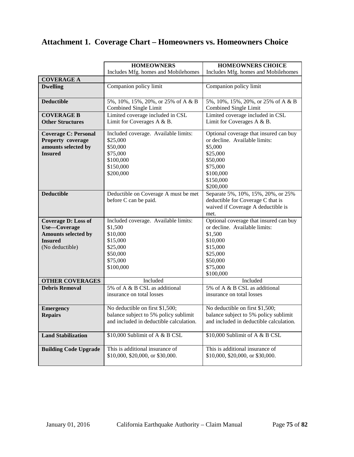# **Attachment 1. Coverage Chart – Homeowners vs. Homeowners Choice**

|                              | <b>HOMEOWNERS</b>                       | <b>HOMEOWNERS CHOICE</b>                |
|------------------------------|-----------------------------------------|-----------------------------------------|
|                              |                                         |                                         |
|                              | Includes Mfg. homes and Mobilehomes     | Includes Mfg. homes and Mobilehomes     |
| <b>COVERAGE A</b>            |                                         |                                         |
| <b>Dwelling</b>              | Companion policy limit                  | Companion policy limit                  |
| <b>Deductible</b>            | 5%, 10%, 15%, 20%, or 25% of A & B      | 5%, 10%, 15%, 20%, or 25% of A & B      |
|                              | Combined Single Limit                   | Combined Single Limit                   |
| <b>COVERAGE B</b>            | Limited coverage included in CSL        | Limited coverage included in CSL        |
| <b>Other Structures</b>      | Limit for Coverages A & B.              | Limit for Coverages A & B.              |
| <b>Coverage C: Personal</b>  | Included coverage. Available limits:    | Optional coverage that insured can buy  |
| Property coverage            | \$25,000                                | or decline. Available limits:           |
| amounts selected by          | \$50,000                                | \$5,000                                 |
| <b>Insured</b>               | \$75,000                                | \$25,000                                |
|                              | \$100,000                               | \$50,000                                |
|                              | \$150,000                               | \$75,000                                |
|                              | \$200,000                               | \$100,000                               |
|                              |                                         | \$150,000                               |
|                              |                                         | \$200,000                               |
| <b>Deductible</b>            | Deductible on Coverage A must be met    | Separate 5%, 10%, 15%, 20%, or 25%      |
|                              | before C can be paid.                   | deductible for Coverage C that is       |
|                              |                                         |                                         |
|                              |                                         | waived if Coverage A deductible is      |
|                              |                                         | met.                                    |
| <b>Coverage D: Loss of</b>   | Included coverage. Available limits:    | Optional coverage that insured can buy  |
| Use-Coverage                 | \$1,500                                 | or decline. Available limits:           |
| <b>Amounts selected by</b>   | \$10,000                                | \$1,500                                 |
| <b>Insured</b>               | \$15,000                                | \$10,000                                |
| (No deductible)              | \$25,000                                | \$15,000                                |
|                              | \$50,000                                | \$25,000                                |
|                              | \$75,000                                | \$50,000                                |
|                              | \$100,000                               | \$75,000                                |
|                              |                                         | \$100,000                               |
| <b>OTHER COVERAGES</b>       | Included                                | Included                                |
| <b>Debris Removal</b>        | 5% of A & B CSL as additional           | 5% of A & B CSL as additional           |
|                              | insurance on total losses               | insurance on total losses               |
|                              |                                         |                                         |
| <b>Emergency</b>             | No deductible on first \$1,500;         | No deductible on first \$1,500;         |
| <b>Repairs</b>               | balance subject to 5% policy sublimit   | balance subject to 5% policy sublimit   |
|                              | and included in deductible calculation. | and included in deductible calculation. |
|                              |                                         |                                         |
| <b>Land Stabilization</b>    | \$10,000 Sublimit of A & B CSL          | \$10,000 Sublimit of A & B CSL          |
|                              |                                         |                                         |
| <b>Building Code Upgrade</b> | This is additional insurance of         | This is additional insurance of         |
|                              | \$10,000, \$20,000, or \$30,000.        | \$10,000, \$20,000, or \$30,000.        |
|                              |                                         |                                         |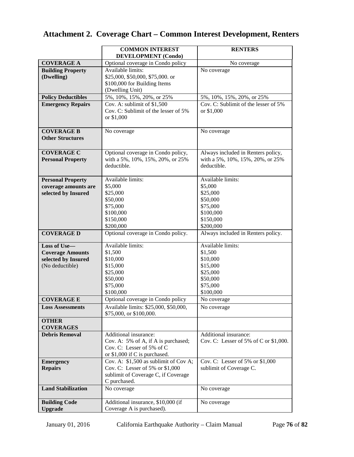#### **Attachment 2. Coverage Chart – Common Interest Development, Renters COMMON INTEREST DEVELOPMENT (Condo) RENTERS COVERAGE A** Optional coverage in Condo policy No coverage **Building Property (Dwelling)** Available limits: \$25,000, \$50,000, \$75,000. or \$100,000 for Building Items (Dwelling Unit) No coverage **Policy Deductibles** 5%, 10%, 15%, 20%, or 25% 5%, 10%, 15%, 20%, or 25% **Emergency Repairs** | Cov. A: sublimit of \$1,500 Cov. C: Sublimit of the lesser of 5%

| <b>COVERAGE A</b>         | Optional coverage in Condo policy                                        | No coverage                                                |
|---------------------------|--------------------------------------------------------------------------|------------------------------------------------------------|
| <b>Building Property</b>  | Available limits:                                                        | No coverage                                                |
| (Dwelling)                | \$25,000, \$50,000, \$75,000. or                                         |                                                            |
|                           | \$100,000 for Building Items                                             |                                                            |
|                           | (Dwelling Unit)                                                          |                                                            |
| <b>Policy Deductibles</b> | 5%, 10%, 15%, 20%, or 25%                                                | 5%, 10%, 15%, 20%, or 25%                                  |
| <b>Emergency Repairs</b>  | Cov. A: sublimit of \$1,500                                              | Cov. C: Sublimit of the lesser of 5%                       |
|                           | Cov. C: Sublimit of the lesser of 5%                                     | or \$1,000                                                 |
|                           | or \$1,000                                                               |                                                            |
|                           |                                                                          |                                                            |
| <b>COVERAGE B</b>         | No coverage                                                              | No coverage                                                |
| <b>Other Structures</b>   |                                                                          |                                                            |
|                           |                                                                          |                                                            |
| <b>COVERAGE C</b>         | Optional coverage in Condo policy,                                       | Always included in Renters policy,                         |
| <b>Personal Property</b>  | with a 5%, 10%, 15%, 20%, or 25%                                         | with a 5%, 10%, 15%, 20%, or 25%                           |
|                           | deductible.                                                              | deductible.                                                |
|                           |                                                                          |                                                            |
| <b>Personal Property</b>  | Available limits:                                                        | Available limits:                                          |
| coverage amounts are      | \$5,000                                                                  | \$5,000                                                    |
| selected by Insured       | \$25,000                                                                 | \$25,000                                                   |
|                           | \$50,000                                                                 | \$50,000                                                   |
|                           | \$75,000                                                                 | \$75,000                                                   |
|                           | \$100,000                                                                | \$100,000                                                  |
|                           | \$150,000                                                                | \$150,000<br>\$200,000                                     |
| <b>COVERAGE D</b>         | \$200,000<br>Optional coverage in Condo policy.                          |                                                            |
|                           |                                                                          | Always included in Renters policy.                         |
| Loss of Use-              | Available limits:                                                        | Available limits:                                          |
| <b>Coverage Amounts</b>   | \$1,500                                                                  | \$1,500                                                    |
| selected by Insured       | \$10,000                                                                 | \$10,000                                                   |
| (No deductible)           | \$15,000                                                                 | \$15,000                                                   |
|                           | \$25,000                                                                 | \$25,000                                                   |
|                           | \$50,000                                                                 | \$50,000                                                   |
|                           | \$75,000                                                                 | \$75,000                                                   |
|                           | \$100,000                                                                | \$100,000                                                  |
| <b>COVERAGE E</b>         | Optional coverage in Condo policy                                        | No coverage                                                |
| <b>Loss Assessments</b>   | Available limits: \$25,000, \$50,000,                                    | No coverage                                                |
|                           | \$75,000, or \$100,000.                                                  |                                                            |
| <b>OTHER</b>              |                                                                          |                                                            |
| <b>COVERAGES</b>          |                                                                          |                                                            |
| <b>Debris Removal</b>     | Additional insurance:                                                    | Additional insurance:                                      |
|                           | Cov. A: 5% of A, if A is purchased;                                      | Cov. C: Lesser of 5% of C or \$1,000.                      |
|                           | Cov. C: Lesser of 5% of C                                                |                                                            |
|                           | or \$1,000 if C is purchased.                                            |                                                            |
| <b>Emergency</b>          | Cov. A: \$1,500 as sublimit of Cov A;<br>Cov. C: Lesser of 5% or \$1,000 | Cov. C: Lesser of 5% or \$1,000<br>sublimit of Coverage C. |
| <b>Repairs</b>            | sublimit of Coverage C, if Coverage                                      |                                                            |
|                           | C purchased.                                                             |                                                            |
| <b>Land Stabilization</b> | No coverage                                                              | No coverage                                                |
|                           |                                                                          |                                                            |
| <b>Building Code</b>      | Additional insurance, \$10,000 (if                                       | No coverage                                                |
| <b>Upgrade</b>            | Coverage A is purchased).                                                |                                                            |
|                           |                                                                          |                                                            |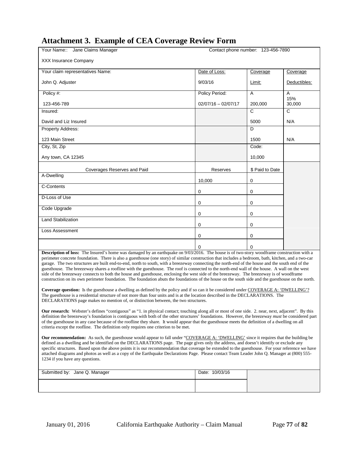| Your Name:: Jane Claims Manager                                                                                                                                                                                                                                                                                                                                                                                                                                                                                                                                                                                                                                                                                                                                                                                                                                                                                                                                                                                                                                                                                                                                                                                                                                                                                                                                                                                                                                                                                                                                                                                                                                                                                                                                                                                                                                                                                                                                                                                                                                                                                                                                                                                                                                                                                                                                                                                                                                           | Contact phone number: 123-456-7890 |                 |               |
|---------------------------------------------------------------------------------------------------------------------------------------------------------------------------------------------------------------------------------------------------------------------------------------------------------------------------------------------------------------------------------------------------------------------------------------------------------------------------------------------------------------------------------------------------------------------------------------------------------------------------------------------------------------------------------------------------------------------------------------------------------------------------------------------------------------------------------------------------------------------------------------------------------------------------------------------------------------------------------------------------------------------------------------------------------------------------------------------------------------------------------------------------------------------------------------------------------------------------------------------------------------------------------------------------------------------------------------------------------------------------------------------------------------------------------------------------------------------------------------------------------------------------------------------------------------------------------------------------------------------------------------------------------------------------------------------------------------------------------------------------------------------------------------------------------------------------------------------------------------------------------------------------------------------------------------------------------------------------------------------------------------------------------------------------------------------------------------------------------------------------------------------------------------------------------------------------------------------------------------------------------------------------------------------------------------------------------------------------------------------------------------------------------------------------------------------------------------------------|------------------------------------|-----------------|---------------|
| XXX Insurance Company                                                                                                                                                                                                                                                                                                                                                                                                                                                                                                                                                                                                                                                                                                                                                                                                                                                                                                                                                                                                                                                                                                                                                                                                                                                                                                                                                                                                                                                                                                                                                                                                                                                                                                                                                                                                                                                                                                                                                                                                                                                                                                                                                                                                                                                                                                                                                                                                                                                     |                                    |                 |               |
| Your claim representatives Name:                                                                                                                                                                                                                                                                                                                                                                                                                                                                                                                                                                                                                                                                                                                                                                                                                                                                                                                                                                                                                                                                                                                                                                                                                                                                                                                                                                                                                                                                                                                                                                                                                                                                                                                                                                                                                                                                                                                                                                                                                                                                                                                                                                                                                                                                                                                                                                                                                                          | Date of Loss:                      | Coverage        | Coverage      |
| John Q. Adjuster                                                                                                                                                                                                                                                                                                                                                                                                                                                                                                                                                                                                                                                                                                                                                                                                                                                                                                                                                                                                                                                                                                                                                                                                                                                                                                                                                                                                                                                                                                                                                                                                                                                                                                                                                                                                                                                                                                                                                                                                                                                                                                                                                                                                                                                                                                                                                                                                                                                          | 9/03/16                            | Limit:          | Deductibles:  |
| Policy #:                                                                                                                                                                                                                                                                                                                                                                                                                                                                                                                                                                                                                                                                                                                                                                                                                                                                                                                                                                                                                                                                                                                                                                                                                                                                                                                                                                                                                                                                                                                                                                                                                                                                                                                                                                                                                                                                                                                                                                                                                                                                                                                                                                                                                                                                                                                                                                                                                                                                 | Policy Period:                     | A               | A             |
| 123-456-789                                                                                                                                                                                                                                                                                                                                                                                                                                                                                                                                                                                                                                                                                                                                                                                                                                                                                                                                                                                                                                                                                                                                                                                                                                                                                                                                                                                                                                                                                                                                                                                                                                                                                                                                                                                                                                                                                                                                                                                                                                                                                                                                                                                                                                                                                                                                                                                                                                                               | $02/07/16 - 02/07/17$              | 200,000         | 15%<br>30,000 |
| Insured:                                                                                                                                                                                                                                                                                                                                                                                                                                                                                                                                                                                                                                                                                                                                                                                                                                                                                                                                                                                                                                                                                                                                                                                                                                                                                                                                                                                                                                                                                                                                                                                                                                                                                                                                                                                                                                                                                                                                                                                                                                                                                                                                                                                                                                                                                                                                                                                                                                                                  |                                    | $\overline{c}$  | $\mathsf{C}$  |
| David and Liz Insured                                                                                                                                                                                                                                                                                                                                                                                                                                                                                                                                                                                                                                                                                                                                                                                                                                                                                                                                                                                                                                                                                                                                                                                                                                                                                                                                                                                                                                                                                                                                                                                                                                                                                                                                                                                                                                                                                                                                                                                                                                                                                                                                                                                                                                                                                                                                                                                                                                                     |                                    | 5000            | N/A           |
| Property Address:                                                                                                                                                                                                                                                                                                                                                                                                                                                                                                                                                                                                                                                                                                                                                                                                                                                                                                                                                                                                                                                                                                                                                                                                                                                                                                                                                                                                                                                                                                                                                                                                                                                                                                                                                                                                                                                                                                                                                                                                                                                                                                                                                                                                                                                                                                                                                                                                                                                         |                                    | D               |               |
| 123 Main Street                                                                                                                                                                                                                                                                                                                                                                                                                                                                                                                                                                                                                                                                                                                                                                                                                                                                                                                                                                                                                                                                                                                                                                                                                                                                                                                                                                                                                                                                                                                                                                                                                                                                                                                                                                                                                                                                                                                                                                                                                                                                                                                                                                                                                                                                                                                                                                                                                                                           |                                    | 1500            | N/A           |
| City, St, Zip                                                                                                                                                                                                                                                                                                                                                                                                                                                                                                                                                                                                                                                                                                                                                                                                                                                                                                                                                                                                                                                                                                                                                                                                                                                                                                                                                                                                                                                                                                                                                                                                                                                                                                                                                                                                                                                                                                                                                                                                                                                                                                                                                                                                                                                                                                                                                                                                                                                             |                                    | Code:           |               |
| Any town, CA 12345                                                                                                                                                                                                                                                                                                                                                                                                                                                                                                                                                                                                                                                                                                                                                                                                                                                                                                                                                                                                                                                                                                                                                                                                                                                                                                                                                                                                                                                                                                                                                                                                                                                                                                                                                                                                                                                                                                                                                                                                                                                                                                                                                                                                                                                                                                                                                                                                                                                        |                                    | 10,000          |               |
| Coverages Reserves and Paid                                                                                                                                                                                                                                                                                                                                                                                                                                                                                                                                                                                                                                                                                                                                                                                                                                                                                                                                                                                                                                                                                                                                                                                                                                                                                                                                                                                                                                                                                                                                                                                                                                                                                                                                                                                                                                                                                                                                                                                                                                                                                                                                                                                                                                                                                                                                                                                                                                               | Reserves                           | \$ Paid to Date |               |
| A-Dwelling                                                                                                                                                                                                                                                                                                                                                                                                                                                                                                                                                                                                                                                                                                                                                                                                                                                                                                                                                                                                                                                                                                                                                                                                                                                                                                                                                                                                                                                                                                                                                                                                                                                                                                                                                                                                                                                                                                                                                                                                                                                                                                                                                                                                                                                                                                                                                                                                                                                                | 10,000                             | 0               |               |
| C-Contents                                                                                                                                                                                                                                                                                                                                                                                                                                                                                                                                                                                                                                                                                                                                                                                                                                                                                                                                                                                                                                                                                                                                                                                                                                                                                                                                                                                                                                                                                                                                                                                                                                                                                                                                                                                                                                                                                                                                                                                                                                                                                                                                                                                                                                                                                                                                                                                                                                                                | 0                                  | 0               |               |
| D-Loss of Use                                                                                                                                                                                                                                                                                                                                                                                                                                                                                                                                                                                                                                                                                                                                                                                                                                                                                                                                                                                                                                                                                                                                                                                                                                                                                                                                                                                                                                                                                                                                                                                                                                                                                                                                                                                                                                                                                                                                                                                                                                                                                                                                                                                                                                                                                                                                                                                                                                                             |                                    |                 |               |
| Code Upgrade                                                                                                                                                                                                                                                                                                                                                                                                                                                                                                                                                                                                                                                                                                                                                                                                                                                                                                                                                                                                                                                                                                                                                                                                                                                                                                                                                                                                                                                                                                                                                                                                                                                                                                                                                                                                                                                                                                                                                                                                                                                                                                                                                                                                                                                                                                                                                                                                                                                              | 0                                  | 0               |               |
|                                                                                                                                                                                                                                                                                                                                                                                                                                                                                                                                                                                                                                                                                                                                                                                                                                                                                                                                                                                                                                                                                                                                                                                                                                                                                                                                                                                                                                                                                                                                                                                                                                                                                                                                                                                                                                                                                                                                                                                                                                                                                                                                                                                                                                                                                                                                                                                                                                                                           | 0                                  | 0               |               |
| Land Stabilization                                                                                                                                                                                                                                                                                                                                                                                                                                                                                                                                                                                                                                                                                                                                                                                                                                                                                                                                                                                                                                                                                                                                                                                                                                                                                                                                                                                                                                                                                                                                                                                                                                                                                                                                                                                                                                                                                                                                                                                                                                                                                                                                                                                                                                                                                                                                                                                                                                                        | 0                                  | 0               |               |
| Loss Assessment                                                                                                                                                                                                                                                                                                                                                                                                                                                                                                                                                                                                                                                                                                                                                                                                                                                                                                                                                                                                                                                                                                                                                                                                                                                                                                                                                                                                                                                                                                                                                                                                                                                                                                                                                                                                                                                                                                                                                                                                                                                                                                                                                                                                                                                                                                                                                                                                                                                           | 0                                  | 0               |               |
|                                                                                                                                                                                                                                                                                                                                                                                                                                                                                                                                                                                                                                                                                                                                                                                                                                                                                                                                                                                                                                                                                                                                                                                                                                                                                                                                                                                                                                                                                                                                                                                                                                                                                                                                                                                                                                                                                                                                                                                                                                                                                                                                                                                                                                                                                                                                                                                                                                                                           | 0                                  | 0               |               |
| Description of loss: The Insured's home was damaged by an earthquake on 9/03/2016. The house is of two-story woodframe construction with a<br>perimeter concrete foundation. There is also a guesthouse (one story) of similar construction that includes a bedroom, bath, kitchen, and a two-car<br>garage. The two structures are built end-to-end, north to south, with a breezeway connecting the north-end of the house and the south end of the<br>guesthouse. The breezeway shares a roofline with the guesthouse. The roof is connected to the north-end wall of the house. A wall on the west<br>side of the breezeway connects to both the house and guesthouse, enclosing the west side of the breezeway. The breezeway is of woodframe<br>construction on its own perimeter foundation. The foundation abuts the foundations of the house on the south side and the guesthouse on the north.<br>Coverage question: Is the guesthouse a dwelling as defined by the policy and if so can it be considered under COVERAGE A: 'DWELLING'?<br>The guesthouse is a residential structure of not more than four units and is at the location described in the DECLARATIONS. The<br>DECLARATIONS page makes no mention of, or distinction between, the two structures.<br><b>Our research:</b> Webster's defines "contiguous" as "1. in physical contact; touching along all or most of one side. 2. near, next, adjacent". By this<br>definition the breezeway's foundation is contiguous with both of the other structures' foundations. However, the breezeway must be considered part<br>of the guesthouse in any case because of the roofline they share. It would appear that the guesthouse meets the definition of a dwelling on all<br>criteria except the roofline. The definition only requires one criterion to be met.<br><b>Our recommendation:</b> As such, the guesthouse would appear to fall under "COVERAGE A: 'DWELLING' since it requires that the building be<br>defined as a dwelling and be identified on the DECLARATIONS page. The page gives only the address, and doesn't identify or exclude any<br>specific structures. Based upon the above points it is our recommendation that coverage be extended to the guesthouse. For your reference we have<br>attached diagrams and photos as well as a copy of the Earthquake Declarations Page. Please contact Team Leader John Q. Manager at (800) 555-<br>1234 if you have any questions. |                                    |                 |               |
| Submitted by: Jane Q. Manager                                                                                                                                                                                                                                                                                                                                                                                                                                                                                                                                                                                                                                                                                                                                                                                                                                                                                                                                                                                                                                                                                                                                                                                                                                                                                                                                                                                                                                                                                                                                                                                                                                                                                                                                                                                                                                                                                                                                                                                                                                                                                                                                                                                                                                                                                                                                                                                                                                             | Date: 10/03/16                     |                 |               |

# **Attachment 3. Example of CEA Coverage Review Form**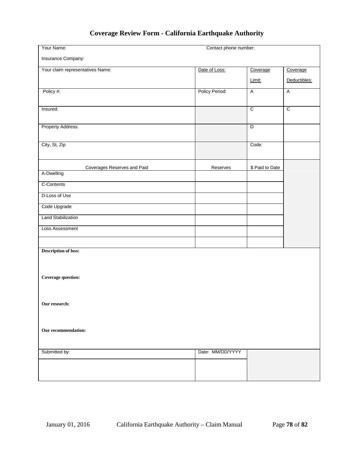| Your Name:                       | Contact phone number: |                 |                |
|----------------------------------|-----------------------|-----------------|----------------|
| Insurance Company:               |                       |                 |                |
| Your claim representatives Name: | Date of Loss:         | Coverage        | Coverage       |
|                                  |                       | Limit:          | Deductibles:   |
| Policy #:                        | Policy Period:        | $\overline{A}$  | $\overline{A}$ |
| Insured:                         |                       | $\overline{c}$  | $\overline{c}$ |
| <b>Property Address:</b>         |                       | $\overline{D}$  |                |
| City, St, Zip                    |                       | Code:           |                |
| Coverages Reserves and Paid      | Reserves              | \$ Paid to Date |                |
| A-Dwelling                       |                       |                 |                |
| C-Contents                       |                       |                 |                |
| D-Loss of Use                    |                       |                 |                |
| Code Upgrade                     |                       |                 |                |
| <b>Land Stabilization</b>        |                       |                 |                |
| Loss Assessment                  |                       |                 |                |
|                                  |                       |                 |                |
| <b>Description of loss:</b>      |                       |                 |                |
|                                  |                       |                 |                |
| <b>Coverage question:</b>        |                       |                 |                |
| Our research:                    |                       |                 |                |
| Our recommendation:              |                       |                 |                |
| Submitted by:                    | Date: MM/DD/YYYY      |                 |                |
|                                  |                       |                 |                |
|                                  |                       |                 |                |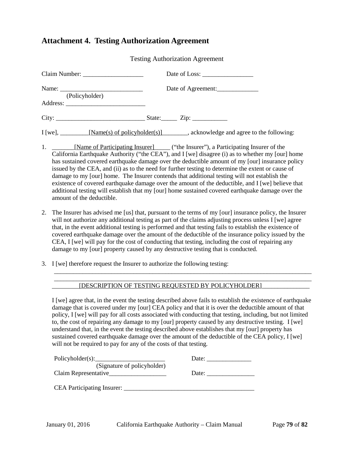### **Attachment 4. Testing Authorization Agreement**

#### Testing Authorization Agreement

|                                                                                                                                                                                                                                                                                                                                                                                                                                                                                                 | Date of Loss: $\frac{1}{\sqrt{1-\frac{1}{2}}\cdot\sqrt{1-\frac{1}{2}}\cdot\sqrt{1-\frac{1}{2}}\cdot\sqrt{1-\frac{1}{2}}\cdot\sqrt{1-\frac{1}{2}}\cdot\sqrt{1-\frac{1}{2}}\cdot\sqrt{1-\frac{1}{2}}\cdot\sqrt{1-\frac{1}{2}}\cdot\sqrt{1-\frac{1}{2}}\cdot\sqrt{1-\frac{1}{2}}\cdot\sqrt{1-\frac{1}{2}}\cdot\sqrt{1-\frac{1}{2}}\cdot\sqrt{1-\frac{1}{2}}\cdot\sqrt{1-\frac{1}{2}}\cdot\sqrt{1-\frac{1}{2}}\cdot\sqrt{1-\frac$ |  |
|-------------------------------------------------------------------------------------------------------------------------------------------------------------------------------------------------------------------------------------------------------------------------------------------------------------------------------------------------------------------------------------------------------------------------------------------------------------------------------------------------|-------------------------------------------------------------------------------------------------------------------------------------------------------------------------------------------------------------------------------------------------------------------------------------------------------------------------------------------------------------------------------------------------------------------------------|--|
| (Policyholder)<br>Address:                                                                                                                                                                                                                                                                                                                                                                                                                                                                      | Date of Agreement:                                                                                                                                                                                                                                                                                                                                                                                                            |  |
|                                                                                                                                                                                                                                                                                                                                                                                                                                                                                                 |                                                                                                                                                                                                                                                                                                                                                                                                                               |  |
|                                                                                                                                                                                                                                                                                                                                                                                                                                                                                                 | $I[we],$ ________________[Name(s) of policyholder(s)] _________, acknowledge and agree to the following:                                                                                                                                                                                                                                                                                                                      |  |
| 1. [Name of Participating Insurer] ("the Insurer"), a Participating Insurer of the<br>California Earthquake Authority ("the CEA"), and I [we] disagree (i) as to whether my [our] home<br>has sustained covered earthquake damage over the deductible amount of my [our] insurance policy<br>issued by the CEA, and (ii) as to the need for further testing to determine the extent or cause of<br>damage to my [our] home. The Insurer contends that additional testing will not establish the |                                                                                                                                                                                                                                                                                                                                                                                                                               |  |

existence of covered earthquake damage over the amount of the deductible, and I [we] believe that additional testing will establish that my [our] home sustained covered earthquake damage over the amount of the deductible.

- 2. The Insurer has advised me [us] that, pursuant to the terms of my [our] insurance policy, the Insurer will not authorize any additional testing as part of the claims adjusting process unless I [we] agree that, in the event additional testing is performed and that testing fails to establish the existence of covered earthquake damage over the amount of the deductible of the insurance policy issued by the CEA, I [we] will pay for the cost of conducting that testing, including the cost of repairing any damage to my [our] property caused by any destructive testing that is conducted.
- 3. I [we] therefore request the Insurer to authorize the following testing:

#### [DESCRIPTION OF TESTING REQUESTED BY POLICYHOLDER]\_\_\_\_\_\_\_\_\_\_\_\_\_\_\_

I [we] agree that, in the event the testing described above fails to establish the existence of earthquake damage that is covered under my [our] CEA policy and that it is over the deductible amount of that policy, I [we] will pay for all costs associated with conducting that testing, including, but not limited to, the cost of repairing any damage to my [our] property caused by any destructive testing. I [we] understand that, in the event the testing described above establishes that my [our] property has sustained covered earthquake damage over the amount of the deductible of the CEA policy, I [we] will not be required to pay for any of the costs of that testing.

\_\_\_\_\_\_\_\_\_\_\_\_\_\_\_\_\_\_\_\_\_\_\_\_\_\_\_\_\_\_\_\_\_\_\_\_\_\_\_\_\_\_\_\_\_\_\_\_\_\_\_\_\_\_\_\_\_\_\_\_\_\_\_\_\_\_\_\_\_\_\_\_\_\_\_\_\_\_\_\_\_ \_\_\_\_\_\_\_\_\_\_\_\_\_\_\_\_\_\_\_\_\_\_\_\_\_\_\_\_\_\_\_\_\_\_\_\_\_\_\_\_\_\_\_\_\_\_\_\_\_\_\_\_\_\_\_\_\_\_\_\_\_\_\_\_\_\_\_\_\_\_\_\_\_\_\_\_\_\_\_\_\_

| Policyholder(s):                  | Date: |
|-----------------------------------|-------|
| (Signature of policyholder)       |       |
| Claim Representative              | Date: |
|                                   |       |
| <b>CEA</b> Participating Insurer: |       |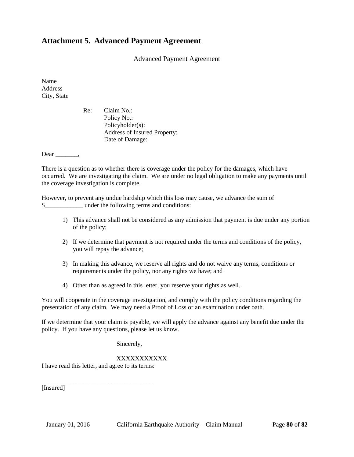### **Attachment 5. Advanced Payment Agreement**

Advanced Payment Agreement

Name Address City, State

> Re: Claim No.: Policy No.: Policyholder(s): Address of Insured Property: Date of Damage:

 $Dear \_\_\_\_\_\$ 

There is a question as to whether there is coverage under the policy for the damages, which have occurred. We are investigating the claim. We are under no legal obligation to make any payments until the coverage investigation is complete.

However, to prevent any undue hardship which this loss may cause, we advance the sum of \$\_\_\_\_\_\_\_\_\_\_\_\_ under the following terms and conditions:

- 1) This advance shall not be considered as any admission that payment is due under any portion of the policy;
- 2) If we determine that payment is not required under the terms and conditions of the policy, you will repay the advance;
- 3) In making this advance, we reserve all rights and do not waive any terms, conditions or requirements under the policy, nor any rights we have; and
- 4) Other than as agreed in this letter, you reserve your rights as well.

You will cooperate in the coverage investigation, and comply with the policy conditions regarding the presentation of any claim. We may need a Proof of Loss or an examination under oath.

If we determine that your claim is payable, we will apply the advance against any benefit due under the policy. If you have any questions, please let us know.

Sincerely,

XXXXXXXXXXX

I have read this letter, and agree to its terms:

\_\_\_\_\_\_\_\_\_\_\_\_\_\_\_\_\_\_\_\_\_\_\_\_\_\_\_\_\_\_\_\_\_\_\_

[Insured]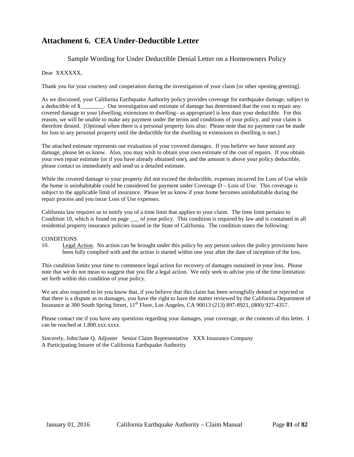## **Attachment 6. CEA Under-Deductible Letter**

#### Sample Wording for Under Deductible Denial Letter on a Homeowners Policy

Dear XXXXXX.

Thank you for your courtesy and cooperation during the investigation of your claim [or other opening greeting].

As we discussed, your California Earthquake Authority policy provides coverage for earthquake damage, subject to a deductible of \$\_\_\_\_\_\_\_\_. Our investigation and estimate of damage has determined that the cost to repair any covered damage to your [dwelling, extensions to dwelling– as appropriate] is less than your deductible. For this reason, we will be unable to make any payment under the terms and conditions of your policy, and your claim is therefore denied. [Optional when there is a personal property loss also: Please note that no payment can be made for loss to any personal property until the deductible for the dwelling or extensions to dwelling is met.]

The attached estimate represents our evaluation of your covered damages. If you believe we have missed any damage, please let us know. Also, you may wish to obtain your own estimate of the cost of repairs. If you obtain your own repair estimate (or if you have already obtained one), and the amount is above your policy deductible, please contact us immediately and send us a detailed estimate.

While the covered damage to your property did not exceed the deductible, expenses incurred for Loss of Use while the home is uninhabitable could be considered for payment under Coverage  $D - Loss$  of Use. This coverage is subject to the applicable limit of insurance. Please let us know if your home becomes uninhabitable during the repair process and you incur Loss of Use expenses.

California law requires us to notify you of a time limit that applies to your claim. The time limit pertains to Condition 10, which is found on page \_\_\_ of your policy. This condition is required by law and is contained in all residential property insurance policies issued in the State of California. The condition states the following:

#### **CONDITIONS**

10. Legal Action. No action can be brought under this policy by any person unless the policy provisions have been fully complied with and the action is started within one year after the date of inception of the loss.

This condition limits your time to commence legal action for recovery of damages sustained in your loss. Please note that we do not mean to suggest that you file a legal action. We only seek to advise you of the time limitation set forth within this condition of your policy.

We are also required to let you know that, if you believe that this claim has been wrongfully denied or rejected or that there is a dispute as to damages, you have the right to have the matter reviewed by the California Department of Insurance at 300 South Spring Street, 11th Floor, Los Angeles, CA 90013 (213) 897-8921, (800) 927-4357.

Please contact me if you have any questions regarding your damages, your coverage, or the contents of this letter. I can be reached at  $1.800.xxx.xxxx$ .

Sincerely, John/Jane Q. Adjuster Senior Claim Representative XXX Insurance Company A Participating Insurer of the California Earthquake Authority